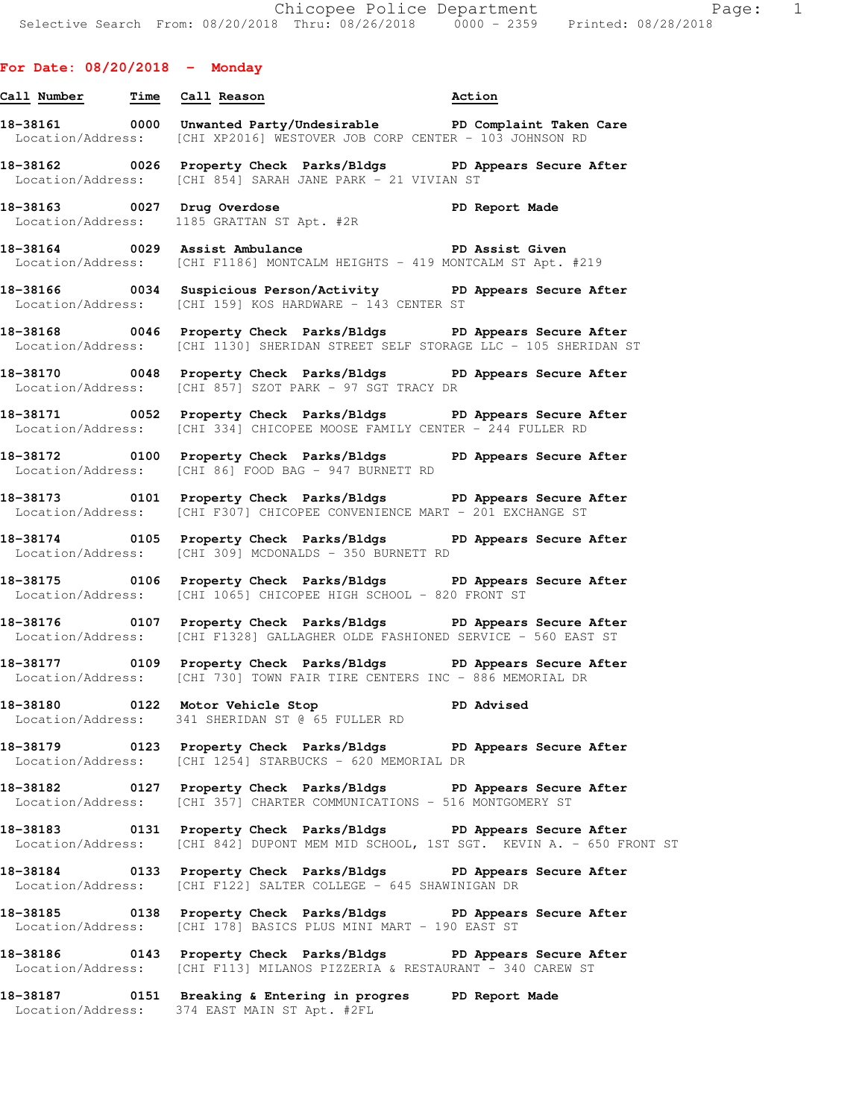## **For Date: 08/20/2018 - Monday**

| 18-38161          | 0000 | Unwanted Party/Undesirable |  |                                                        | PD Complaint Taken Care |  |
|-------------------|------|----------------------------|--|--------------------------------------------------------|-------------------------|--|
| Location/Address: |      |                            |  | [CHI XP2016] WESTOVER JOB CORP CENTER - 103 JOHNSON RD |                         |  |

**18-38162 0026 Property Check Parks/Bldgs PD Appears Secure After**  Location/Address: [CHI 854] SARAH JANE PARK - 21 VIVIAN ST

**18-38163 0027 Drug Overdose PD Report Made**  Location/Address: 1185 GRATTAN ST Apt. #2R

**Call Number Time Call Reason Action** 

**18-38164 0029 Assist Ambulance PD Assist Given**  Location/Address: [CHI F1186] MONTCALM HEIGHTS - 419 MONTCALM ST Apt. #219

**18-38166 0034 Suspicious Person/Activity PD Appears Secure After**  Location/Address: [CHI 159] KOS HARDWARE - 143 CENTER ST

**18-38168 0046 Property Check Parks/Bldgs PD Appears Secure After**  Location/Address: [CHI 1130] SHERIDAN STREET SELF STORAGE LLC - 105 SHERIDAN ST

**18-38170 0048 Property Check Parks/Bldgs PD Appears Secure After**  Location/Address: [CHI 857] SZOT PARK - 97 SGT TRACY DR

**18-38171 0052 Property Check Parks/Bldgs PD Appears Secure After**  Location/Address: [CHI 334] CHICOPEE MOOSE FAMILY CENTER - 244 FULLER RD

**18-38172 0100 Property Check Parks/Bldgs PD Appears Secure After**  Location/Address: [CHI 86] FOOD BAG - 947 BURNETT RD

**18-38173 0101 Property Check Parks/Bldgs PD Appears Secure After**  Location/Address: [CHI F307] CHICOPEE CONVENIENCE MART - 201 EXCHANGE ST

**18-38174 0105 Property Check Parks/Bldgs PD Appears Secure After**  Location/Address: [CHI 309] MCDONALDS - 350 BURNETT RD

**18-38175 0106 Property Check Parks/Bldgs PD Appears Secure After**  Location/Address: [CHI 1065] CHICOPEE HIGH SCHOOL - 820 FRONT ST

**18-38176 0107 Property Check Parks/Bldgs PD Appears Secure After**  Location/Address: [CHI F1328] GALLAGHER OLDE FASHIONED SERVICE - 560 EAST ST

**18-38177 0109 Property Check Parks/Bldgs PD Appears Secure After**  Location/Address: [CHI 730] TOWN FAIR TIRE CENTERS INC - 886 MEMORIAL DR

**18-38180 0122 Motor Vehicle Stop PD Advised**  Location/Address: 341 SHERIDAN ST @ 65 FULLER RD

**18-38179 0123 Property Check Parks/Bldgs PD Appears Secure After**  Location/Address: [CHI 1254] STARBUCKS - 620 MEMORIAL DR

**18-38182 0127 Property Check Parks/Bldgs PD Appears Secure After**  Location/Address: [CHI 357] CHARTER COMMUNICATIONS - 516 MONTGOMERY ST

**18-38183 0131 Property Check Parks/Bldgs PD Appears Secure After**  Location/Address: [CHI 842] DUPONT MEM MID SCHOOL, 1ST SGT. KEVIN A. - 650 FRONT ST

**18-38184 0133 Property Check Parks/Bldgs PD Appears Secure After**  Location/Address: [CHI F122] SALTER COLLEGE - 645 SHAWINIGAN DR

**18-38185 0138 Property Check Parks/Bldgs PD Appears Secure After**  Location/Address: [CHI 178] BASICS PLUS MINI MART - 190 EAST ST

**18-38186 0143 Property Check Parks/Bldgs PD Appears Secure After**  Location/Address: [CHI F113] MILANOS PIZZERIA & RESTAURANT - 340 CAREW ST

**18-38187 0151 Breaking & Entering in progres PD Report Made**  Location/Address: 374 EAST MAIN ST Apt. #2FL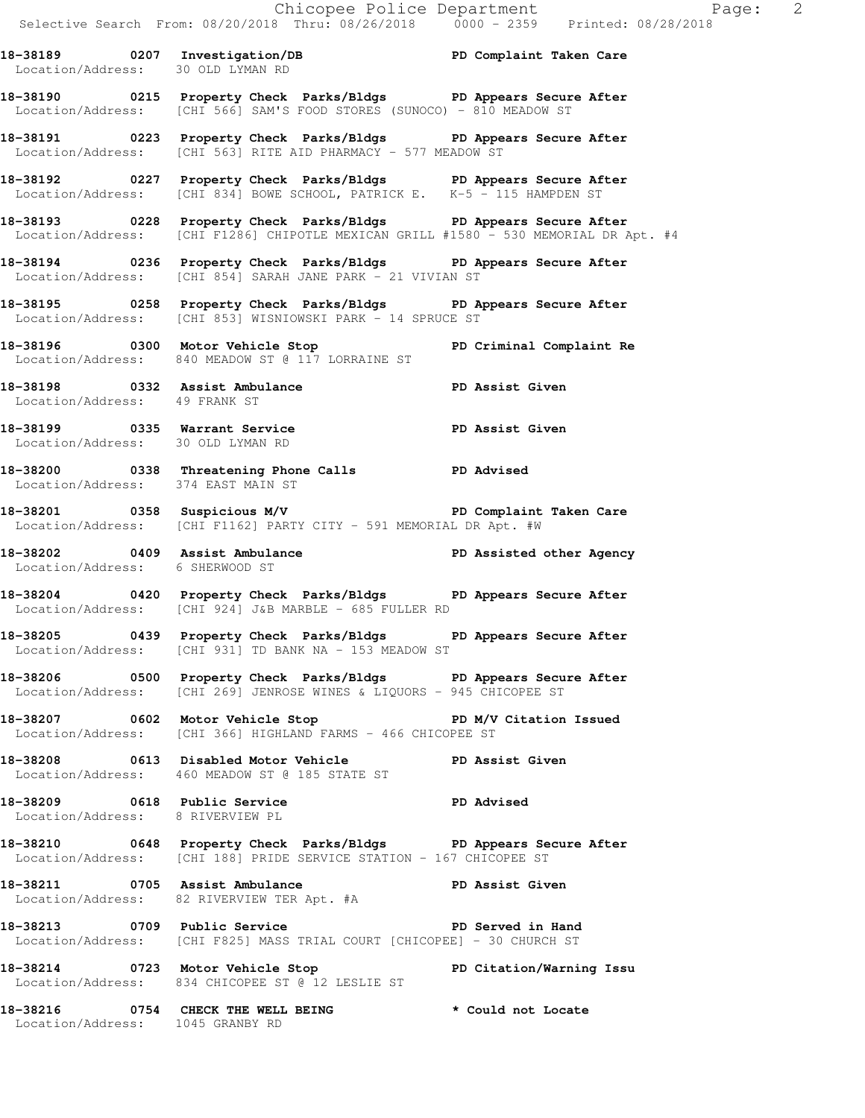**18-38193 0228 Property Check Parks/Bldgs PD Appears Secure After**  Location/Address: [CHI F1286] CHIPOTLE MEXICAN GRILL #1580 - 530 MEMORIAL DR Apt. #4

**18-38194 0236 Property Check Parks/Bldgs PD Appears Secure After**  Location/Address: [CHI 854] SARAH JANE PARK - 21 VIVIAN ST

**18-38195 0258 Property Check Parks/Bldgs PD Appears Secure After**  Location/Address: [CHI 853] WISNIOWSKI PARK - 14 SPRUCE ST

**18-38196 0300 Motor Vehicle Stop PD Criminal Complaint Re**  Location/Address: 840 MEADOW ST @ 117 LORRAINE ST

**18-38198 0332 Assist Ambulance PD Assist Given**  Location/Address: 49 FRANK ST

**18-38199 0335 Warrant Service PD Assist Given**  Location/Address: 30 OLD LYMAN RD

**18-38200 0338 Threatening Phone Calls PD Advised**  Location/Address: 374 EAST MAIN ST

**18-38201 0358 Suspicious M/V PD Complaint Taken Care**  Location/Address: [CHI F1162] PARTY CITY - 591 MEMORIAL DR Apt. #W

**18-38202 0409 Assist Ambulance PD Assisted other Agency**  Location/Address: 6 SHERWOOD ST

**18-38204 0420 Property Check Parks/Bldgs PD Appears Secure After**  Location/Address: [CHI 924] J&B MARBLE - 685 FULLER RD

**18-38205 0439 Property Check Parks/Bldgs PD Appears Secure After**  Location/Address: [CHI 931] TD BANK NA - 153 MEADOW ST

**18-38206 0500 Property Check Parks/Bldgs PD Appears Secure After**  Location/Address: [CHI 269] JENROSE WINES & LIQUORS - 945 CHICOPEE ST

**18-38207 0602 Motor Vehicle Stop PD M/V Citation Issued**  Location/Address: [CHI 366] HIGHLAND FARMS - 466 CHICOPEE ST

**18-38208 0613 Disabled Motor Vehicle PD Assist Given**  Location/Address: 460 MEADOW ST @ 185 STATE ST

**18-38209 0618 Public Service PD Advised**  Location/Address: 8 RIVERVIEW PL

**18-38210 0648 Property Check Parks/Bldgs PD Appears Secure After**  Location/Address: [CHI 188] PRIDE SERVICE STATION - 167 CHICOPEE ST

**18-38211 0705 Assist Ambulance PD Assist Given**  Location/Address: 82 RIVERVIEW TER Apt. #A

18-38213 0709 Public Service **PD** Served in Hand Location/Address: [CHI F825] MASS TRIAL COURT [CHICOPEE] - 30 CHURCH ST

**18-38214 0723 Motor Vehicle Stop PD Citation/Warning Issu**  Location/Address: 834 CHICOPEE ST @ 12 LESLIE ST

**18-38216 0754 CHECK THE WELL BEING \* Could not Locate**  Location/Address: 1045 GRANBY RD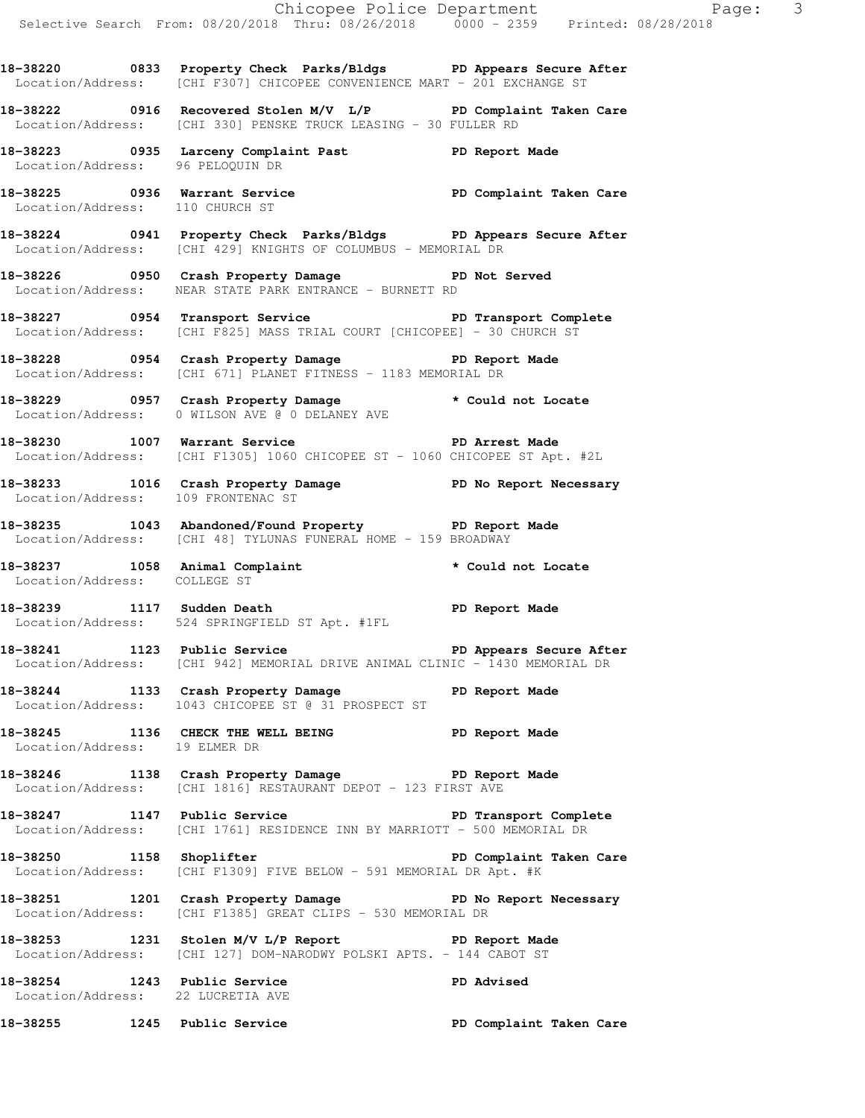**18-38220 0833 Property Check Parks/Bldgs PD Appears Secure After**  Location/Address: [CHI F307] CHICOPEE CONVENIENCE MART - 201 EXCHANGE ST

**18-38222 0916 Recovered Stolen M/V L/P PD Complaint Taken Care**  Location/Address: [CHI 330] PENSKE TRUCK LEASING - 30 FULLER RD

**18-38223 0935 Larceny Complaint Past PD Report Made**  Location/Address: 96 PELOQUIN DR

**18-38225 0936 Warrant Service PD Complaint Taken Care**  Location/Address: 110 CHURCH ST

**18-38224 0941 Property Check Parks/Bldgs PD Appears Secure After**  Location/Address: [CHI 429] KNIGHTS OF COLUMBUS - MEMORIAL DR

**18-38226 0950 Crash Property Damage PD Not Served**  Location/Address: NEAR STATE PARK ENTRANCE - BURNETT RD

18-38227 **18-38227** 0954 Transport Service **PE PE Transport Complete** Location/Address: [CHI F825] MASS TRIAL COURT [CHICOPEE] - 30 CHURCH ST

**18-38228 0954 Crash Property Damage PD Report Made**  Location/Address: [CHI 671] PLANET FITNESS - 1183 MEMORIAL DR

**18-38229 0957 Crash Property Damage \* Could not Locate**  Location/Address: 0 WILSON AVE @ 0 DELANEY AVE

**18-38230 1007 Warrant Service PD Arrest Made**  Location/Address: [CHI F1305] 1060 CHICOPEE ST - 1060 CHICOPEE ST Apt. #2L

**18-38233 1016 Crash Property Damage PD No Report Necessary**  Location/Address: 109 FRONTENAC ST

**18-38235 1043 Abandoned/Found Property PD Report Made**  Location/Address: [CHI 48] TYLUNAS FUNERAL HOME - 159 BROADWAY

**18-38237 1058 Animal Complaint \* Could not Locate**  Location/Address: COLLEGE ST

**18-38239 1117 Sudden Death PD Report Made**  Location/Address: 524 SPRINGFIELD ST Apt. #1FL

18-38241 1123 Public Service **PD Appears Secure After** Location/Address: [CHI 942] MEMORIAL DRIVE ANIMAL CLINIC - 1430 MEMORIAL DR

**18-38244 1133 Crash Property Damage PD Report Made**  Location/Address: 1043 CHICOPEE ST @ 31 PROSPECT ST

**18-38245 1136 CHECK THE WELL BEING PD Report Made**  Location/Address: 19 ELMER DR

**18-38246 1138 Crash Property Damage PD Report Made**  Location/Address: [CHI 1816] RESTAURANT DEPOT - 123 FIRST AVE

**18-38247 1147 Public Service PD Transport Complete**  Location/Address: [CHI 1761] RESIDENCE INN BY MARRIOTT - 500 MEMORIAL DR

**18-38250 1158 Shoplifter PD Complaint Taken Care**  Location/Address: [CHI F1309] FIVE BELOW - 591 MEMORIAL DR Apt. #K

**18-38251 1201 Crash Property Damage PD No Report Necessary**  Location/Address: [CHI F1385] GREAT CLIPS - 530 MEMORIAL DR

**18-38253 1231 Stolen M/V L/P Report PD Report Made**  Location/Address: [CHI 127] DOM-NARODWY POLSKI APTS. - 144 CABOT ST

**18-38254 1243 Public Service PD Advised**  Location/Address: 22 LUCRETIA AVE

**18-38255 1245 Public Service PD Complaint Taken Care**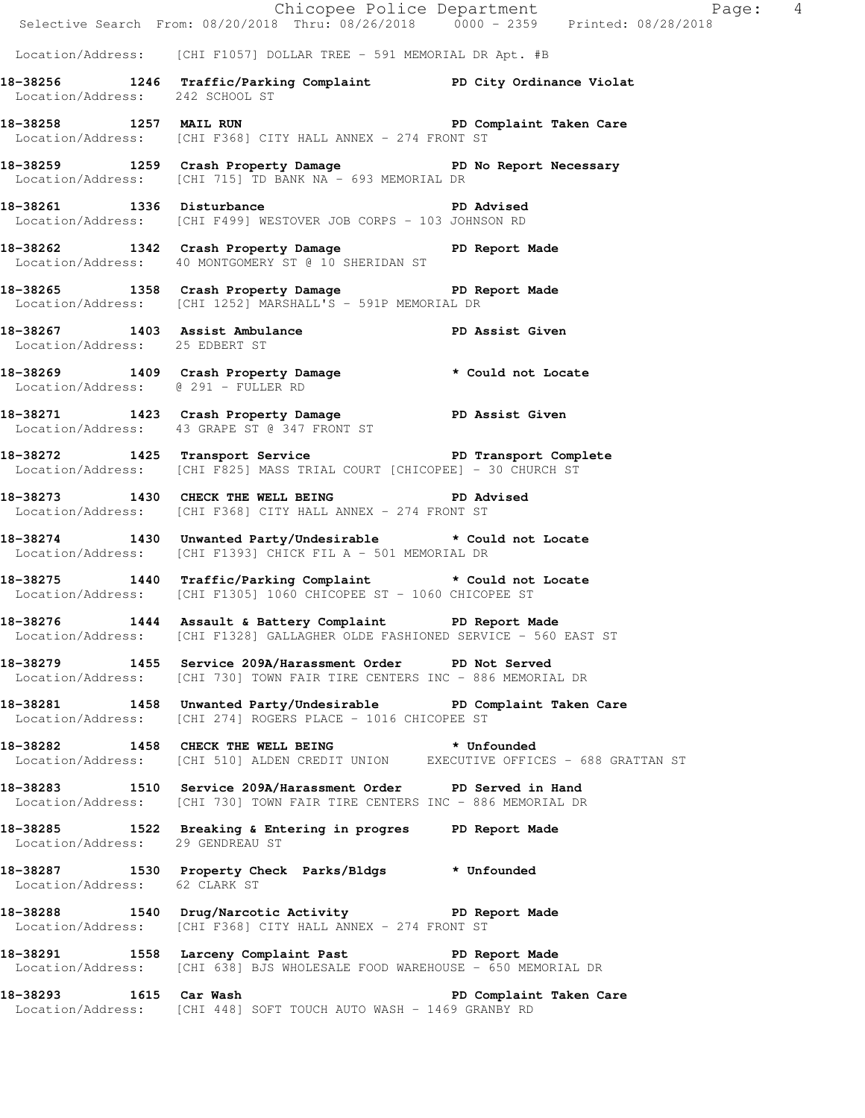|                                     |                                                                                                                                           | Page: 4<br>Selective Search From: 08/20/2018 Thru: 08/26/2018 0000 - 2359 Printed: 08/28/2018 |
|-------------------------------------|-------------------------------------------------------------------------------------------------------------------------------------------|-----------------------------------------------------------------------------------------------|
|                                     | Location/Address: [CHI F1057] DOLLAR TREE - 591 MEMORIAL DR Apt. #B                                                                       |                                                                                               |
| Location/Address: 242 SCHOOL ST     | 18-38256 1246 Traffic/Parking Complaint PD City Ordinance Violat                                                                          |                                                                                               |
|                                     | 18-38258 1257 MAIL RUN 2008 2010 PD Complaint Taken Care<br>Location/Address: [CHI F368] CITY HALL ANNEX - 274 FRONT ST                   |                                                                                               |
|                                     | 18-38259 1259 Crash Property Damage PD No Report Necessary<br>Location/Address: [CHI 715] TD BANK NA - 693 MEMORIAL DR                    |                                                                                               |
|                                     | 18-38261 1336 Disturbance Natural PD Advised<br>Location/Address: [CHI F499] WESTOVER JOB CORPS - 103 JOHNSON RD                          |                                                                                               |
|                                     | 18-38262 1342 Crash Property Damage PD Report Made<br>Location/Address: 40 MONTGOMERY ST @ 10 SHERIDAN ST                                 |                                                                                               |
|                                     | 18-38265 1358 Crash Property Damage PD Report Made Location/Address: [CHI 1252] MARSHALL'S - 591P MEMORIAL DR                             |                                                                                               |
| Location/Address: 25 EDBERT ST      | 18-38267 1403 Assist Ambulance No PD Assist Given                                                                                         |                                                                                               |
| Location/Address: @ 291 - FULLER RD | 18-38269 1409 Crash Property Damage * Could not Locate                                                                                    |                                                                                               |
|                                     | 18-38271 1423 Crash Property Damage PD Assist Given<br>Location/Address: 43 GRAPE ST @ 347 FRONT ST                                       |                                                                                               |
|                                     | 18-38272 1425 Transport Service New PD Transport Complete<br>Location/Address: [CHI F825] MASS TRIAL COURT [CHICOPEE] - 30 CHURCH ST      |                                                                                               |
|                                     | 18-38273 1430 CHECK THE WELL BEING PD Advised<br>Location/Address: [CHI F368] CITY HALL ANNEX - 274 FRONT ST                              |                                                                                               |
|                                     | 18-38274 1430 Unwanted Party/Undesirable * Could not Locate<br>Location/Address: [CHI F1393] CHICK FIL A - 501 MEMORIAL DR                |                                                                                               |
|                                     | 18-38275 1440 Traffic/Parking Complaint * Could not Locate<br>Location/Address: [CHI F1305] 1060 CHICOPEE ST - 1060 CHICOPEE ST           |                                                                                               |
|                                     | 18-38276 1444 Assault & Battery Complaint PD Report Made<br>Location/Address: [CHI F1328] GALLAGHER OLDE FASHIONED SERVICE - 560 EAST ST  |                                                                                               |
|                                     | 18-38279 1455 Service 209A/Harassment Order PD Not Served<br>Location/Address: [CHI 730] TOWN FAIR TIRE CENTERS INC - 886 MEMORIAL DR     |                                                                                               |
|                                     | 18-38281 1458 Unwanted Party/Undesirable PD Complaint Taken Care<br>Location/Address: [CHI 274] ROGERS PLACE - 1016 CHICOPEE ST           |                                                                                               |
|                                     | 18-38282 1458 CHECK THE WELL BEING * Unfounded<br>Location/Address: [CHI 510] ALDEN CREDIT UNION EXECUTIVE OFFICES - 688 GRATTAN ST       |                                                                                               |
|                                     | 18-38283 1510 Service 209A/Harassment Order PD Served in Hand<br>Location/Address: [CHI 730] TOWN FAIR TIRE CENTERS INC - 886 MEMORIAL DR |                                                                                               |
| Location/Address: 29 GENDREAU ST    | 18-38285 1522 Breaking & Entering in progres PD Report Made                                                                               |                                                                                               |
| Location/Address: 62 CLARK ST       | 18-38287 1530 Property Check Parks/Bldgs * Unfounded                                                                                      |                                                                                               |
|                                     | 18-38288 1540 Drug/Narcotic Activity 18-38288 18-90 PD Report Made<br>Location/Address: [CHI F368] CITY HALL ANNEX - 274 FRONT ST         |                                                                                               |
|                                     | 18-38291 1558 Larceny Complaint Past PD Report Made<br>Location/Address: [CHI 638] BJS WHOLESALE FOOD WAREHOUSE - 650 MEMORIAL DR         |                                                                                               |
|                                     | 18-38293 1615 Car Wash 18-38293 2001 1615 Care<br>Location/Address: [CHI 448] SOFT TOUCH AUTO WASH - 1469 GRANBY RD                       |                                                                                               |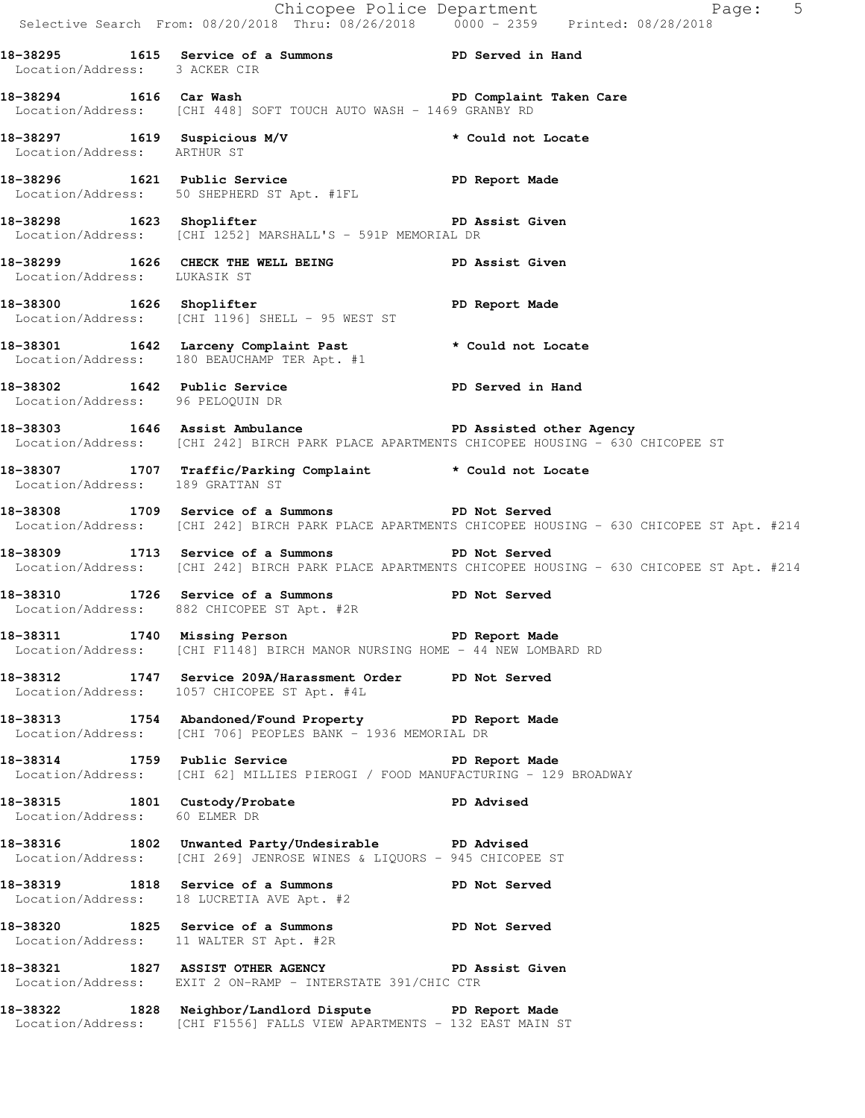|                                  |                                                                                                                                               | Chicopee Police Department<br>Selective Search From: 08/20/2018 Thru: 08/26/2018 0000 - 2359 Printed: 08/28/2018                                          |
|----------------------------------|-----------------------------------------------------------------------------------------------------------------------------------------------|-----------------------------------------------------------------------------------------------------------------------------------------------------------|
| Location/Address: 3 ACKER CIR    | 18-38295 1615 Service of a Summons TPD Served in Hand                                                                                         |                                                                                                                                                           |
|                                  | 18-38294 1616 Car Wash 18-20 20 PD Complaint Taken Care<br>Location/Address: [CHI 448] SOFT TOUCH AUTO WASH - 1469 GRANBY RD                  |                                                                                                                                                           |
| Location/Address: ARTHUR ST      | 18-38297 1619 Suspicious M/V 18-38297 1619 1619 1610                                                                                          |                                                                                                                                                           |
|                                  | 18-38296 1621 Public Service PD Report Made<br>Location/Address: 50 SHEPHERD ST Apt. #1FL                                                     |                                                                                                                                                           |
|                                  | 18-38298 1623 Shoplifter <b>18-38298</b> 1623 Shoplifter<br>Location/Address: [CHI 1252] MARSHALL'S - 591P MEMORIAL DR                        |                                                                                                                                                           |
| Location/Address: LUKASIK ST     | 18-38299 1626 CHECK THE WELL BEING PD Assist Given                                                                                            |                                                                                                                                                           |
|                                  | 18-38300 1626 Shoplifter <b>18-38300</b> 1626 Shoplifter<br>Location/Address: [CHI 1196] SHELL - 95 WEST ST                                   |                                                                                                                                                           |
|                                  | 18-38301 1642 Larceny Complaint Past * Could not Locate<br>Location/Address: 180 BEAUCHAMP TER Apt. #1                                        |                                                                                                                                                           |
|                                  | 18-38302 1642 Public Service New PD Served in Hand<br>Location/Address: 96 PELOQUIN DR                                                        |                                                                                                                                                           |
|                                  |                                                                                                                                               | 18-38303 1646 Assist Ambulance New PD Assisted other Agency<br>Location/Address: [CHI 242] BIRCH PARK PLACE APARTMENTS CHICOPEE HOUSING - 630 CHICOPEE ST |
| Location/Address: 189 GRATTAN ST | 18-38307 1707 Traffic/Parking Complaint * Could not Locate                                                                                    |                                                                                                                                                           |
|                                  | 18-38308 1709 Service of a Summons ND Not Served                                                                                              | Location/Address: [CHI 242] BIRCH PARK PLACE APARTMENTS CHICOPEE HOUSING - 630 CHICOPEE ST Apt. #214                                                      |
|                                  | 18-38309 1713 Service of a Summons TPD Not Served                                                                                             | Location/Address: [CHI 242] BIRCH PARK PLACE APARTMENTS CHICOPEE HOUSING - 630 CHICOPEE ST Apt. #214                                                      |
|                                  | 18-38310 1726 Service of a Summons PD Not Served<br>Location/Address: 882 CHICOPEE ST Apt. #2R                                                |                                                                                                                                                           |
|                                  | 18-38311 1740 Missing Person New PD Report Made<br>Location/Address: [CHI F1148] BIRCH MANOR NURSING HOME - 44 NEW LOMBARD RD                 |                                                                                                                                                           |
|                                  | 18-38312 1747 Service 209A/Harassment Order PD Not Served<br>Location/Address: 1057 CHICOPEE ST Apt. #4L                                      |                                                                                                                                                           |
|                                  | 18-38313 1754 Abandoned/Found Property TD Report Made<br>Location/Address: [CHI 706] PEOPLES BANK - 1936 MEMORIAL DR                          |                                                                                                                                                           |
|                                  | 18-38314 1759 Public Service <b>18-38814</b> PD Report Made<br>Location/Address: [CHI 62] MILLIES PIEROGI / FOOD MANUFACTURING - 129 BROADWAY |                                                                                                                                                           |
| Location/Address: 60 ELMER DR    | 18-38315 1801 Custody/Probate                                                                                                                 | PD Advised                                                                                                                                                |
|                                  | 18-38316 1802 Unwanted Party/Undesirable PD Advised<br>Location/Address: [CHI 269] JENROSE WINES & LIQUORS - 945 CHICOPEE ST                  |                                                                                                                                                           |
|                                  | 18-38319 1818 Service of a Summons<br>Location/Address: 18 LUCRETIA AVE Apt. #2                                                               | PD Not Served                                                                                                                                             |
|                                  | 18-38320 1825 Service of a Summons TPD Not Served<br>Location/Address: 11 WALTER ST Apt. #2R                                                  |                                                                                                                                                           |
|                                  | 18-38321 1827 ASSIST OTHER AGENCY <b>The PERICAL PERIC</b> Assist Given<br>Location/Address: EXIT 2 ON-RAMP - INTERSTATE 391/CHIC CTR         |                                                                                                                                                           |
|                                  | 18-38322 1828 Neighbor/Landlord Dispute PD Report Made<br>Location/Address: [CHI F1556] FALLS VIEW APARTMENTS - 132 EAST MAIN ST              |                                                                                                                                                           |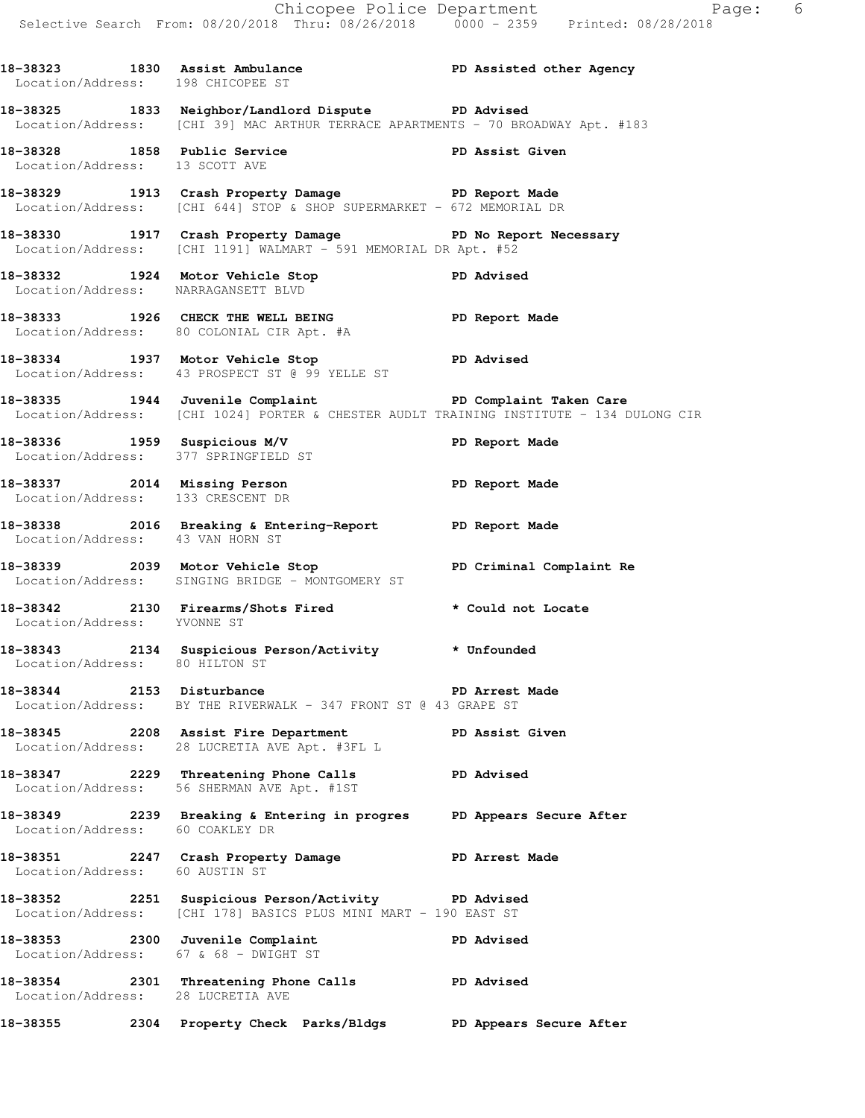Location/Address: 13 SCOTT AVE

**18-38329 1913 Crash Property Damage PD Report Made**  Location/Address: [CHI 644] STOP & SHOP SUPERMARKET - 672 MEMORIAL DR

**18-38330 1917 Crash Property Damage PD No Report Necessary**  Location/Address: [CHI 1191] WALMART - 591 MEMORIAL DR Apt. #52

**18-38332 1924 Motor Vehicle Stop PD Advised**  Location/Address: NARRAGANSETT BLVD

**18-38333 1926 CHECK THE WELL BEING PD Report Made**  Location/Address: 80 COLONIAL CIR Apt. #A

**18-38334 1937 Motor Vehicle Stop PD Advised**  Location/Address: 43 PROSPECT ST @ 99 YELLE ST

**18-38335 1944 Juvenile Complaint PD Complaint Taken Care**  Location/Address: [CHI 1024] PORTER & CHESTER AUDLT TRAINING INSTITUTE - 134 DULONG CIR

18-38336 1959 Suspicious M/V **PD Report Made** Location/Address: 377 SPRINGFIELD ST

**18-38337 2014 Missing Person PD Report Made**  Location/Address: 133 CRESCENT DR

**18-38338 2016 Breaking & Entering-Report PD Report Made**  Location/Address: 43 VAN HORN ST

**18-38339 2039 Motor Vehicle Stop PD Criminal Complaint Re**  Location/Address: SINGING BRIDGE - MONTGOMERY ST

**18-38342 2130 Firearms/Shots Fired \* Could not Locate**  Location/Address: YVONNE ST

**18-38343 2134 Suspicious Person/Activity \* Unfounded**  Location/Address: 80 HILTON ST

**18-38344 2153 Disturbance PD Arrest Made**  Location/Address: BY THE RIVERWALK - 347 FRONT ST @ 43 GRAPE ST

**18-38345 2208 Assist Fire Department PD Assist Given**  Location/Address: 28 LUCRETIA AVE Apt. #3FL L

**18-38347 2229 Threatening Phone Calls PD Advised**  Location/Address: 56 SHERMAN AVE Apt. #1ST

**18-38349 2239 Breaking & Entering in progres PD Appears Secure After**  Location/Address: 60 COAKLEY DR

**18-38351 2247 Crash Property Damage PD Arrest Made**  Location/Address: 60 AUSTIN ST

**18-38352 2251 Suspicious Person/Activity PD Advised**  Location/Address: [CHI 178] BASICS PLUS MINI MART - 190 EAST ST

**18-38353 2300 Juvenile Complaint PD Advised**  Location/Address: 67 & 68 - DWIGHT ST **18-38354 2301 Threatening Phone Calls PD Advised**  Location/Address: 28 LUCRETIA AVE **18-38355 2304 Property Check Parks/Bldgs PD Appears Secure After**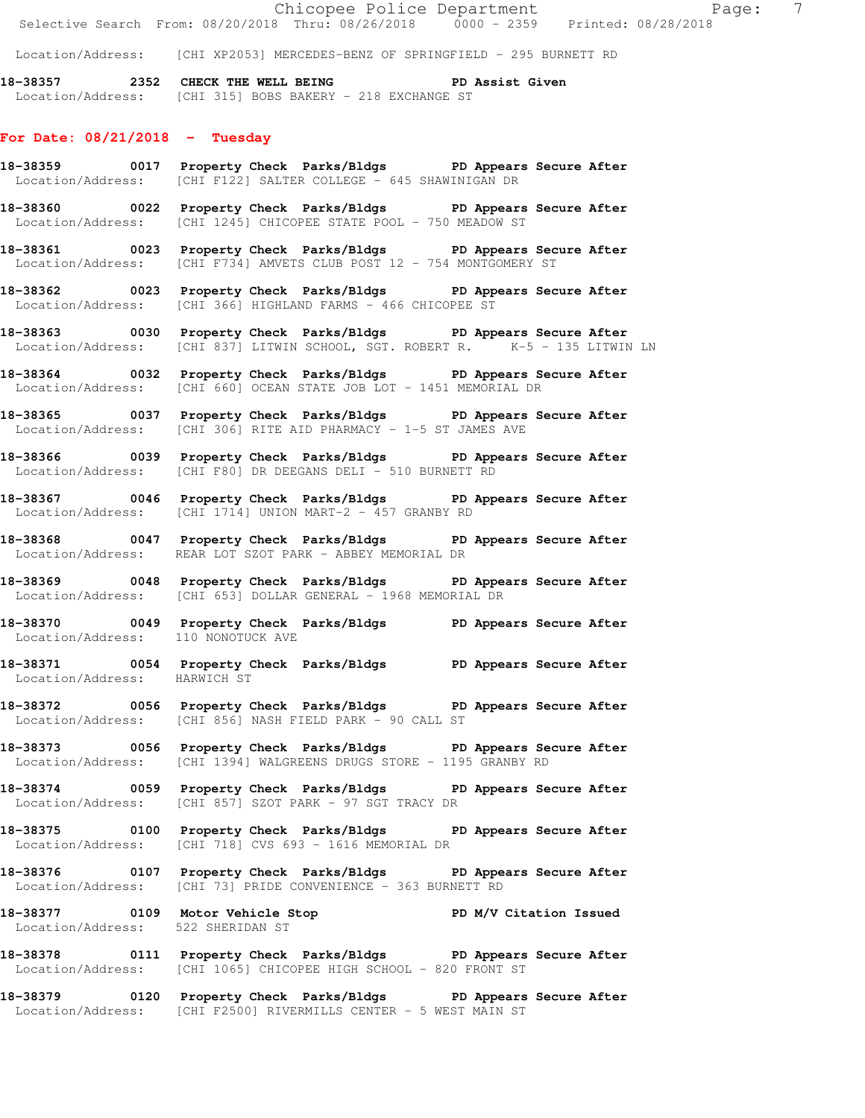Location/Address: [CHI XP2053] MERCEDES-BENZ OF SPRINGFIELD - 295 BURNETT RD

18-38357 2352 CHECK THE WELL BEING PD Assist Given Location/Address: [CHI 315] BOBS BAKERY - 218 EXCHANGE ST

## **For Date: 08/21/2018 - Tuesday**

- **18-38359 0017 Property Check Parks/Bldgs PD Appears Secure After**  Location/Address: [CHI F122] SALTER COLLEGE - 645 SHAWINIGAN DR
- **18-38360 0022 Property Check Parks/Bldgs PD Appears Secure After**  Location/Address: [CHI 1245] CHICOPEE STATE POOL - 750 MEADOW ST
- **18-38361 0023 Property Check Parks/Bldgs PD Appears Secure After**  Location/Address: [CHI F734] AMVETS CLUB POST 12 - 754 MONTGOMERY ST
- **18-38362 0023 Property Check Parks/Bldgs PD Appears Secure After**  Location/Address: [CHI 366] HIGHLAND FARMS - 466 CHICOPEE ST
- **18-38363 0030 Property Check Parks/Bldgs PD Appears Secure After**  Location/Address: [CHI 837] LITWIN SCHOOL, SGT. ROBERT R. K-5 - 135 LITWIN LN
- **18-38364 0032 Property Check Parks/Bldgs PD Appears Secure After**  Location/Address: [CHI 660] OCEAN STATE JOB LOT - 1451 MEMORIAL DR
- **18-38365 0037 Property Check Parks/Bldgs PD Appears Secure After**  Location/Address: [CHI 306] RITE AID PHARMACY - 1-5 ST JAMES AVE
- **18-38366 0039 Property Check Parks/Bldgs PD Appears Secure After**  Location/Address: [CHI F80] DR DEEGANS DELI - 510 BURNETT RD
- **18-38367 0046 Property Check Parks/Bldgs PD Appears Secure After**  Location/Address: [CHI 1714] UNION MART-2 - 457 GRANBY RD
- **18-38368 0047 Property Check Parks/Bldgs PD Appears Secure After**  Location/Address: REAR LOT SZOT PARK - ABBEY MEMORIAL DR
- **18-38369 0048 Property Check Parks/Bldgs PD Appears Secure After**  Location/Address: [CHI 653] DOLLAR GENERAL - 1968 MEMORIAL DR
- **18-38370 0049 Property Check Parks/Bldgs PD Appears Secure After**  Location/Address: 110 NONOTUCK AVE
- **18-38371 0054 Property Check Parks/Bldgs PD Appears Secure After**  Location/Address: HARWICH ST
- **18-38372 0056 Property Check Parks/Bldgs PD Appears Secure After**  Location/Address: [CHI 856] NASH FIELD PARK - 90 CALL ST
- **18-38373 0056 Property Check Parks/Bldgs PD Appears Secure After**  Location/Address: [CHI 1394] WALGREENS DRUGS STORE - 1195 GRANBY RD
- **18-38374 0059 Property Check Parks/Bldgs PD Appears Secure After**  Location/Address: [CHI 857] SZOT PARK - 97 SGT TRACY DR
- **18-38375 0100 Property Check Parks/Bldgs PD Appears Secure After**  Location/Address: [CHI 718] CVS 693 - 1616 MEMORIAL DR
- **18-38376 0107 Property Check Parks/Bldgs PD Appears Secure After**  Location/Address: [CHI 73] PRIDE CONVENIENCE - 363 BURNETT RD
- **18-38377 0109 Motor Vehicle Stop PD M/V Citation Issued**  Location/Address: 522 SHERIDAN ST
- **18-38378 0111 Property Check Parks/Bldgs PD Appears Secure After**  Location/Address: [CHI 1065] CHICOPEE HIGH SCHOOL - 820 FRONT ST
- **18-38379 0120 Property Check Parks/Bldgs PD Appears Secure After**  Location/Address: [CHI F2500] RIVERMILLS CENTER - 5 WEST MAIN ST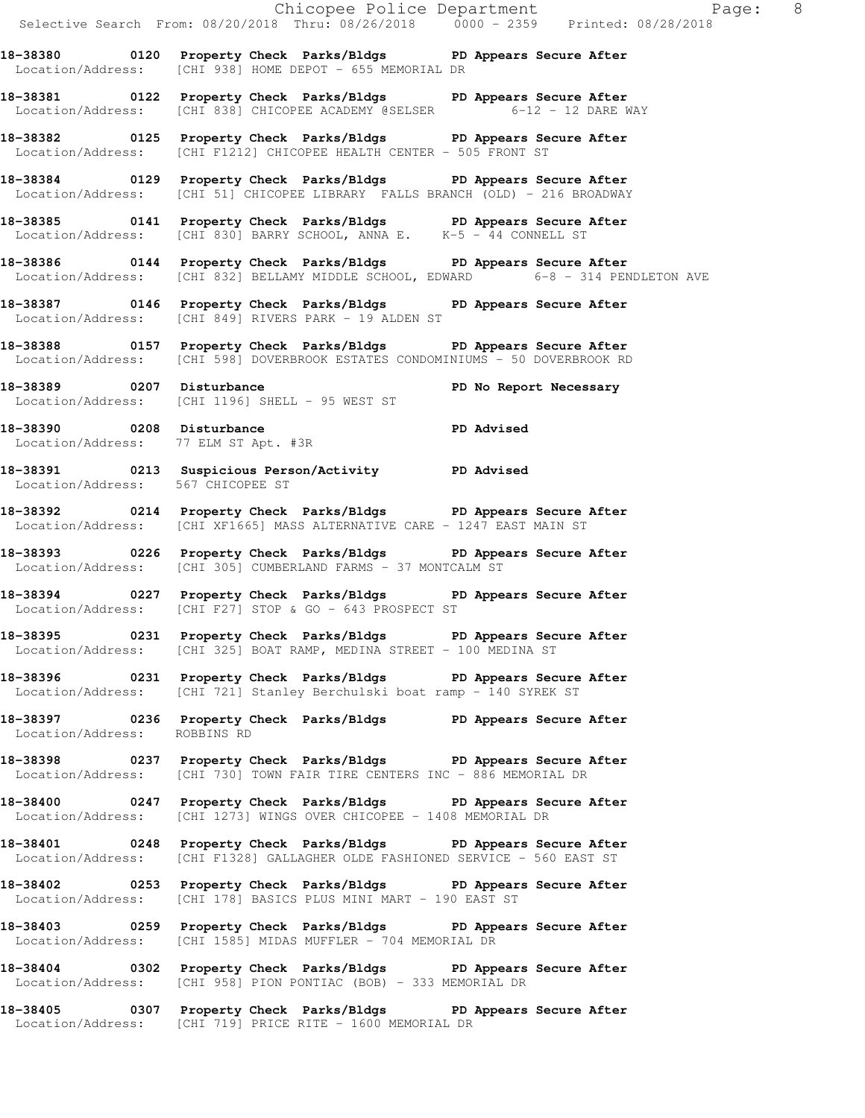Chicopee Police Department Fage: 8 Selective Search From: 08/20/2018 Thru: 08/26/2018 0000 - 2359 Printed: 08/28/2018 **18-38380 0120 Property Check Parks/Bldgs PD Appears Secure After**  Location/Address: [CHI 938] HOME DEPOT - 655 MEMORIAL DR **18-38381 0122 Property Check Parks/Bldgs PD Appears Secure After**  Location/Address: [CHI 838] CHICOPEE ACADEMY @SELSER 6-12 - 12 DARE WAY **18-38382 0125 Property Check Parks/Bldgs PD Appears Secure After**  Location/Address: [CHI F1212] CHICOPEE HEALTH CENTER - 505 FRONT ST **18-38384 0129 Property Check Parks/Bldgs PD Appears Secure After**  Location/Address: [CHI 51] CHICOPEE LIBRARY FALLS BRANCH (OLD) - 216 BROADWAY **18-38385 0141 Property Check Parks/Bldgs PD Appears Secure After**  Location/Address: [CHI 830] BARRY SCHOOL, ANNA E. K-5 - 44 CONNELL ST **18-38386 0144 Property Check Parks/Bldgs PD Appears Secure After**  Location/Address: [CHI 832] BELLAMY MIDDLE SCHOOL, EDWARD 6-8 - 314 PENDLETON AVE **18-38387 0146 Property Check Parks/Bldgs PD Appears Secure After**  Location/Address: [CHI 849] RIVERS PARK - 19 ALDEN ST **18-38388 0157 Property Check Parks/Bldgs PD Appears Secure After**  Location/Address: [CHI 598] DOVERBROOK ESTATES CONDOMINIUMS - 50 DOVERBROOK RD **18-38389 0207 Disturbance PD No Report Necessary**  Location/Address: [CHI 1196] SHELL - 95 WEST ST **18-38390 0208 Disturbance PD Advised**  Location/Address: 77 ELM ST Apt. #3R **18-38391 0213 Suspicious Person/Activity PD Advised**  Location/Address: 567 CHICOPEE ST **18-38392 0214 Property Check Parks/Bldgs PD Appears Secure After**  Location/Address: [CHI XF1665] MASS ALTERNATIVE CARE - 1247 EAST MAIN ST **18-38393 0226 Property Check Parks/Bldgs PD Appears Secure After**  Location/Address: [CHI 305] CUMBERLAND FARMS - 37 MONTCALM ST **18-38394 0227 Property Check Parks/Bldgs PD Appears Secure After**  Location/Address: [CHI F27] STOP & GO - 643 PROSPECT ST **18-38395 0231 Property Check Parks/Bldgs PD Appears Secure After**  Location/Address: [CHI 325] BOAT RAMP, MEDINA STREET - 100 MEDINA ST **18-38396 0231 Property Check Parks/Bldgs PD Appears Secure After**  Location/Address: [CHI 721] Stanley Berchulski boat ramp - 140 SYREK ST **18-38397 0236 Property Check Parks/Bldgs PD Appears Secure After**  Location/Address: ROBBINS RD **18-38398 0237 Property Check Parks/Bldgs PD Appears Secure After**  Location/Address: [CHI 730] TOWN FAIR TIRE CENTERS INC - 886 MEMORIAL DR **18-38400 0247 Property Check Parks/Bldgs PD Appears Secure After**  Location/Address: [CHI 1273] WINGS OVER CHICOPEE - 1408 MEMORIAL DR **18-38401 0248 Property Check Parks/Bldgs PD Appears Secure After**  Location/Address: [CHI F1328] GALLAGHER OLDE FASHIONED SERVICE - 560 EAST ST **18-38402 0253 Property Check Parks/Bldgs PD Appears Secure After**  Location/Address: [CHI 178] BASICS PLUS MINI MART - 190 EAST ST **18-38403 0259 Property Check Parks/Bldgs PD Appears Secure After**  Location/Address: [CHI 1585] MIDAS MUFFLER - 704 MEMORIAL DR **18-38404 0302 Property Check Parks/Bldgs PD Appears Secure After**  Location/Address: [CHI 958] PION PONTIAC (BOB) - 333 MEMORIAL DR **18-38405 0307 Property Check Parks/Bldgs PD Appears Secure After** 

Location/Address: [CHI 719] PRICE RITE - 1600 MEMORIAL DR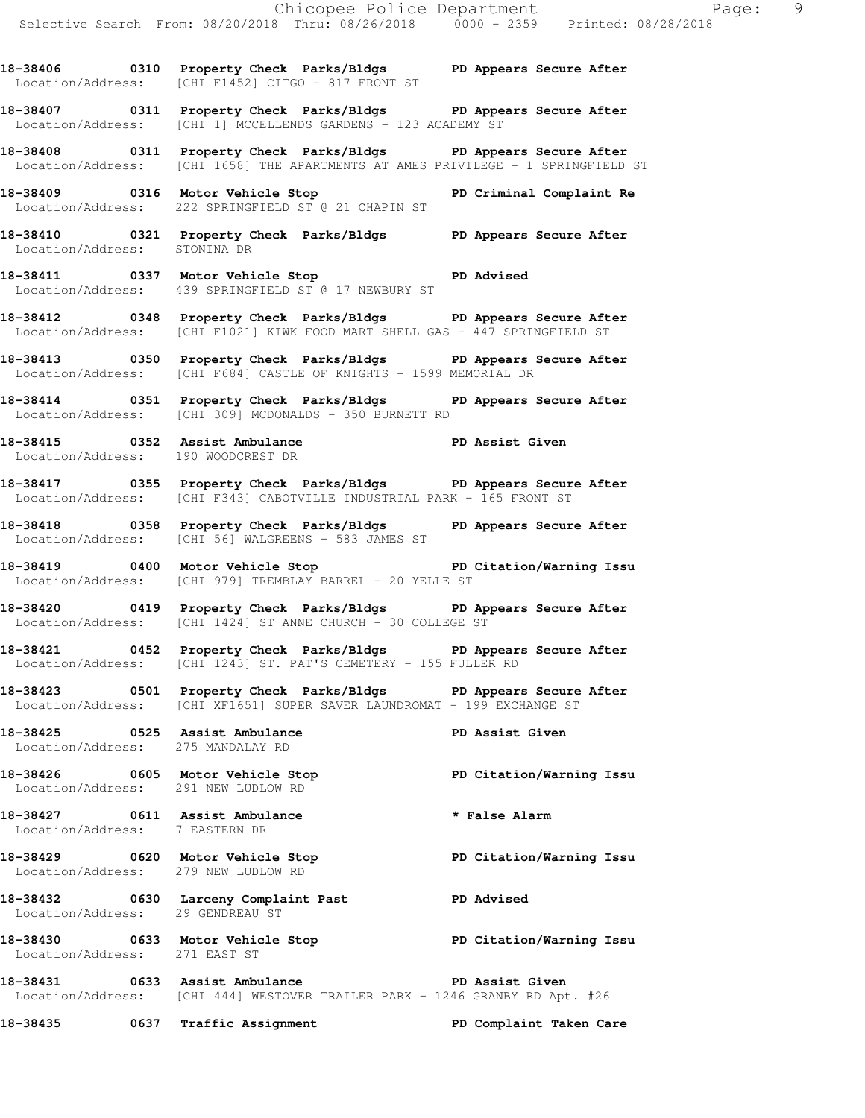Location/Address: [CHI F1452] CITGO - 817 FRONT ST

- **18-38407 0311 Property Check Parks/Bldgs PD Appears Secure After**  Location/Address: [CHI 1] MCCELLENDS GARDENS - 123 ACADEMY ST
- **18-38408 0311 Property Check Parks/Bldgs PD Appears Secure After**  Location/Address: [CHI 1658] THE APARTMENTS AT AMES PRIVILEGE - 1 SPRINGFIELD ST
- **18-38409 0316 Motor Vehicle Stop PD Criminal Complaint Re**  Location/Address: 222 SPRINGFIELD ST @ 21 CHAPIN ST
- **18-38410 0321 Property Check Parks/Bldgs PD Appears Secure After**  Location/Address: STONINA DR
- **18-38411 0337 Motor Vehicle Stop PD Advised**  Location/Address: 439 SPRINGFIELD ST @ 17 NEWBURY ST
- **18-38412 0348 Property Check Parks/Bldgs PD Appears Secure After**  Location/Address: [CHI F1021] KIWK FOOD MART SHELL GAS - 447 SPRINGFIELD ST
- **18-38413 0350 Property Check Parks/Bldgs PD Appears Secure After**  Location/Address: [CHI F684] CASTLE OF KNIGHTS - 1599 MEMORIAL DR
- **18-38414 0351 Property Check Parks/Bldgs PD Appears Secure After**  Location/Address: [CHI 309] MCDONALDS - 350 BURNETT RD
- **18-38415 0352 Assist Ambulance PD Assist Given**  Location/Address: 190 WOODCREST DR
- **18-38417 0355 Property Check Parks/Bldgs PD Appears Secure After**  Location/Address: [CHI F343] CABOTVILLE INDUSTRIAL PARK - 165 FRONT ST
- **18-38418 0358 Property Check Parks/Bldgs PD Appears Secure After**  Location/Address: [CHI 56] WALGREENS - 583 JAMES ST
- **18-38419 0400 Motor Vehicle Stop PD Citation/Warning Issu**  Location/Address: [CHI 979] TREMBLAY BARREL - 20 YELLE ST
- **18-38420 0419 Property Check Parks/Bldgs PD Appears Secure After**  Location/Address: [CHI 1424] ST ANNE CHURCH - 30 COLLEGE ST
- **18-38421 0452 Property Check Parks/Bldgs PD Appears Secure After**  Location/Address: [CHI 1243] ST. PAT'S CEMETERY - 155 FULLER RD
- **18-38423 0501 Property Check Parks/Bldgs PD Appears Secure After**  Location/Address: [CHI XF1651] SUPER SAVER LAUNDROMAT - 199 EXCHANGE ST
- **18-38425 0525 Assist Ambulance PD Assist Given**  Location/Address: 275 MANDALAY RD

Location/Address: 29 GENDREAU ST

- **18-38426 0605 Motor Vehicle Stop PD Citation/Warning Issu**  Location/Address: 291 NEW LUDLOW RD
- **18-38427 0611 Assist Ambulance \* False Alarm**  Location/Address: 7 EASTERN DR
- **18-38429 0620 Motor Vehicle Stop PD Citation/Warning Issu**  Location/Address: 279 NEW LUDLOW RD **18-38432 0630 Larceny Complaint Past PD Advised**
- **18-38430 0633 Motor Vehicle Stop PD Citation/Warning Issu**  Location/Address: 271 EAST ST
- **18-38431 0633 Assist Ambulance PD Assist Given**  Location/Address: [CHI 444] WESTOVER TRAILER PARK - 1246 GRANBY RD Apt. #26
- **18-38435 0637 Traffic Assignment PD Complaint Taken Care**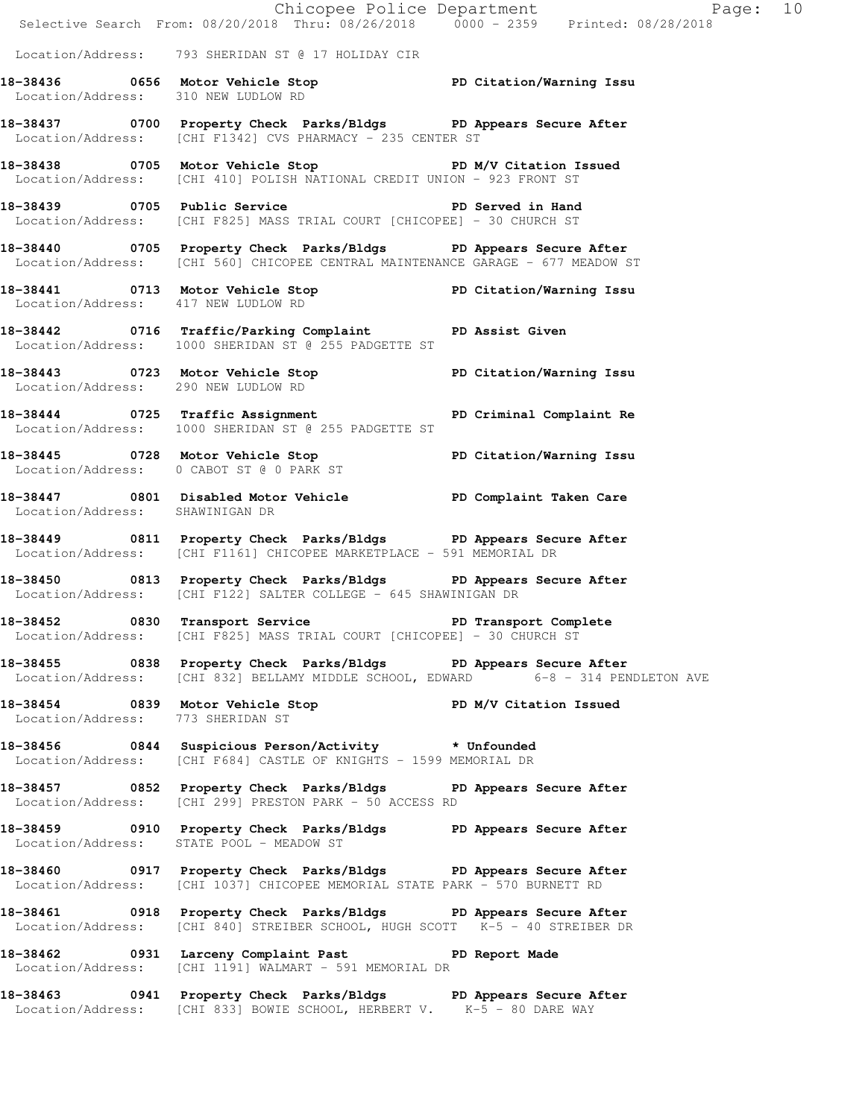|                                     |                                                                                                                                                       | Chicopee Police Department<br>Selective Search From: 08/20/2018 Thru: 08/26/2018 0000 - 2359 Printed: 08/28/2018 |  |
|-------------------------------------|-------------------------------------------------------------------------------------------------------------------------------------------------------|------------------------------------------------------------------------------------------------------------------|--|
|                                     | Location/Address: 793 SHERIDAN ST @ 17 HOLIDAY CIR                                                                                                    |                                                                                                                  |  |
|                                     | 18-38436   0656   Motor Vehicle Stop   PD Citation/Warning Issu<br>Location/Address: 310   NEW LUDLOW RD                                              |                                                                                                                  |  |
|                                     | 18-38437 0700 Property Check Parks/Bldgs PD Appears Secure After<br>Location/Address: [CHI F1342] CVS PHARMACY - 235 CENTER ST                        |                                                                                                                  |  |
|                                     | 18-38438 0705 Motor Vehicle Stop N/V Citation Issued<br>Location/Address: [CHI 410] POLISH NATIONAL CREDIT UNION - 923 FRONT ST                       |                                                                                                                  |  |
|                                     | 18-38439 0705 Public Service National PD Served in Hand<br>Location/Address: [CHI F825] MASS TRIAL COURT [CHICOPEE] - 30 CHURCH ST                    |                                                                                                                  |  |
|                                     | 18-38440 0705 Property Check Parks/Bldgs PD Appears Secure After<br>Location/Address: [CHI 560] CHICOPEE CENTRAL MAINTENANCE GARAGE - 677 MEADOW ST   |                                                                                                                  |  |
| Location/Address: 417 NEW LUDLOW RD | 18-38441 0713 Motor Vehicle Stop PD Citation/Warning Issu                                                                                             |                                                                                                                  |  |
|                                     | 18-38442 0716 Traffic/Parking Complaint PD Assist Given<br>Location/Address: 1000 SHERIDAN ST @ 255 PADGETTE ST                                       |                                                                                                                  |  |
| Location/Address: 290 NEW LUDLOW RD | 18-38443 0723 Motor Vehicle Stop PD Citation/Warning Issu                                                                                             |                                                                                                                  |  |
|                                     | 18-38444 0725 Traffic Assignment PD Criminal Complaint Re<br>Location/Address: 1000 SHERIDAN ST @ 255 PADGETTE ST                                     |                                                                                                                  |  |
|                                     | 18-38445 0728 Motor Vehicle Stop PD Citation/Warning Issu<br>Location/Address: 0 CABOT ST @ 0 PARK ST                                                 |                                                                                                                  |  |
| Location/Address: SHAWINIGAN DR     | 18-38447 0801 Disabled Motor Vehicle PD Complaint Taken Care                                                                                          |                                                                                                                  |  |
|                                     | 18-38449 0811 Property Check Parks/Bldgs PD Appears Secure After<br>Location/Address: [CHI F1161] CHICOPEE MARKETPLACE - 591 MEMORIAL DR              |                                                                                                                  |  |
|                                     | 18-38450 0813 Property Check Parks/Bldgs PD Appears Secure After<br>Location/Address: [CHI F122] SALTER COLLEGE - 645 SHAWINIGAN DR                   |                                                                                                                  |  |
|                                     | 18-38452 0830 Transport Service The PD Transport Complete<br>Location/Address: [CHI F825] MASS TRIAL COURT [CHICOPEE] - 30 CHURCH ST                  |                                                                                                                  |  |
|                                     | 18-38455 0838 Property Check Parks/Bldgs PD Appears Secure After<br>Location/Address: [CHI 832] BELLAMY MIDDLE SCHOOL, EDWARD 6-8 - 314 PENDLETON AVE |                                                                                                                  |  |
| Location/Address: 773 SHERIDAN ST   | 18-38454 0839 Motor Vehicle Stop North PD M/V Citation Issued                                                                                         |                                                                                                                  |  |
|                                     | 18-38456 0844 Suspicious Person/Activity * Unfounded<br>Location/Address: [CHI F684] CASTLE OF KNIGHTS - 1599 MEMORIAL DR                             |                                                                                                                  |  |
|                                     | 18-38457 0852 Property Check Parks/Bldgs PD Appears Secure After<br>Location/Address: [CHI 299] PRESTON PARK - 50 ACCESS RD                           |                                                                                                                  |  |
|                                     | 18-38459 0910 Property Check Parks/Bldgs PD Appears Secure After<br>Location/Address: STATE POOL - MEADOW ST                                          |                                                                                                                  |  |
|                                     | 18-38460 0917 Property Check Parks/Bldgs PD Appears Secure After<br>  Location/Address: [CHI 1037] CHICOPEE MEMORIAL STATE PARK - 570 BURNETT RD      |                                                                                                                  |  |
|                                     | 18-38461 0918 Property Check Parks/Bldgs PD Appears Secure After<br>  Location/Address: [CHI 840] STREIBER SCHOOL, HUGH SCOTT K-5 - 40 STREIBER DR    |                                                                                                                  |  |
|                                     | 18-38462 0931 Larceny Complaint Past PD Report Made<br>Location/Address: [CHI 1191] WALMART - 591 MEMORIAL DR                                         |                                                                                                                  |  |
|                                     | 18-38463 0941 Property Check Parks/Bldgs PD Appears Secure After<br>Location/Address: [CHI 833] BOWIE SCHOOL, HERBERT V. K-5 - 80 DARE WAY            |                                                                                                                  |  |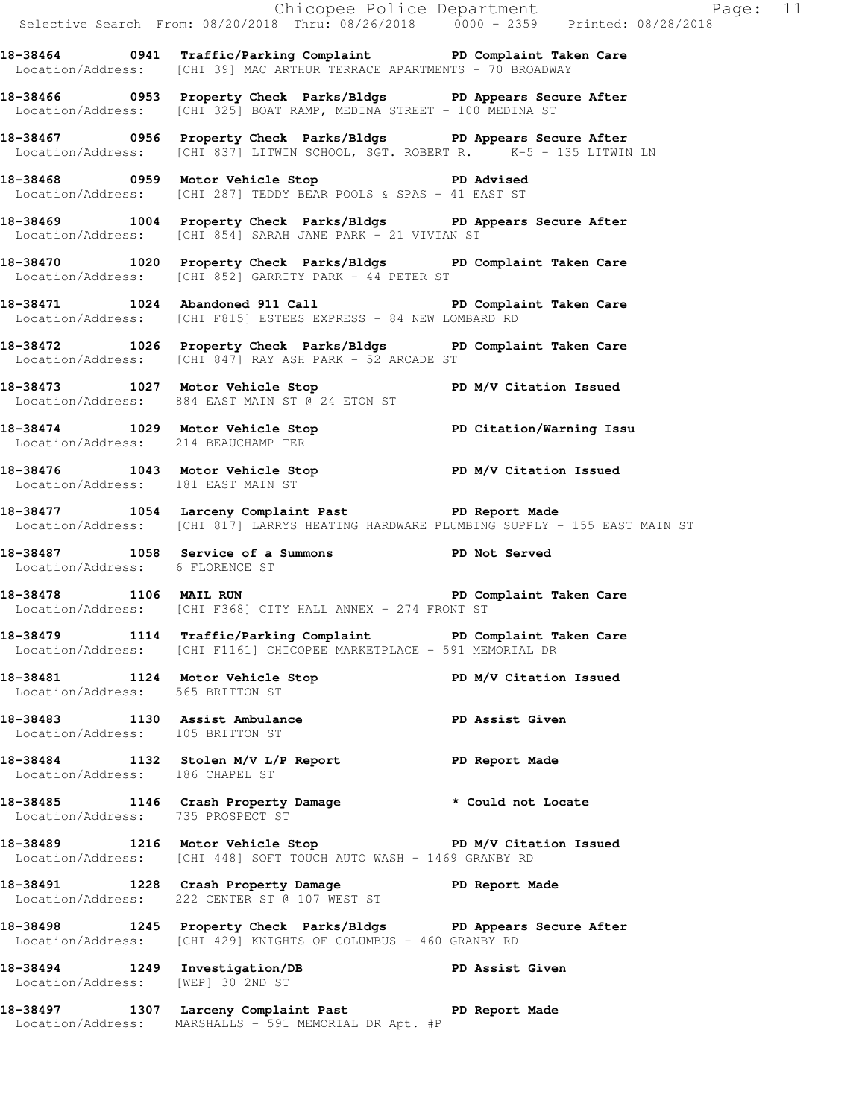Chicopee Police Department Fage: 11 Selective Search From: 08/20/2018 Thru: 08/26/2018 0000 - 2359 Printed: 08/28/2018 **18-38464 0941 Traffic/Parking Complaint PD Complaint Taken Care**  Location/Address: [CHI 39] MAC ARTHUR TERRACE APARTMENTS - 70 BROADWAY **18-38466 0953 Property Check Parks/Bldgs PD Appears Secure After**  Location/Address: [CHI 325] BOAT RAMP, MEDINA STREET - 100 MEDINA ST **18-38467 0956 Property Check Parks/Bldgs PD Appears Secure After**  Location/Address: [CHI 837] LITWIN SCHOOL, SGT. ROBERT R. K-5 - 135 LITWIN LN **18-38468 0959 Motor Vehicle Stop PD Advised**  Location/Address: [CHI 287] TEDDY BEAR POOLS & SPAS - 41 EAST ST **18-38469 1004 Property Check Parks/Bldgs PD Appears Secure After**  Location/Address: [CHI 854] SARAH JANE PARK - 21 VIVIAN ST **18-38470 1020 Property Check Parks/Bldgs PD Complaint Taken Care**  Location/Address: [CHI 852] GARRITY PARK - 44 PETER ST **18-38471 1024 Abandoned 911 Call PD Complaint Taken Care**  Location/Address: [CHI F815] ESTEES EXPRESS - 84 NEW LOMBARD RD **18-38472 1026 Property Check Parks/Bldgs PD Complaint Taken Care**  Location/Address: [CHI 847] RAY ASH PARK - 52 ARCADE ST **18-38473 1027 Motor Vehicle Stop PD M/V Citation Issued**  Location/Address: 884 EAST MAIN ST @ 24 ETON ST **18-38474 1029 Motor Vehicle Stop PD Citation/Warning Issu**  Location/Address: 214 BEAUCHAMP TER **18-38476 1043 Motor Vehicle Stop PD M/V Citation Issued**  Location/Address: 181 EAST MAIN ST **18-38477 1054 Larceny Complaint Past PD Report Made**  Location/Address: [CHI 817] LARRYS HEATING HARDWARE PLUMBING SUPPLY - 155 EAST MAIN ST **18-38487 1058 Service of a Summons PD Not Served**  Location/Address: 6 FLORENCE ST **18-38478 1106 MAIL RUN PD Complaint Taken Care**  Location/Address: [CHI F368] CITY HALL ANNEX - 274 FRONT ST **18-38479 1114 Traffic/Parking Complaint PD Complaint Taken Care**  Location/Address: [CHI F1161] CHICOPEE MARKETPLACE - 591 MEMORIAL DR **18-38481 1124 Motor Vehicle Stop PD M/V Citation Issued**  Location/Address: 565 BRITTON ST **18-38483 1130 Assist Ambulance PD Assist Given**  Location/Address: 105 BRITTON ST **18-38484 1132 Stolen M/V L/P Report PD Report Made**  Location/Address: 186 CHAPEL ST **18-38485 1146 Crash Property Damage \* Could not Locate**  Location/Address: 735 PROSPECT ST 18-38489 1216 Motor Vehicle Stop **PD M/V Citation Issued**  Location/Address: [CHI 448] SOFT TOUCH AUTO WASH - 1469 GRANBY RD **18-38491 1228 Crash Property Damage PD Report Made**  Location/Address: 222 CENTER ST @ 107 WEST ST **18-38498 1245 Property Check Parks/Bldgs PD Appears Secure After**  Location/Address: [CHI 429] KNIGHTS OF COLUMBUS - 460 GRANBY RD **18-38494 1249 Investigation/DB PD Assist Given**  Location/Address: [WEP] 30 2ND ST **18-38497 1307 Larceny Complaint Past PD Report Made**  Location/Address: MARSHALLS - 591 MEMORIAL DR Apt. #P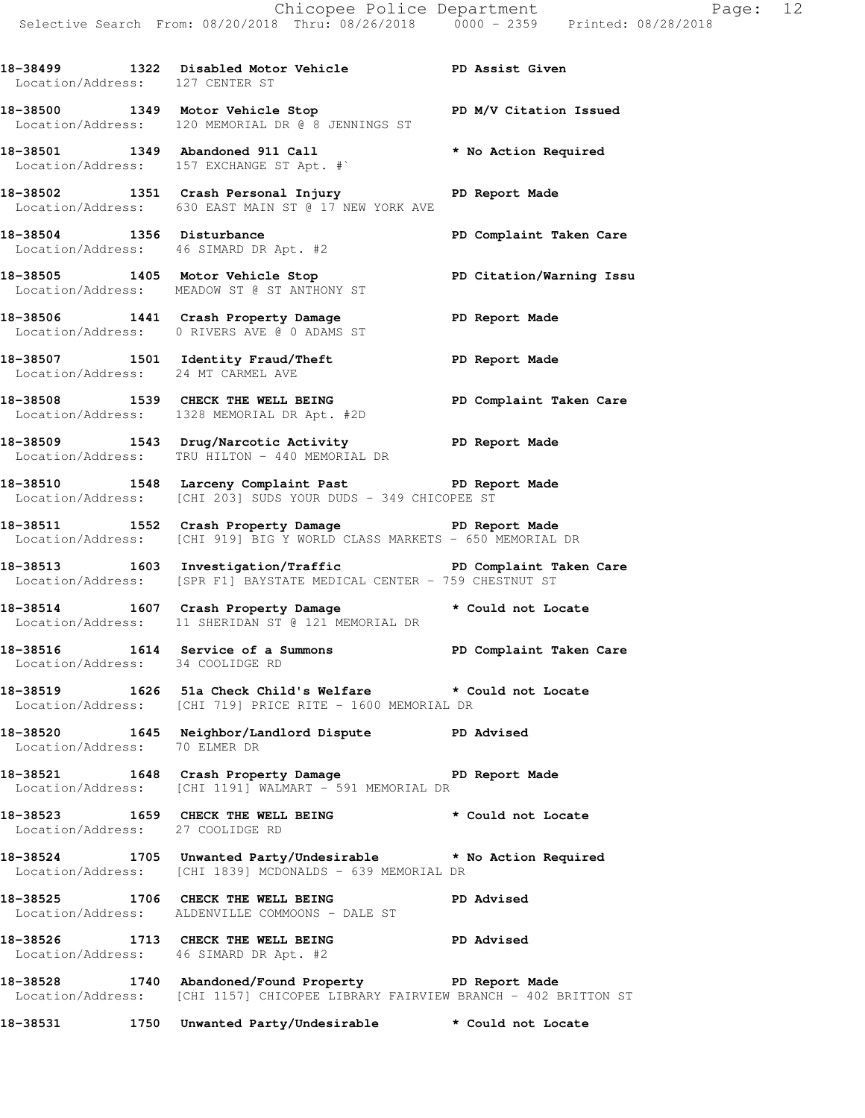**18-38499 1322 Disabled Motor Vehicle PD Assist Given**  Location/Address: 127 CENTER ST

**18-38500 1349 Motor Vehicle Stop PD M/V Citation Issued**  Location/Address: 120 MEMORIAL DR @ 8 JENNINGS ST

**18-38501 1349 Abandoned 911 Call \* No Action Required**  Location/Address: 157 EXCHANGE ST Apt. #`

**18-38502 1351 Crash Personal Injury PD Report Made**  Location/Address: 630 EAST MAIN ST @ 17 NEW YORK AVE

18-38504 1356 Disturbance **18-38504** PD Complaint Taken Care Location/Address: 46 SIMARD DR Apt. #2

**18-38505 1405 Motor Vehicle Stop PD Citation/Warning Issu**  Location/Address: MEADOW ST @ ST ANTHONY ST

**18-38506 1441 Crash Property Damage PD Report Made**  Location/Address: 0 RIVERS AVE @ 0 ADAMS ST

**18-38507 1501 Identity Fraud/Theft PD Report Made**  Location/Address: 24 MT CARMEL AVE

**18-38508 1539 CHECK THE WELL BEING PD Complaint Taken Care**  Location/Address: 1328 MEMORIAL DR Apt. #2D

**18-38509 1543 Drug/Narcotic Activity PD Report Made**  Location/Address: TRU HILTON - 440 MEMORIAL DR

**18-38510 1548 Larceny Complaint Past PD Report Made**  Location/Address: [CHI 203] SUDS YOUR DUDS - 349 CHICOPEE ST

**18-38511 1552 Crash Property Damage PD Report Made**  Location/Address: [CHI 919] BIG Y WORLD CLASS MARKETS - 650 MEMORIAL DR

**18-38513 1603 Investigation/Traffic PD Complaint Taken Care**  Location/Address: [SPR F1] BAYSTATE MEDICAL CENTER - 759 CHESTNUT ST

**18-38514 1607 Crash Property Damage \* Could not Locate**  Location/Address: 11 SHERIDAN ST @ 121 MEMORIAL DR

**18-38516 1614 Service of a Summons PD Complaint Taken Care**  Location/Address: 34 COOLIDGE RD

**18-38519 1626 51a Check Child's Welfare \* Could not Locate**  Location/Address: [CHI 719] PRICE RITE - 1600 MEMORIAL DR

**18-38520 1645 Neighbor/Landlord Dispute PD Advised**  Location/Address: 70 ELMER DR

**18-38521 1648 Crash Property Damage PD Report Made**  Location/Address: [CHI 1191] WALMART - 591 MEMORIAL DR

18-38523 1659 CHECK THE WELL BEING **\*** Could not Locate Location/Address: 27 COOLIDGE RD

**18-38524 1705 Unwanted Party/Undesirable \* No Action Required**  Location/Address: [CHI 1839] MCDONALDS - 639 MEMORIAL DR

**18-38525 1706 CHECK THE WELL BEING PD Advised**  Location/Address: ALDENVILLE COMMOONS - DALE ST

**18-38526 1713 CHECK THE WELL BEING PD Advised**  Location/Address: 46 SIMARD DR Apt. #2

**18-38528 1740 Abandoned/Found Property PD Report Made**  Location/Address: [CHI 1157] CHICOPEE LIBRARY FAIRVIEW BRANCH - 402 BRITTON ST

**18-38531 1750 Unwanted Party/Undesirable \* Could not Locate**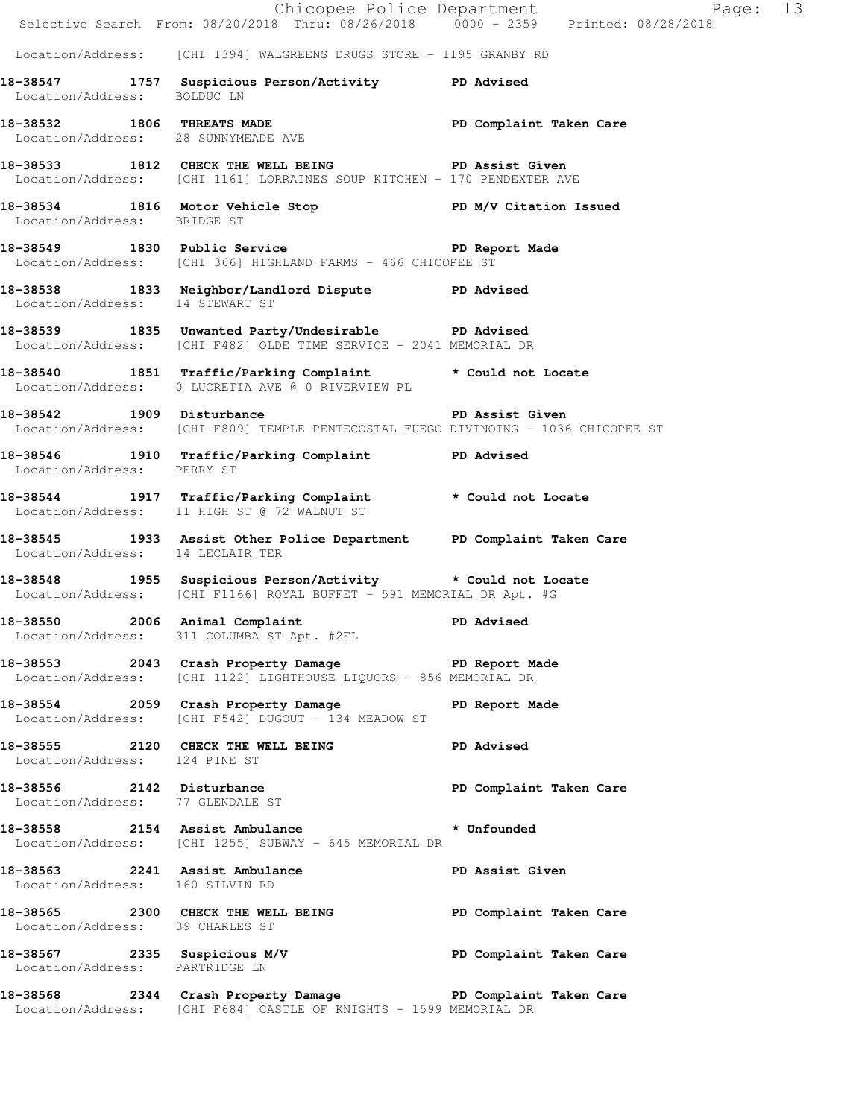|                                     |                                                                                                                                           | Page: 13                |
|-------------------------------------|-------------------------------------------------------------------------------------------------------------------------------------------|-------------------------|
|                                     | Chicopee Police Department<br>Selective Search From: 08/20/2018 Thru: 08/26/2018 0000 - 2359 Printed: 08/28/2018                          |                         |
|                                     | Location/Address: [CHI 1394] WALGREENS DRUGS STORE - 1195 GRANBY RD                                                                       |                         |
| Location/Address: BOLDUC LN         | 18-38547 1757 Suspicious Person/Activity PD Advised                                                                                       |                         |
| Location/Address: 28 SUNNYMEADE AVE | 18-38532 1806 THREATS MADE 18 PD Complaint Taken Care                                                                                     |                         |
|                                     | 18-38533 1812 CHECK THE WELL BEING PD Assist Given<br>Location/Address: [CHI 1161] LORRAINES SOUP KITCHEN - 170 PENDEXTER AVE             |                         |
| Location/Address: BRIDGE ST         | 18-38534 1816 Motor Vehicle Stop N/V Citation Issued                                                                                      |                         |
|                                     | 18-38549 1830 Public Service New York PD Report Made<br>Location/Address: [CHI 366] HIGHLAND FARMS - 466 CHICOPEE ST                      |                         |
|                                     | 18-38538 1833 Neighbor/Landlord Dispute PD Advised<br>Location/Address: 14 STEWART ST                                                     |                         |
|                                     | 18-38539 1835 Unwanted Party/Undesirable PD Advised<br>Location/Address: [CHI F482] OLDE TIME SERVICE - 2041 MEMORIAL DR                  |                         |
|                                     | 18-38540 1851 Traffic/Parking Complaint * Could not Locate<br>Location/Address: 0 LUCRETIA AVE @ 0 RIVERVIEW PL                           |                         |
|                                     | -<br>18-38542 1909 Disturbance 1909 PD Assist Given<br>Location/Address: [CHI F809] TEMPLE PENTECOSTAL FUEGO DIVINOING - 1036 CHICOPEE ST |                         |
| Location/Address: PERRY ST          | 18-38546 1910 Traffic/Parking Complaint PD Advised                                                                                        |                         |
|                                     | 18-38544 1917 Traffic/Parking Complaint * Could not Locate<br>Location/Address: 11 HIGH ST @ 72 WALNUT ST                                 |                         |
| Location/Address: 14 LECLAIR TER    | 18-38545 1933 Assist Other Police Department PD Complaint Taken Care                                                                      |                         |
|                                     | 18-38548 1955 Suspicious Person/Activity * Could not Locate<br>Location/Address: [CHI F1166] ROYAL BUFFET - 591 MEMORIAL DR Apt. #G       |                         |
| 18-38550 2006 Animal Complaint      | Location/Address: 311 COLUMBA ST Apt. #2FL                                                                                                | PD Advised              |
|                                     | 18-38553 2043 Crash Property Damage PD Report Made<br>Location/Address: [CHI 1122] LIGHTHOUSE LIQUORS - 856 MEMORIAL DR                   |                         |
|                                     | 18-38554 2059 Crash Property Damage PD Report Made Location/Address: [CHI F542] DUGOUT - 134 MEADOW ST                                    |                         |
| Location/Address: 124 PINE ST       | 18-38555 2120 CHECK THE WELL BEING PD Advised                                                                                             |                         |
|                                     | 18-38556 2142 Disturbance<br>Location/Address: 77 GLENDALE ST                                                                             | PD Complaint Taken Care |
|                                     | 18-38558 2154 Assist Ambulance * Unfounded<br>Location/Address: [CHI 1255] SUBWAY - 645 MEMORIAL DR                                       |                         |
| Location/Address: 160 SILVIN RD     | 18-38563 2241 Assist Ambulance New PD Assist Given                                                                                        |                         |
| Location/Address: 39 CHARLES ST     | 18-38565 2300 CHECK THE WELL BEING FOR PD Complaint Taken Care                                                                            |                         |
| Location/Address: PARTRIDGE LN      | 18-38567 2335 Suspicious M/V PD Complaint Taken Care                                                                                      |                         |
|                                     | 18-38568 2344 Crash Property Damage Name PD Complaint Taken Care<br>Location/Address: [CHI F684] CASTLE OF KNIGHTS - 1599 MEMORIAL DR     |                         |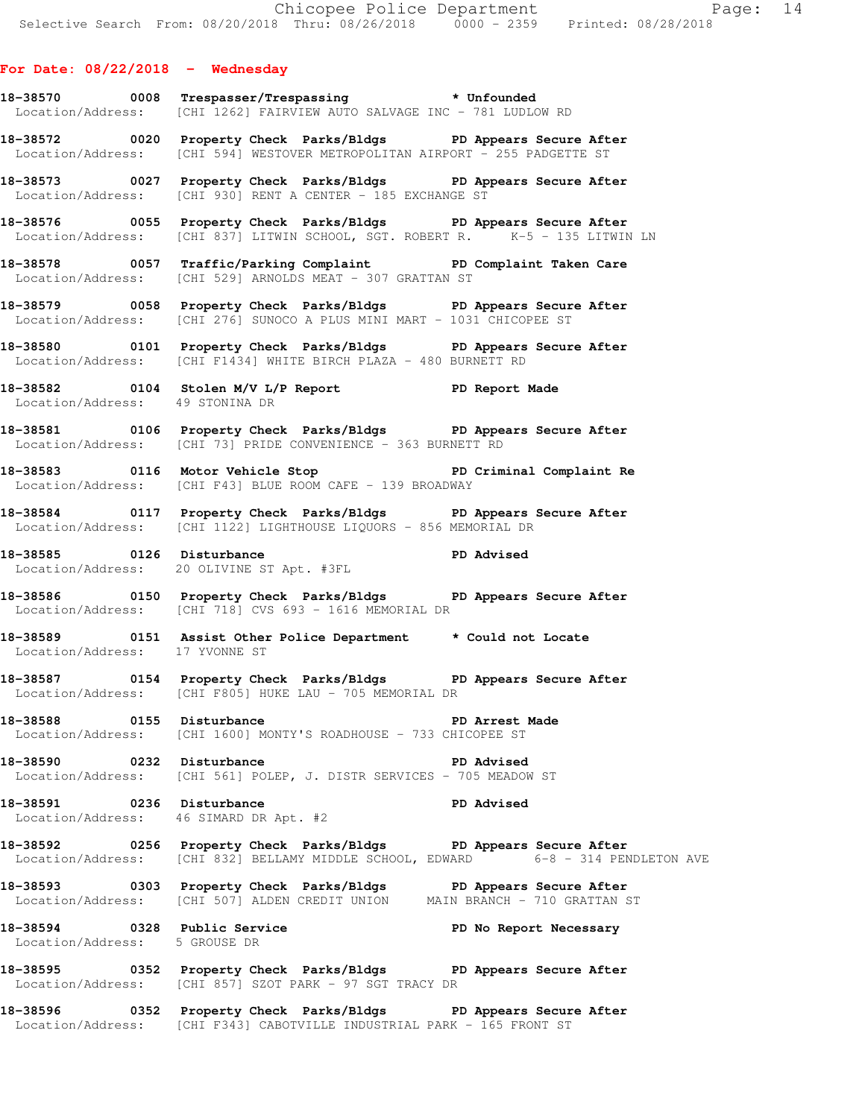## **For Date: 08/22/2018 - Wednesday**

- **18-38570 0008 Trespasser/Trespassing \* Unfounded**  Location/Address: [CHI 1262] FAIRVIEW AUTO SALVAGE INC - 781 LUDLOW RD
- **18-38572 0020 Property Check Parks/Bldgs PD Appears Secure After**  Location/Address: [CHI 594] WESTOVER METROPOLITAN AIRPORT - 255 PADGETTE ST
- **18-38573 0027 Property Check Parks/Bldgs PD Appears Secure After**  Location/Address: [CHI 930] RENT A CENTER - 185 EXCHANGE ST
- **18-38576 0055 Property Check Parks/Bldgs PD Appears Secure After**  Location/Address: [CHI 837] LITWIN SCHOOL, SGT. ROBERT R. K-5 - 135 LITWIN LN
- **18-38578 0057 Traffic/Parking Complaint PD Complaint Taken Care**  Location/Address: [CHI 529] ARNOLDS MEAT - 307 GRATTAN ST
- **18-38579 0058 Property Check Parks/Bldgs PD Appears Secure After**  Location/Address: [CHI 276] SUNOCO A PLUS MINI MART - 1031 CHICOPEE ST
- **18-38580 0101 Property Check Parks/Bldgs PD Appears Secure After**  Location/Address: [CHI F1434] WHITE BIRCH PLAZA - 480 BURNETT RD
- **18-38582 0104 Stolen M/V L/P Report PD Report Made**  Location/Address: 49 STONINA DR
- **18-38581 0106 Property Check Parks/Bldgs PD Appears Secure After**  Location/Address: [CHI 73] PRIDE CONVENIENCE - 363 BURNETT RD
- **18-38583 0116 Motor Vehicle Stop PD Criminal Complaint Re**  Location/Address: [CHI F43] BLUE ROOM CAFE - 139 BROADWAY
- **18-38584 0117 Property Check Parks/Bldgs PD Appears Secure After**  Location/Address: [CHI 1122] LIGHTHOUSE LIQUORS - 856 MEMORIAL DR
- **18-38585 0126 Disturbance PD Advised**  Location/Address: 20 OLIVINE ST Apt. #3FL
- **18-38586 0150 Property Check Parks/Bldgs PD Appears Secure After**  Location/Address: [CHI 718] CVS 693 - 1616 MEMORIAL DR
- **18-38589 0151 Assist Other Police Department \* Could not Locate**  Location/Address: 17 YVONNE ST
- **18-38587 0154 Property Check Parks/Bldgs PD Appears Secure After**  Location/Address: [CHI F805] HUKE LAU - 705 MEMORIAL DR
- **18-38588 0155 Disturbance PD Arrest Made**  Location/Address: [CHI 1600] MONTY'S ROADHOUSE - 733 CHICOPEE ST
- **18-38590 0232 Disturbance PD Advised**  Location/Address: [CHI 561] POLEP, J. DISTR SERVICES - 705 MEADOW ST
- **18-38591 0236 Disturbance PD Advised**  Location/Address: 46 SIMARD DR Apt. #2
- **18-38592 0256 Property Check Parks/Bldgs PD Appears Secure After**  Location/Address: [CHI 832] BELLAMY MIDDLE SCHOOL, EDWARD 6-8 - 314 PENDLETON AVE
- **18-38593 0303 Property Check Parks/Bldgs PD Appears Secure After**  Location/Address: [CHI 507] ALDEN CREDIT UNION MAIN BRANCH - 710 GRATTAN ST
- **18-38594 0328 Public Service PD No Report Necessary**  Location/Address: 5 GROUSE DR
- **18-38595 0352 Property Check Parks/Bldgs PD Appears Secure After**  Location/Address: [CHI 857] SZOT PARK - 97 SGT TRACY DR
- **18-38596 0352 Property Check Parks/Bldgs PD Appears Secure After**  Location/Address: [CHI F343] CABOTVILLE INDUSTRIAL PARK - 165 FRONT ST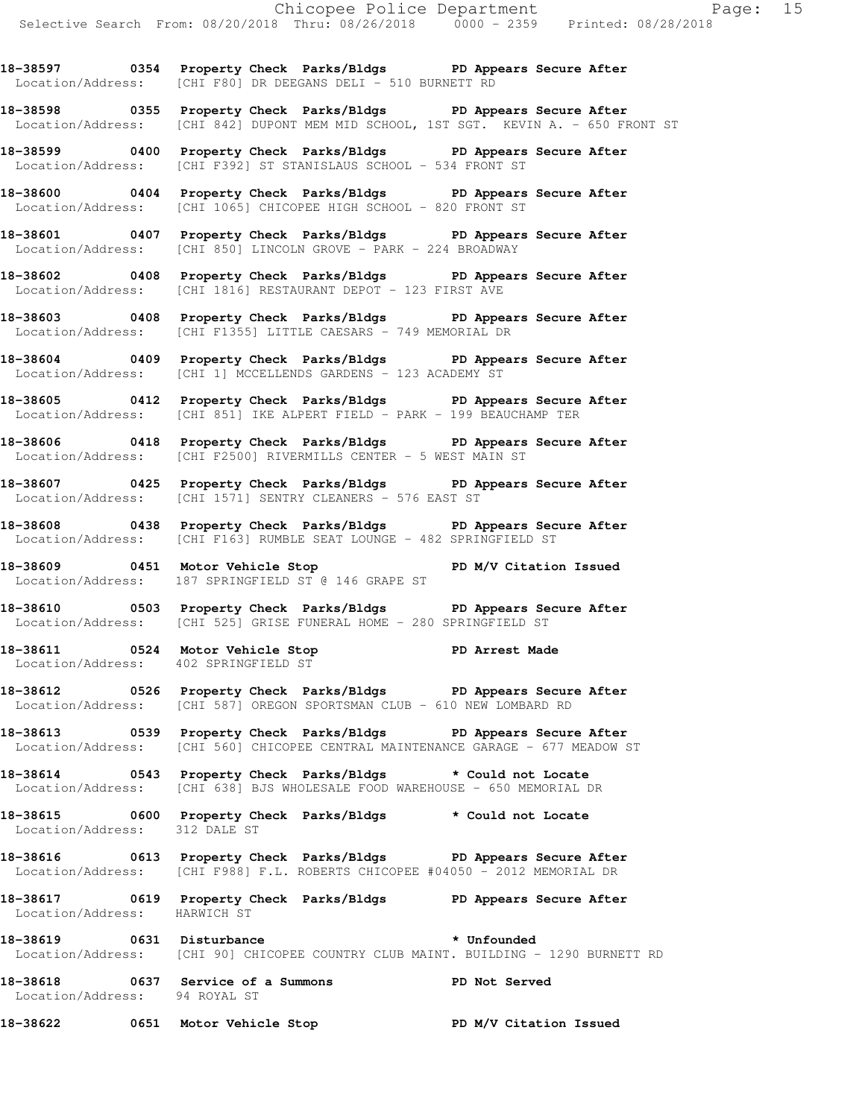**18-38597 0354 Property Check Parks/Bldgs PD Appears Secure After**  Location/Address: [CHI F80] DR DEEGANS DELI - 510 BURNETT RD

**18-38598 0355 Property Check Parks/Bldgs PD Appears Secure After**  Location/Address: [CHI 842] DUPONT MEM MID SCHOOL, 1ST SGT. KEVIN A. - 650 FRONT ST

**18-38599 0400 Property Check Parks/Bldgs PD Appears Secure After**  Location/Address: [CHI F392] ST STANISLAUS SCHOOL - 534 FRONT ST

**18-38600 0404 Property Check Parks/Bldgs PD Appears Secure After**  Location/Address: [CHI 1065] CHICOPEE HIGH SCHOOL - 820 FRONT ST

**18-38601 0407 Property Check Parks/Bldgs PD Appears Secure After**  Location/Address: [CHI 850] LINCOLN GROVE - PARK - 224 BROADWAY

**18-38602 0408 Property Check Parks/Bldgs PD Appears Secure After**  Location/Address: [CHI 1816] RESTAURANT DEPOT - 123 FIRST AVE

**18-38603 0408 Property Check Parks/Bldgs PD Appears Secure After**  Location/Address: [CHI F1355] LITTLE CAESARS - 749 MEMORIAL DR

**18-38604 0409 Property Check Parks/Bldgs PD Appears Secure After**  Location/Address: [CHI 1] MCCELLENDS GARDENS - 123 ACADEMY ST

**18-38605 0412 Property Check Parks/Bldgs PD Appears Secure After**  Location/Address: [CHI 851] IKE ALPERT FIELD - PARK - 199 BEAUCHAMP TER

**18-38606 0418 Property Check Parks/Bldgs PD Appears Secure After**  Location/Address: [CHI F2500] RIVERMILLS CENTER - 5 WEST MAIN ST

**18-38607 0425 Property Check Parks/Bldgs PD Appears Secure After**  Location/Address: [CHI 1571] SENTRY CLEANERS - 576 EAST ST

**18-38608 0438 Property Check Parks/Bldgs PD Appears Secure After**  Location/Address: [CHI F163] RUMBLE SEAT LOUNGE - 482 SPRINGFIELD ST

18-38609 **0451** Motor Vehicle Stop **PD M/V Citation Issued** Location/Address: 187 SPRINGFIELD ST @ 146 GRAPE ST

**18-38610 0503 Property Check Parks/Bldgs PD Appears Secure After**  Location/Address: [CHI 525] GRISE FUNERAL HOME - 280 SPRINGFIELD ST

18-38611 **0524** Motor Vehicle Stop **PD** Arrest Made Location/Address: 402 SPRINGFIELD ST

**18-38612 0526 Property Check Parks/Bldgs PD Appears Secure After**  Location/Address: [CHI 587] OREGON SPORTSMAN CLUB - 610 NEW LOMBARD RD

**18-38613 0539 Property Check Parks/Bldgs PD Appears Secure After**  Location/Address: [CHI 560] CHICOPEE CENTRAL MAINTENANCE GARAGE - 677 MEADOW ST

**18-38614 0543 Property Check Parks/Bldgs \* Could not Locate**  Location/Address: [CHI 638] BJS WHOLESALE FOOD WAREHOUSE - 650 MEMORIAL DR

**18-38615 0600 Property Check Parks/Bldgs \* Could not Locate**  Location/Address: 312 DALE ST

**18-38616 0613 Property Check Parks/Bldgs PD Appears Secure After**  Location/Address: [CHI F988] F.L. ROBERTS CHICOPEE #04050 - 2012 MEMORIAL DR

**18-38617 0619 Property Check Parks/Bldgs PD Appears Secure After**  Location/Address:

18-38619 **0631** Disturbance **the absolute of the set of the set of the set of the set of the set of the set of the set of the set of the set of the set of the set of the set of the set of the set of the set of the set of t** Location/Address: [CHI 90] CHICOPEE COUNTRY CLUB MAINT. BUILDING - 1290 BURNETT RD

**18-38618 0637 Service of a Summons PD Not Served**  Location/Address: 94 ROYAL ST

**18-38622 0651 Motor Vehicle Stop PD M/V Citation Issued**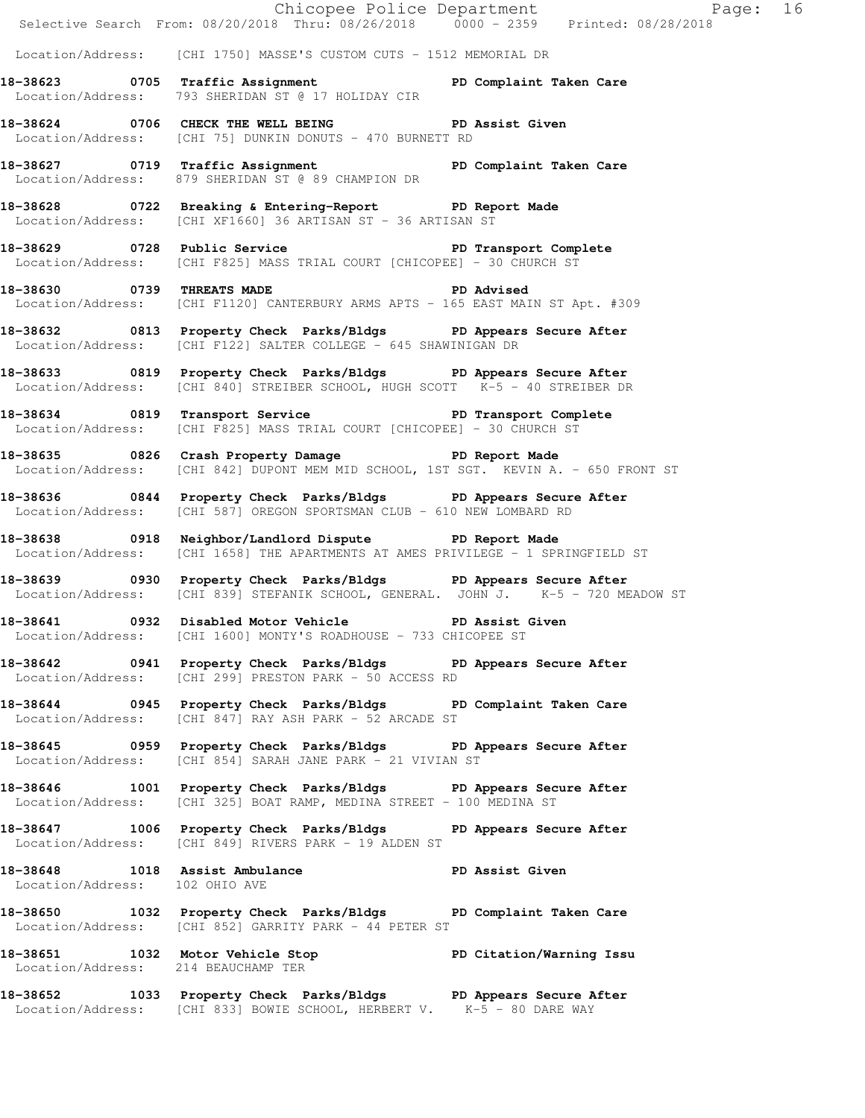|                                | Chicopee Police Department<br>Selective Search From: 08/20/2018 Thru: 08/26/2018 0000 - 2359 Printed: 08/28/2018                                      |  |
|--------------------------------|-------------------------------------------------------------------------------------------------------------------------------------------------------|--|
|                                | Location/Address: [CHI 1750] MASSE'S CUSTOM CUTS - 1512 MEMORIAL DR                                                                                   |  |
|                                | 18-38623 0705 Traffic Assignment PD Complaint Taken Care<br>Location/Address: 793 SHERIDAN ST @ 17 HOLIDAY CIR                                        |  |
|                                | 18-38624 0706 CHECK THE WELL BEING PD Assist Given<br>Location/Address: [CHI 75] DUNKIN DONUTS - 470 BURNETT RD                                       |  |
|                                | 18-38627 0719 Traffic Assignment New PD Complaint Taken Care<br>Location/Address: 879 SHERIDAN ST @ 89 CHAMPION DR                                    |  |
|                                | 18-38628 0722 Breaking & Entering-Report PD Report Made<br>Location/Address: [CHI XF1660] 36 ARTISAN ST - 36 ARTISAN ST                               |  |
|                                | 18-38629 0728 Public Service 20 PD Transport Complete<br>Location/Address: [CHI F825] MASS TRIAL COURT [CHICOPEE] - 30 CHURCH ST                      |  |
|                                | 18-38630 0739 THREATS MADE PD Advised<br>Location/Address: [CHI F1120] CANTERBURY ARMS APTS - 165 EAST MAIN ST Apt. #309                              |  |
|                                | 18-38632 0813 Property Check Parks/Bldgs PD Appears Secure After<br>Location/Address: [CHI F122] SALTER COLLEGE - 645 SHAWINIGAN DR                   |  |
|                                | 18-38633 0819 Property Check Parks/Bldgs PD Appears Secure After<br>Location/Address: [CHI 840] STREIBER SCHOOL, HUGH SCOTT K-5 - 40 STREIBER DR      |  |
|                                | 18-38634 0819 Transport Service <b>18-38634</b> PD Transport Complete<br>Location/Address: [CHI F825] MASS TRIAL COURT [CHICOPEE] - 30 CHURCH ST      |  |
|                                | 18-38635 0826 Crash Property Damage PD Report Made<br>Location/Address: [CHI 842] DUPONT MEM MID SCHOOL, 1ST SGT. KEVIN A. - 650 FRONT ST             |  |
|                                | 18-38636 0844 Property Check Parks/Bldgs PD Appears Secure After<br>Location/Address: [CHI 587] OREGON SPORTSMAN CLUB - 610 NEW LOMBARD RD            |  |
|                                | 18-38638 0918 Neighbor/Landlord Dispute PD Report Made<br>Location/Address: [CHI 1658] THE APARTMENTS AT AMES PRIVILEGE - 1 SPRINGFIELD ST            |  |
|                                | 18-38639 0930 Property Check Parks/Bldgs PD Appears Secure After<br>Location/Address: [CHI 839] STEFANIK SCHOOL, GENERAL. JOHN J. K-5 - 720 MEADOW ST |  |
|                                | 18-38641 0932 Disabled Motor Vehicle PD Assist Given<br>Location/Address: [CHI 1600] MONTY'S ROADHOUSE - 733 CHICOPEE ST                              |  |
|                                | 18-38642 0941 Property Check Parks/Bldgs PD Appears Secure After<br>Location/Address: [CHI 299] PRESTON PARK - 50 ACCESS RD                           |  |
|                                | 18-38644 0945 Property Check Parks/Bldgs PD Complaint Taken Care<br>Location/Address: [CHI 847] RAY ASH PARK - 52 ARCADE ST                           |  |
|                                | 18-38645 0959 Property Check Parks/Bldgs PD Appears Secure After<br>Location/Address: [CHI 854] SARAH JANE PARK - 21 VIVIAN ST                        |  |
|                                | 18-38646 1001 Property Check Parks/Bldgs PD Appears Secure After<br>Location/Address: [CHI 325] BOAT RAMP, MEDINA STREET - 100 MEDINA ST              |  |
|                                | 18-38647 1006 Property Check Parks/Bldgs PD Appears Secure After<br>Location/Address: [CHI 849] RIVERS PARK - 19 ALDEN ST                             |  |
| Location/Address: 102 OHIO AVE | 18-38648 1018 Assist Ambulance 18 PD Assist Given                                                                                                     |  |
|                                | 18-38650 1032 Property Check Parks/Bldgs PD Complaint Taken Care<br>Location/Address: [CHI 852] GARRITY PARK - 44 PETER ST                            |  |
|                                | 18-38651 1032 Motor Vehicle Stop North PD Citation/Warning Issu<br>Location/Address: 214 BEAUCHAMP TER                                                |  |
|                                | 18-38652 1033 Property Check Parks/Bldgs PD Appears Secure After<br>Location/Address: [CHI 833] BOWIE SCHOOL, HERBERT V. K-5 - 80 DARE WAY            |  |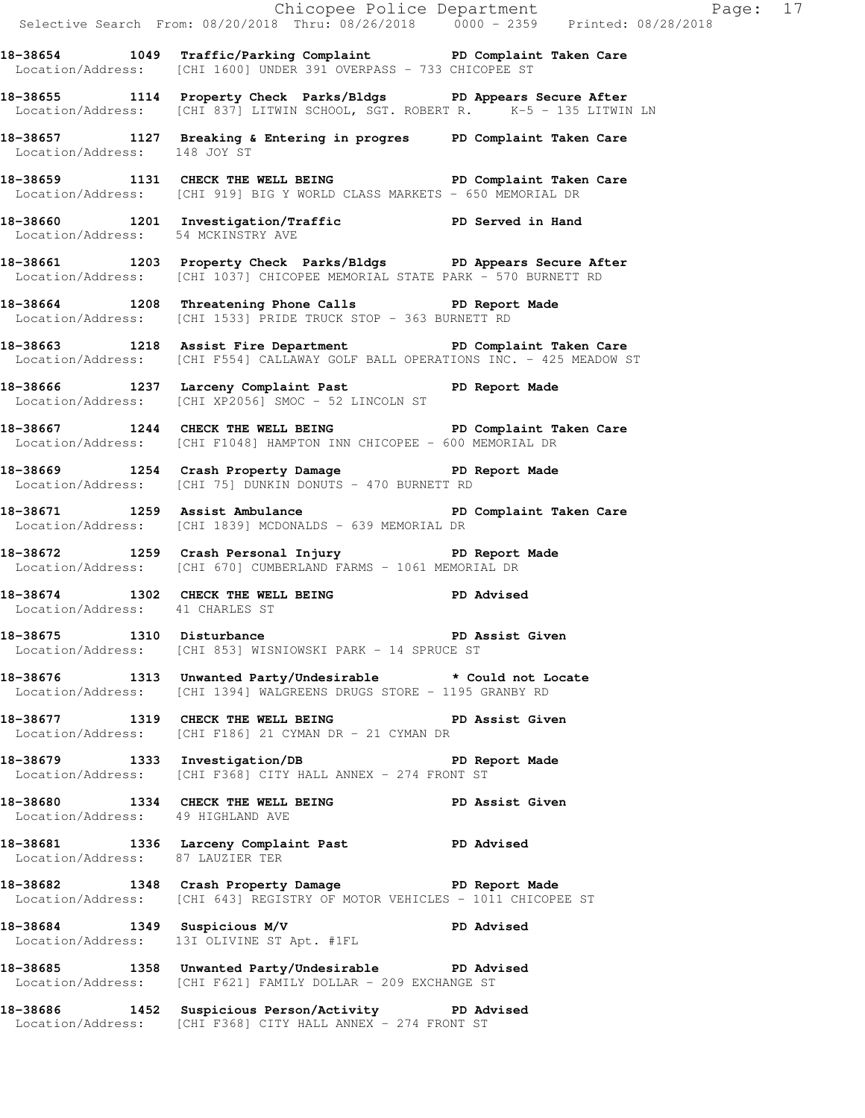|                                    |                                                                                                                                                   | Chicopee Police Department<br>Selective Search From: 08/20/2018 Thru: 08/26/2018 0000 - 2359 Printed: 08/28/2018 |
|------------------------------------|---------------------------------------------------------------------------------------------------------------------------------------------------|------------------------------------------------------------------------------------------------------------------|
|                                    | 18-38654 1049 Traffic/Parking Complaint PD Complaint Taken Care<br>Location/Address: [CHI 1600] UNDER 391 OVERPASS - 733 CHICOPEE ST              |                                                                                                                  |
|                                    | 18-38655 1114 Property Check Parks/Bldgs PD Appears Secure After<br>Location/Address: [CHI 837] LITWIN SCHOOL, SGT. ROBERT R. K-5 - 135 LITWIN LN |                                                                                                                  |
|                                    | 18-38657 1127 Breaking & Entering in progres PD Complaint Taken Care<br>Location/Address: 148 JOY ST                                              |                                                                                                                  |
|                                    | 18-38659 1131 CHECK THE WELL BEING PD Complaint Taken Care<br>Location/Address: [CHI 919] BIG Y WORLD CLASS MARKETS - 650 MEMORIAL DR             |                                                                                                                  |
| Location/Address: 54 MCKINSTRY AVE | 18-38660 1201 Investigation/Traffic PD Served in Hand                                                                                             |                                                                                                                  |
|                                    | 18-38661 1203 Property Check Parks/Bldgs PD Appears Secure After<br>Location/Address: [CHI 1037] CHICOPEE MEMORIAL STATE PARK - 570 BURNETT RD    |                                                                                                                  |
|                                    | 18-38664 1208 Threatening Phone Calls PD Report Made<br>Location/Address: [CHI 1533] PRIDE TRUCK STOP - 363 BURNETT RD                            |                                                                                                                  |
|                                    | 18-38663 1218 Assist Fire Department PD Complaint Taken Care<br>Location/Address: [CHI F554] CALLAWAY GOLF BALL OPERATIONS INC. - 425 MEADOW ST   |                                                                                                                  |
|                                    | 18-38666 1237 Larceny Complaint Past PD Report Made<br>Location/Address: [CHI XP2056] SMOC - 52 LINCOLN ST                                        |                                                                                                                  |
|                                    | 18-38667 1244 CHECK THE WELL BEING PD Complaint Taken Care<br>Location/Address: [CHI F1048] HAMPTON INN CHICOPEE - 600 MEMORIAL DR                |                                                                                                                  |
|                                    | 18-38669 1254 Crash Property Damage PD Report Made<br>Location/Address: [CHI 75] DUNKIN DONUTS - 470 BURNETT RD                                   |                                                                                                                  |
|                                    | 18-38671 1259 Assist Ambulance New PD Complaint Taken Care<br>Location/Address: [CHI 1839] MCDONALDS - 639 MEMORIAL DR                            |                                                                                                                  |
|                                    | 18-38672 1259 Crash Personal Injury 18-38672 PD Report Made<br>Location/Address: [CHI 670] CUMBERLAND FARMS - 1061 MEMORIAL DR                    |                                                                                                                  |
| Location/Address: 41 CHARLES ST    | 18-38674 1302 CHECK THE WELL BEING PD Advised                                                                                                     |                                                                                                                  |
|                                    | 18-38675 1310 Disturbance 1 PD Assist Given<br>Location/Address: [CHI 853] WISNIOWSKI PARK - 14 SPRUCE ST                                         |                                                                                                                  |
|                                    | 18-38676 1313 Unwanted Party/Undesirable * Could not Locate<br>Location/Address: [CHI 1394] WALGREENS DRUGS STORE - 1195 GRANBY RD                |                                                                                                                  |
|                                    | 18-38677 1319 CHECK THE WELL BEING PD Assist Given<br>Location/Address: [CHI F186] 21 CYMAN DR - 21 CYMAN DR                                      |                                                                                                                  |
|                                    | 18-38679 1333 Investigation/DB PD Report Made<br>Location/Address: [CHI F368] CITY HALL ANNEX - 274 FRONT ST                                      |                                                                                                                  |
| Location/Address: 49 HIGHLAND AVE  | 18-38680 1334 CHECK THE WELL BEING PD Assist Given                                                                                                |                                                                                                                  |
| Location/Address: 87 LAUZIER TER   | 18-38681 1336 Larceny Complaint Past PD Advised                                                                                                   |                                                                                                                  |
|                                    | 18-38682 1348 Crash Property Damage PD Report Made<br>Location/Address: [CHI 643] REGISTRY OF MOTOR VEHICLES - 1011 CHICOPEE ST                   |                                                                                                                  |
|                                    | 18-38684 1349 Suspicious M/V 18-38684<br>Location/Address: 13I OLIVINE ST Apt. #1FL                                                               |                                                                                                                  |
|                                    | 18-38685 1358 Unwanted Party/Undesirable PD Advised<br>Location/Address: [CHI F621] FAMILY DOLLAR - 209 EXCHANGE ST                               |                                                                                                                  |
|                                    | 18-38686 1452 Suspicious Person/Activity PD Advised<br>Location/Address: [CHI F368] CITY HALL ANNEX - 274 FRONT ST                                |                                                                                                                  |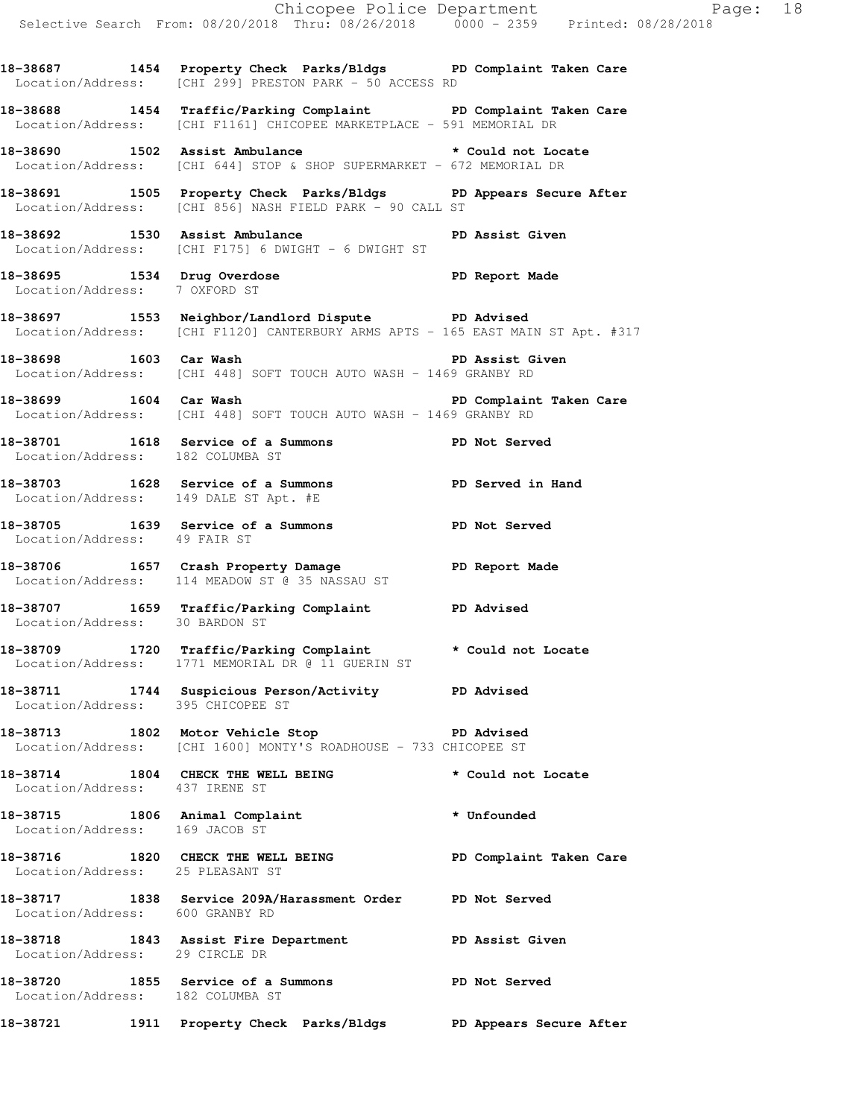**18-38687 1454 Property Check Parks/Bldgs PD Complaint Taken Care**  Location/Address: [CHI 299] PRESTON PARK - 50 ACCESS RD

**18-38688 1454 Traffic/Parking Complaint PD Complaint Taken Care**  Location/Address: [CHI F1161] CHICOPEE MARKETPLACE - 591 MEMORIAL DR

**18-38690 1502 Assist Ambulance \* Could not Locate**  Location/Address: [CHI 644] STOP & SHOP SUPERMARKET - 672 MEMORIAL DR

**18-38691 1505 Property Check Parks/Bldgs PD Appears Secure After**  Location/Address: [CHI 856] NASH FIELD PARK - 90 CALL ST

**18-38692 1530 Assist Ambulance PD Assist Given**  Location/Address: [CHI F175] 6 DWIGHT - 6 DWIGHT ST

**18-38695 1534 Drug Overdose PD Report Made**  Location/Address: 7 OXFORD ST

**18-38697 1553 Neighbor/Landlord Dispute PD Advised**  Location/Address: [CHI F1120] CANTERBURY ARMS APTS - 165 EAST MAIN ST Apt. #317

**18-38698 1603 Car Wash PD Assist Given**  Location/Address: [CHI 448] SOFT TOUCH AUTO WASH - 1469 GRANBY RD

**18-38699 1604 Car Wash PD Complaint Taken Care**  Location/Address: [CHI 448] SOFT TOUCH AUTO WASH - 1469 GRANBY RD

**18-38701 1618 Service of a Summons PD Not Served**  Location/Address: 182 COLUMBA ST

**18-38703 1628 Service of a Summons PD Served in Hand**  Location/Address: 149 DALE ST Apt. #E

**18-38705 1639 Service of a Summons PD Not Served**  Location/Address: 49 FAIR ST

**18-38706 1657 Crash Property Damage PD Report Made**  Location/Address: 114 MEADOW ST @ 35 NASSAU ST

**18-38707 1659 Traffic/Parking Complaint PD Advised**  Location/Address: 30 BARDON ST

**18-38709 1720 Traffic/Parking Complaint \* Could not Locate**  Location/Address: 1771 MEMORIAL DR @ 11 GUERIN ST

**18-38711 1744 Suspicious Person/Activity PD Advised**  Location/Address: 395 CHICOPEE ST

**18-38713 1802 Motor Vehicle Stop PD Advised**  Location/Address: [CHI 1600] MONTY'S ROADHOUSE - 733 CHICOPEE ST

**18-38714 1804 CHECK THE WELL BEING \* Could not Locate**  Location/Address: 437 IRENE ST

**18-38715 1806 Animal Complaint \* Unfounded**  Location/Address: 169 JACOB ST

**18-38716 1820 CHECK THE WELL BEING PD Complaint Taken Care**  Location/Address: 25 PLEASANT ST

**18-38717 1838 Service 209A/Harassment Order PD Not Served**  Location/Address: 600 GRANBY RD

**18-38718 1843 Assist Fire Department PD Assist Given**  Location/Address: 29 CIRCLE DR

**18-38720 1855 Service of a Summons PD Not Served**  Location/Address: 182 COLUMBA ST

**18-38721 1911 Property Check Parks/Bldgs PD Appears Secure After**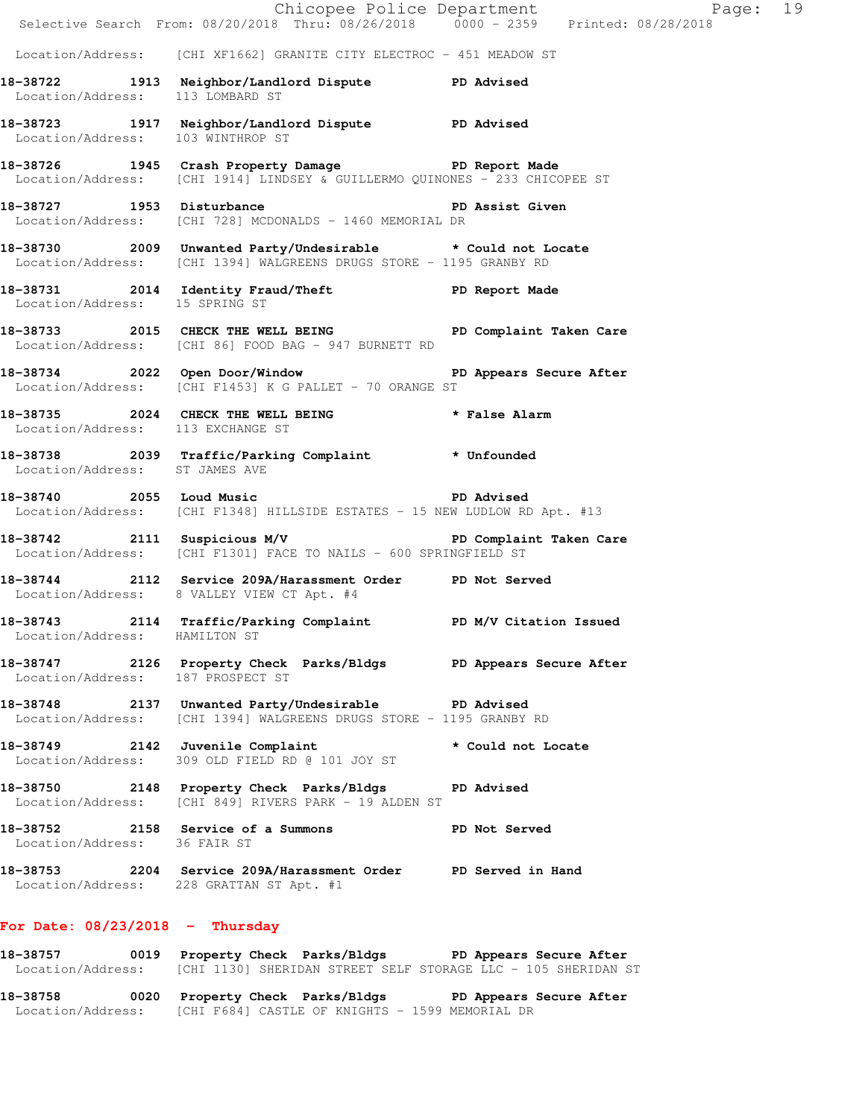|                                               | E Chicopee Police Department<br>Selective Search From: 08/20/2018 Thru: 08/26/2018 0000 - 2359 Printed: 08/28/2018                 | Page: 19 |  |
|-----------------------------------------------|------------------------------------------------------------------------------------------------------------------------------------|----------|--|
|                                               | Location/Address: [CHI XF1662] GRANITE CITY ELECTROC - 451 MEADOW ST                                                               |          |  |
| Location/Address: 113 LOMBARD ST              | 18-38722 1913 Neighbor/Landlord Dispute PD Advised                                                                                 |          |  |
| Location/Address: 103 WINTHROP ST             | 18-38723 1917 Neighbor/Landlord Dispute PD Advised                                                                                 |          |  |
|                                               | 18-38726 1945 Crash Property Damage PD Report Made<br>Location/Address: [CHI 1914] LINDSEY & GUILLERMO QUINONES - 233 CHICOPEE ST  |          |  |
|                                               | 18-38727 1953 Disturbance 2008 PD Assist Given<br>Location/Address: [CHI 728] MCDONALDS - 1460 MEMORIAL DR                         |          |  |
|                                               | 18-38730 2009 Unwanted Party/Undesirable * Could not Locate<br>Location/Address: [CHI 1394] WALGREENS DRUGS STORE - 1195 GRANBY RD |          |  |
|                                               | 18-38731 2014 Identity Fraud/Theft PD Report Made<br>Location/Address: 15 SPRING ST                                                |          |  |
|                                               | 18-38733 2015 CHECK THE WELL BEING PD Complaint Taken Care<br>Location/Address: [CHI 86] FOOD BAG - 947 BURNETT RD                 |          |  |
|                                               | 18-38734 2022 Open Door/Window Number 2002 PD Appears Secure After<br>Location/Address: [CHI F1453] K G PALLET - 70 ORANGE ST      |          |  |
| Location/Address: 113 EXCHANGE ST             | 18-38735 2024 CHECK THE WELL BEING * False Alarm                                                                                   |          |  |
| Location/Address: ST JAMES AVE                | 18-38738 2039 Traffic/Parking Complaint * Unfounded                                                                                |          |  |
|                                               | Location/Address: [CHI F1348] HILLSIDE ESTATES - 15 NEW LUDLOW RD Apt. #13                                                         |          |  |
|                                               | 18-38742 2111 Suspicious M/V PD Complaint Taken Care<br>Location/Address: [CHI F1301] FACE TO NAILS - 600 SPRINGFIELD ST           |          |  |
|                                               | 18-38744 2112 Service 209A/Harassment Order PD Not Served<br>Location/Address: 8 VALLEY VIEW CT Apt. #4                            |          |  |
| Location/Address: HAMILTON ST                 | 18-38743 2114 Traffic/Parking Complaint PD M/V Citation Issued                                                                     |          |  |
| 18-38747<br>Location/Address: 187 PROSPECT ST | 2126 Property Check Parks/Bldgs PD Appears Secure After                                                                            |          |  |
|                                               | 18-38748 2137 Unwanted Party/Undesirable PD Advised<br>Location/Address: [CHI 1394] WALGREENS DRUGS STORE - 1195 GRANBY RD         |          |  |
|                                               | 18-38749 2142 Juvenile Complaint * Could not Locate<br>Location/Address: 309 OLD FIELD RD @ 101 JOY ST                             |          |  |
|                                               | 18-38750 2148 Property Check Parks/Bldgs PD Advised<br>Location/Address: [CHI 849] RIVERS PARK - 19 ALDEN ST                       |          |  |
| Location/Address: 36 FAIR ST                  | 18-38752 2158 Service of a Summons PD Not Served                                                                                   |          |  |
|                                               | 18-38753 2204 Service 209A/Harassment Order PD Served in Hand<br>Location/Address: 228 GRATTAN ST Apt. #1                          |          |  |
| For Date: $08/23/2018$ - Thursday             |                                                                                                                                    |          |  |
|                                               | 18-38757 0019 Property Check Parks/Bldgs PD Appears Secure After                                                                   |          |  |

Location/Address: [CHI 1130] SHERIDAN STREET SELF STORAGE LLC - 105 SHERIDAN ST

**18-38758 0020 Property Check Parks/Bldgs PD Appears Secure After**  Location/Address: [CHI F684] CASTLE OF KNIGHTS - 1599 MEMORIAL DR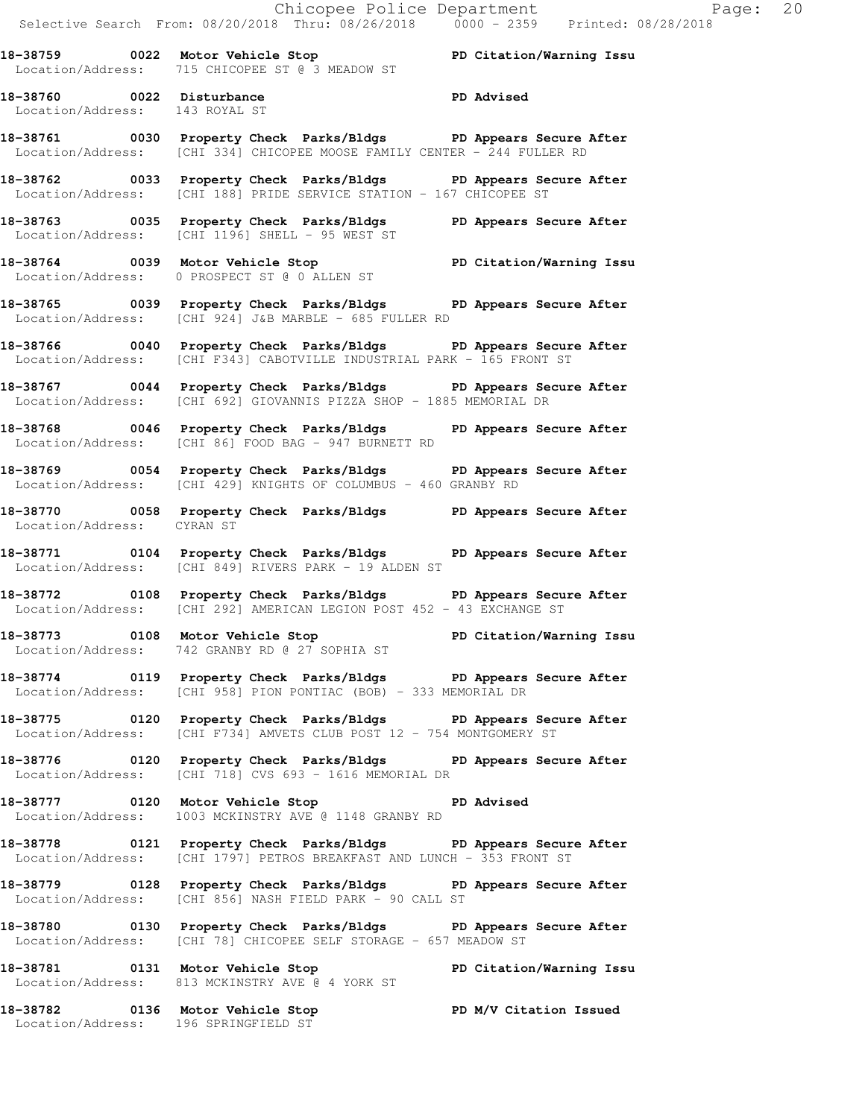|                                                             | Chicopee Police Department<br>Selective Search From: 08/20/2018 Thru: 08/26/2018 0000 - 2359 Printed: 08/28/2018                               |
|-------------------------------------------------------------|------------------------------------------------------------------------------------------------------------------------------------------------|
|                                                             | 18-38759 0022 Motor Vehicle Stop North PD Citation/Warning Issu                                                                                |
|                                                             | Location/Address: 715 CHICOPEE ST @ 3 MEADOW ST                                                                                                |
| 18-38760 0022 Disturbance<br>Location/Address: 143 ROYAL ST | PD Advised                                                                                                                                     |
|                                                             | 18-38761 0030 Property Check Parks/Bldgs PD Appears Secure After<br>  Location/Address: [CHI 334] CHICOPEE MOOSE FAMILY CENTER - 244 FULLER RD |
|                                                             | 18-38762 0033 Property Check Parks/Bldgs PD Appears Secure After<br>Location/Address: [CHI 188] PRIDE SERVICE STATION - 167 CHICOPEE ST        |
|                                                             | 18-38763 0035 Property Check Parks/Bldgs PD Appears Secure After<br>Location/Address: [CHI 1196] SHELL - 95 WEST ST                            |
|                                                             | 18-38764 0039 Motor Vehicle Stop PD Citation/Warning Issu<br>Location/Address: 0 PROSPECT ST @ 0 ALLEN ST                                      |
|                                                             | 18-38765 0039 Property Check Parks/Bldgs PD Appears Secure After<br>Location/Address: [CHI 924] J&B MARBLE - 685 FULLER RD                     |
| Location/Address:                                           | 18-38766 0040 Property Check Parks/Bldgs PD Appears Secure After<br>[CHI F343] CABOTVILLE INDUSTRIAL PARK - 165 FRONT ST                       |
|                                                             | 18-38767 0044 Property Check Parks/Bldgs PD Appears Secure After<br>Location/Address: [CHI 692] GIOVANNIS PIZZA SHOP - 1885 MEMORIAL DR        |
|                                                             | 18-38768 0046 Property Check Parks/Bldgs PD Appears Secure After<br>Location/Address: [CHI 86] FOOD BAG - 947 BURNETT RD                       |
|                                                             | 18-38769 0054 Property Check Parks/Bldgs PD Appears Secure After<br>Location/Address: [CHI 429] KNIGHTS OF COLUMBUS - 460 GRANBY RD            |
| Location/Address: CYRAN ST                                  | 18-38770 0058 Property Check Parks/Bldgs PD Appears Secure After                                                                               |
|                                                             | 18-38771 0104 Property Check Parks/Bldgs PD Appears Secure After<br>Location/Address: [CHI 849] RIVERS PARK - 19 ALDEN ST                      |
|                                                             | 18-38772 0108 Property Check Parks/Bldgs PD Appears Secure After<br>Location/Address: [CHI 292] AMERICAN LEGION POST 452 - 43 EXCHANGE ST      |
|                                                             | 18-38773 0108 Motor Vehicle Stop PD Citation/Warning Issu<br>Location/Address: 742 GRANBY RD @ 27 SOPHIA ST                                    |
|                                                             | 18-38774 0119 Property Check Parks/Bldgs PD Appears Secure After<br>Location/Address: [CHI 958] PION PONTIAC (BOB) - 333 MEMORIAL DR           |
|                                                             | 18-38775 0120 Property Check Parks/Bldgs PD Appears Secure After<br>Location/Address: [CHI F734] AMVETS CLUB POST 12 - 754 MONTGOMERY ST       |
|                                                             | 18-38776 		 0120 Property Check Parks/Bldgs 		 PD Appears Secure After<br>Location/Address: [CHI 718] CVS 693 - 1616 MEMORIAL DR               |
|                                                             | 18-38777 0120 Motor Vehicle Stop North PD Advised<br>Location/Address: 1003 MCKINSTRY AVE @ 1148 GRANBY RD                                     |
|                                                             | 18-38778 0121 Property Check Parks/Bldgs PD Appears Secure After<br>Location/Address: [CHI 1797] PETROS BREAKFAST AND LUNCH - 353 FRONT ST     |
|                                                             | 18-38779 0128 Property Check Parks/Bldgs PD Appears Secure After<br>Location/Address: [CHI 856] NASH FIELD PARK - 90 CALL ST                   |
|                                                             | 18-38780 0130 Property Check Parks/Bldgs PD Appears Secure After<br>Location/Address: [CHI 78] CHICOPEE SELF STORAGE - 657 MEADOW ST           |
|                                                             | 18-38781 0131 Motor Vehicle Stop<br>PD Citation/Warning Issu<br>Location/Address: 813 MCKINSTRY AVE @ 4 YORK ST                                |

**18-38782 0136 Motor Vehicle Stop PD M/V Citation Issued**  Location/Address: 196 SPRINGFIELD ST

 $Page: 20$ <br>28/2018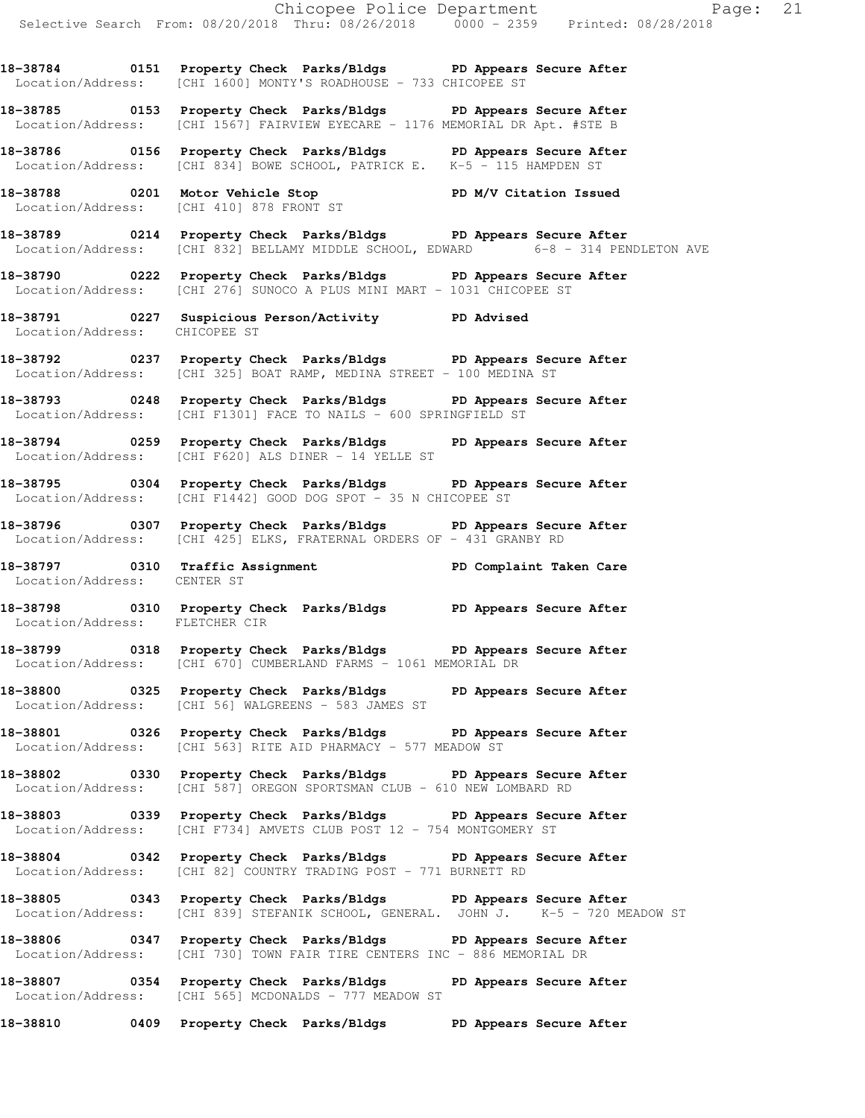**18-38784 0151 Property Check Parks/Bldgs PD Appears Secure After**  Location/Address: [CHI 1600] MONTY'S ROADHOUSE - 733 CHICOPEE ST

**18-38785 0153 Property Check Parks/Bldgs PD Appears Secure After**  Location/Address: [CHI 1567] FAIRVIEW EYECARE - 1176 MEMORIAL DR Apt. #STE B

**18-38786 0156 Property Check Parks/Bldgs PD Appears Secure After**  Location/Address: [CHI 834] BOWE SCHOOL, PATRICK E. K-5 - 115 HAMPDEN ST

**18-38788 0201 Motor Vehicle Stop PD M/V Citation Issued**  Location/Address: [CHI 410] 878 FRONT ST

**18-38789 0214 Property Check Parks/Bldgs PD Appears Secure After**  Location/Address: [CHI 832] BELLAMY MIDDLE SCHOOL, EDWARD 6-8 - 314 PENDLETON AVE

**18-38790 0222 Property Check Parks/Bldgs PD Appears Secure After**  Location/Address: [CHI 276] SUNOCO A PLUS MINI MART - 1031 CHICOPEE ST

**18-38791 0227 Suspicious Person/Activity PD Advised**  Location/Address: CHICOPEE ST

**18-38792 0237 Property Check Parks/Bldgs PD Appears Secure After**  Location/Address: [CHI 325] BOAT RAMP, MEDINA STREET - 100 MEDINA ST

**18-38793 0248 Property Check Parks/Bldgs PD Appears Secure After**  Location/Address: [CHI F1301] FACE TO NAILS - 600 SPRINGFIELD ST

**18-38794 0259 Property Check Parks/Bldgs PD Appears Secure After**  Location/Address: [CHI F620] ALS DINER - 14 YELLE ST

**18-38795 0304 Property Check Parks/Bldgs PD Appears Secure After**  Location/Address: [CHI F1442] GOOD DOG SPOT - 35 N CHICOPEE ST

**18-38796 0307 Property Check Parks/Bldgs PD Appears Secure After**  Location/Address: [CHI 425] ELKS, FRATERNAL ORDERS OF - 431 GRANBY RD

**18-38797 0310 Traffic Assignment PD Complaint Taken Care**  Location/Address: CENTER ST

**18-38798 0310 Property Check Parks/Bldgs PD Appears Secure After**  Location/Address: FLETCHER CIR

**18-38799 0318 Property Check Parks/Bldgs PD Appears Secure After**  Location/Address: [CHI 670] CUMBERLAND FARMS - 1061 MEMORIAL DR

**18-38800 0325 Property Check Parks/Bldgs PD Appears Secure After**  Location/Address: [CHI 56] WALGREENS - 583 JAMES ST

**18-38801 0326 Property Check Parks/Bldgs PD Appears Secure After**  Location/Address: [CHI 563] RITE AID PHARMACY - 577 MEADOW ST

**18-38802 0330 Property Check Parks/Bldgs PD Appears Secure After**  Location/Address: [CHI 587] OREGON SPORTSMAN CLUB - 610 NEW LOMBARD RD

**18-38803 0339 Property Check Parks/Bldgs PD Appears Secure After**  Location/Address: [CHI F734] AMVETS CLUB POST 12 - 754 MONTGOMERY ST

**18-38804 0342 Property Check Parks/Bldgs PD Appears Secure After**  Location/Address: [CHI 82] COUNTRY TRADING POST - 771 BURNETT RD

**18-38805 0343 Property Check Parks/Bldgs PD Appears Secure After**  Location/Address: [CHI 839] STEFANIK SCHOOL, GENERAL. JOHN J. K-5 - 720 MEADOW ST

**18-38806 0347 Property Check Parks/Bldgs PD Appears Secure After**  Location/Address: [CHI 730] TOWN FAIR TIRE CENTERS INC - 886 MEMORIAL DR

**18-38807 0354 Property Check Parks/Bldgs PD Appears Secure After**  [CHI 565] MCDONALDS - 777 MEADOW ST

**18-38810 0409 Property Check Parks/Bldgs PD Appears Secure After**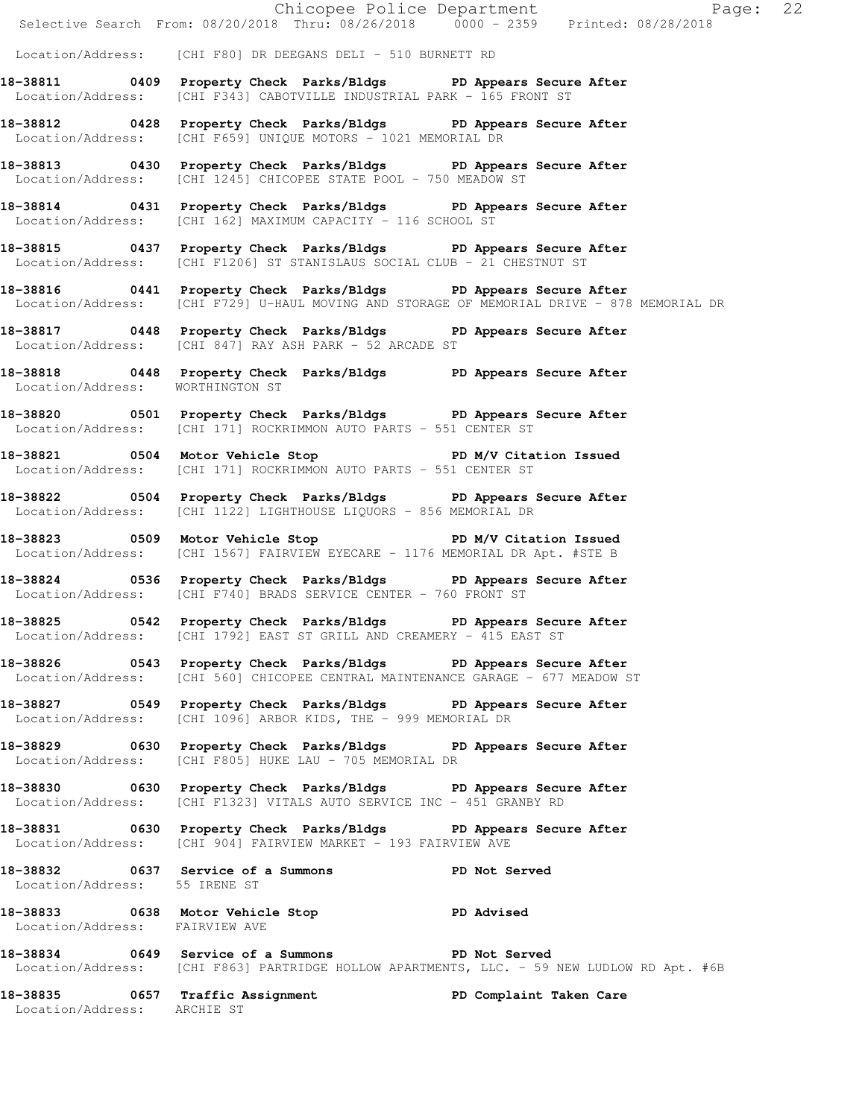|                                  | Chicopee Police Department<br>Selective Search From: 08/20/2018 Thru: 08/26/2018 0000 - 2359 Printed: 08/28/2018                                          | Page: 22                                                                                   |
|----------------------------------|-----------------------------------------------------------------------------------------------------------------------------------------------------------|--------------------------------------------------------------------------------------------|
|                                  | Location/Address: [CHI F80] DR DEEGANS DELI - 510 BURNETT RD                                                                                              |                                                                                            |
|                                  | 18-38811 0409 Property Check Parks/Bldgs PD Appears Secure After<br>  Location/Address: [CHI F343] CABOTVILLE INDUSTRIAL PARK - 165 FRONT ST              |                                                                                            |
|                                  | 18-38812 0428 Property Check Parks/Bldgs PD Appears Secure After<br>Location/Address: [CHI F659] UNIQUE MOTORS - 1021 MEMORIAL DR                         |                                                                                            |
|                                  | 18-38813 0430 Property Check Parks/Bldgs PD Appears Secure After<br>Location/Address: [CHI 1245] CHICOPEE STATE POOL - 750 MEADOW ST                      |                                                                                            |
|                                  | 18-38814 0431 Property Check Parks/Bldgs PD Appears Secure After<br>Location/Address: [CHI 162] MAXIMUM CAPACITY - 116 SCHOOL ST                          |                                                                                            |
|                                  | 18-38815 0437 Property Check Parks/Bldgs PD Appears Secure After<br>Location/Address: [CHI F1206] ST STANISLAUS SOCIAL CLUB - 21 CHESTNUT ST              |                                                                                            |
|                                  | 18-38816 0441 Property Check Parks/Bldgs PD Appears Secure After                                                                                          | Location/Address: [CHI F729] U-HAUL MOVING AND STORAGE OF MEMORIAL DRIVE - 878 MEMORIAL DR |
|                                  | 18-38817 0448 Property Check Parks/Bldgs PD Appears Secure After<br>Location/Address: [CHI 847] RAY ASH PARK - 52 ARCADE ST                               |                                                                                            |
| Location/Address: WORTHINGTON ST | 18-38818 0448 Property Check Parks/Bldgs PD Appears Secure After                                                                                          |                                                                                            |
|                                  | 18-38820 0501 Property Check Parks/Bldgs PD Appears Secure After<br>Location/Address: [CHI 171] ROCKRIMMON AUTO PARTS - 551 CENTER ST                     |                                                                                            |
|                                  | 18-38821 0504 Motor Vehicle Stop N/V Citation Issued<br>Location/Address: [CHI 171] ROCKRIMMON AUTO PARTS - 551 CENTER ST                                 |                                                                                            |
|                                  | 18-38822 0504 Property Check Parks/Bldgs PD Appears Secure After<br>Location/Address: [CHI 1122] LIGHTHOUSE LIQUORS - 856 MEMORIAL DR                     |                                                                                            |
|                                  | 18-38823 0509 Motor Vehicle Stop 50 PD M/V Citation Issued<br>  Location/Address: [CHI 1567] FAIRVIEW EYECARE - 1176 MEMORIAL DR Apt. #STE B              |                                                                                            |
|                                  | 18-38824 0536 Property Check Parks/Bldgs PD Appears Secure After<br>Location/Address: [CHI F740] BRADS SERVICE CENTER - 760 FRONT ST                      |                                                                                            |
|                                  | 18-38825 0542 Property Check Parks/Bldgs PD Appears Secure After<br>Location/Address: [CHI 1792] EAST ST GRILL AND CREAMERY - 415 EAST ST                 |                                                                                            |
|                                  | 18-38826 		 0543 Property Check Parks/Bldgs 		 PD Appears Secure After<br>Location/Address: [CHI 560] CHICOPEE CENTRAL MAINTENANCE GARAGE - 677 MEADOW ST |                                                                                            |
|                                  | 18-38827 0549 Property Check Parks/Bldgs PD Appears Secure After<br>Location/Address: [CHI 1096] ARBOR KIDS, THE - 999 MEMORIAL DR                        |                                                                                            |
|                                  | 18-38829 0630 Property Check Parks/Bldgs PD Appears Secure After<br>Location/Address: [CHI F805] HUKE LAU - 705 MEMORIAL DR                               |                                                                                            |
|                                  | 18-38830 0630 Property Check Parks/Bldgs PD Appears Secure After<br>Location/Address: [CHI F1323] VITALS AUTO SERVICE INC - 451 GRANBY RD                 |                                                                                            |
|                                  | 18-38831 0630 Property Check Parks/Bldgs PD Appears Secure After<br>Location/Address: [CHI 904] FAIRVIEW MARKET - 193 FAIRVIEW AVE                        |                                                                                            |
| Location/Address: 55 IRENE ST    | 18-38832 0637 Service of a Summons PD Not Served                                                                                                          |                                                                                            |
| Location/Address: FAIRVIEW AVE   | 18-38833 0638 Motor Vehicle Stop 30 PD Advised                                                                                                            |                                                                                            |
|                                  | 18-38834 0649 Service of a Summons PD Not Served                                                                                                          | Location/Address: [CHI F863] PARTRIDGE HOLLOW APARTMENTS, LLC. - 59 NEW LUDLOW RD Apt. #6B |
| Location/Address: ARCHIE ST      | 18-38835 0657 Traffic Assignment                                                                                                                          | PD Complaint Taken Care                                                                    |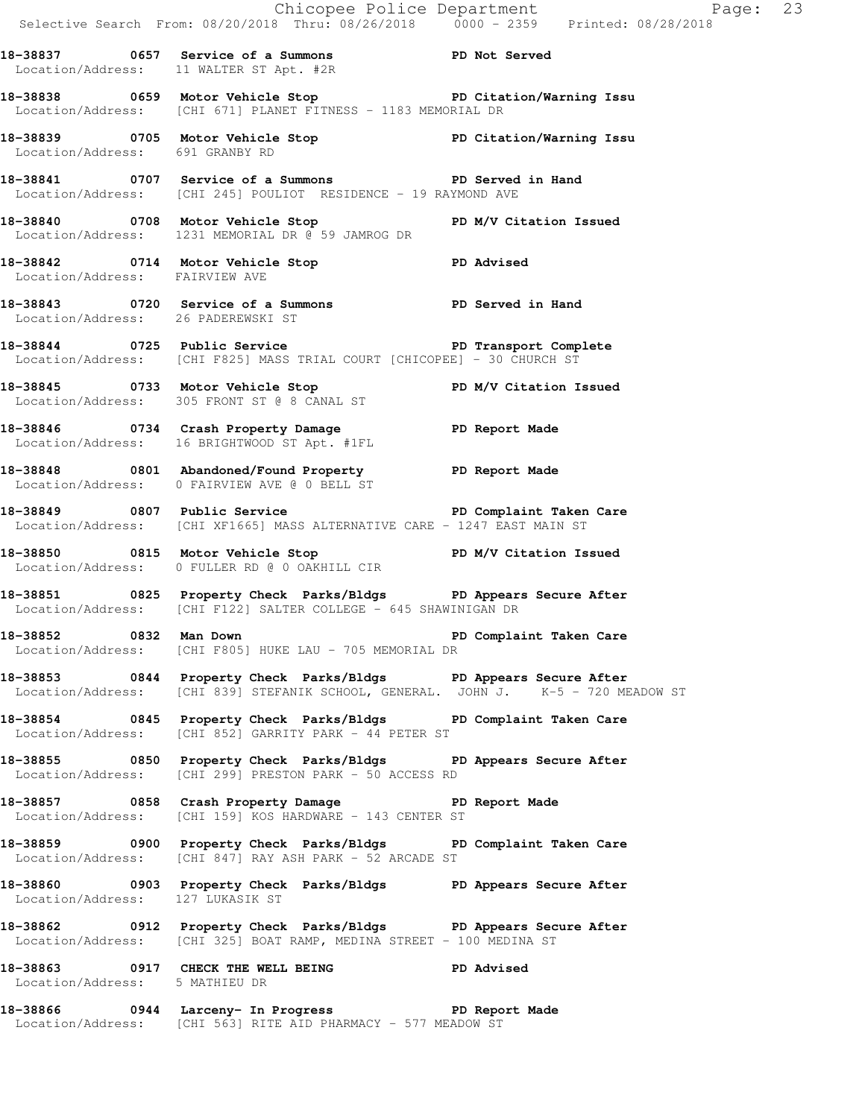|                                    |                                                                                                                                                       | Chicopee Police Department<br>Selective Search From: 08/20/2018 Thru: 08/26/2018 0000 - 2359 Printed: 08/28/2018 |  |
|------------------------------------|-------------------------------------------------------------------------------------------------------------------------------------------------------|------------------------------------------------------------------------------------------------------------------|--|
|                                    |                                                                                                                                                       |                                                                                                                  |  |
|                                    | 18-38837 0657 Service of a Summons TPD Not Served<br>Location/Address: 11 WALTER ST Apt. #2R                                                          |                                                                                                                  |  |
|                                    | 18-38838 18-38838 0659 Motor Vehicle Stop 18 PD Citation/Warning Issu<br>Location/Address: [CHI 671] PLANET FITNESS - 1183 MEMORIAL DR                |                                                                                                                  |  |
| Location/Address: 691 GRANBY RD    | 18-38839 0705 Motor Vehicle Stop North PD Citation/Warning Issu                                                                                       |                                                                                                                  |  |
|                                    | 18-38841 0707 Service of a Summons PD Served in Hand<br>Location/Address: [CHI 245] POULIOT RESIDENCE - 19 RAYMOND AVE                                |                                                                                                                  |  |
|                                    | 18-38840 0708 Motor Vehicle Stop PD M/V Citation Issued<br>Location/Address: 1231 MEMORIAL DR @ 59 JAMROG DR                                          |                                                                                                                  |  |
| Location/Address: FAIRVIEW AVE     | 18-38842 0714 Motor Vehicle Stop New PD Advised                                                                                                       |                                                                                                                  |  |
| Location/Address: 26 PADEREWSKI ST | 18-38843 0720 Service of a Summons PD Served in Hand                                                                                                  |                                                                                                                  |  |
|                                    | 18-38844 0725 Public Service <b>18-38844</b> PD Transport Complete<br>Location/Address: [CHI F825] MASS TRIAL COURT [CHICOPEE] - 30 CHURCH ST         |                                                                                                                  |  |
|                                    | 18-38845 0733 Motor Vehicle Stop PD M/V Citation Issued<br>Location/Address: 305 FRONT ST @ 8 CANAL ST                                                |                                                                                                                  |  |
|                                    | 18-38846 0734 Crash Property Damage PD Report Made<br>Location/Address: 16 BRIGHTWOOD ST Apt. #1FL                                                    |                                                                                                                  |  |
|                                    | 18-38848 0801 Abandoned/Found Property PD Report Made<br>Location/Address: 0 FAIRVIEW AVE @ 0 BELL ST                                                 |                                                                                                                  |  |
|                                    | 18-38849 0807 Public Service New PD Complaint Taken Care<br>Location/Address: [CHI XF1665] MASS ALTERNATIVE CARE - 1247 EAST MAIN ST                  |                                                                                                                  |  |
|                                    | 18-38850 0815 Motor Vehicle Stop N/V Citation Issued<br>Location/Address: 0 FULLER RD @ 0 OAKHILL CIR                                                 |                                                                                                                  |  |
|                                    | 18-38851 0825 Property Check Parks/Bldgs PD Appears Secure After<br>Location/Address: [CHI F122] SALTER COLLEGE - 645 SHAWINIGAN DR                   |                                                                                                                  |  |
|                                    | 18-38852 18932 Man Down 1999 10 PD Complaint Taken Care<br>Location/Address: [CHI F805] HUKE LAU - 705 MEMORIAL DR                                    |                                                                                                                  |  |
|                                    | 18-38853 0844 Property Check Parks/Bldgs PD Appears Secure After<br>Location/Address: [CHI 839] STEFANIK SCHOOL, GENERAL. JOHN J. K-5 - 720 MEADOW ST |                                                                                                                  |  |
|                                    | 18-38854 0845 Property Check Parks/Bldgs PD Complaint Taken Care<br>Location/Address: [CHI 852] GARRITY PARK - 44 PETER ST                            |                                                                                                                  |  |
|                                    | 18-38855 0850 Property Check Parks/Bldgs PD Appears Secure After<br>Location/Address: [CHI 299] PRESTON PARK - 50 ACCESS RD                           |                                                                                                                  |  |
|                                    | 18-38857 0858 Crash Property Damage 5 PD Report Made<br>Location/Address: [CHI 159] KOS HARDWARE - 143 CENTER ST                                      |                                                                                                                  |  |
|                                    | 18-38859 0900 Property Check Parks/Bldgs PD Complaint Taken Care<br>Location/Address: [CHI 847] RAY ASH PARK - 52 ARCADE ST                           |                                                                                                                  |  |
| Location/Address: 127 LUKASIK ST   | 18-38860 0903 Property Check Parks/Bldgs PD Appears Secure After                                                                                      |                                                                                                                  |  |
|                                    | 18-38862 0912 Property Check Parks/Bldgs PD Appears Secure After<br>Location/Address: [CHI 325] BOAT RAMP, MEDINA STREET - 100 MEDINA ST              |                                                                                                                  |  |
| Location/Address: 5 MATHIEU DR     | 18-38863 0917 CHECK THE WELL BEING PD Advised                                                                                                         |                                                                                                                  |  |
|                                    | 18-38866 0944 Larceny- In Progress 6 PD Report Made                                                                                                   |                                                                                                                  |  |

Location/Address: [CHI 563] RITE AID PHARMACY - 577 MEADOW ST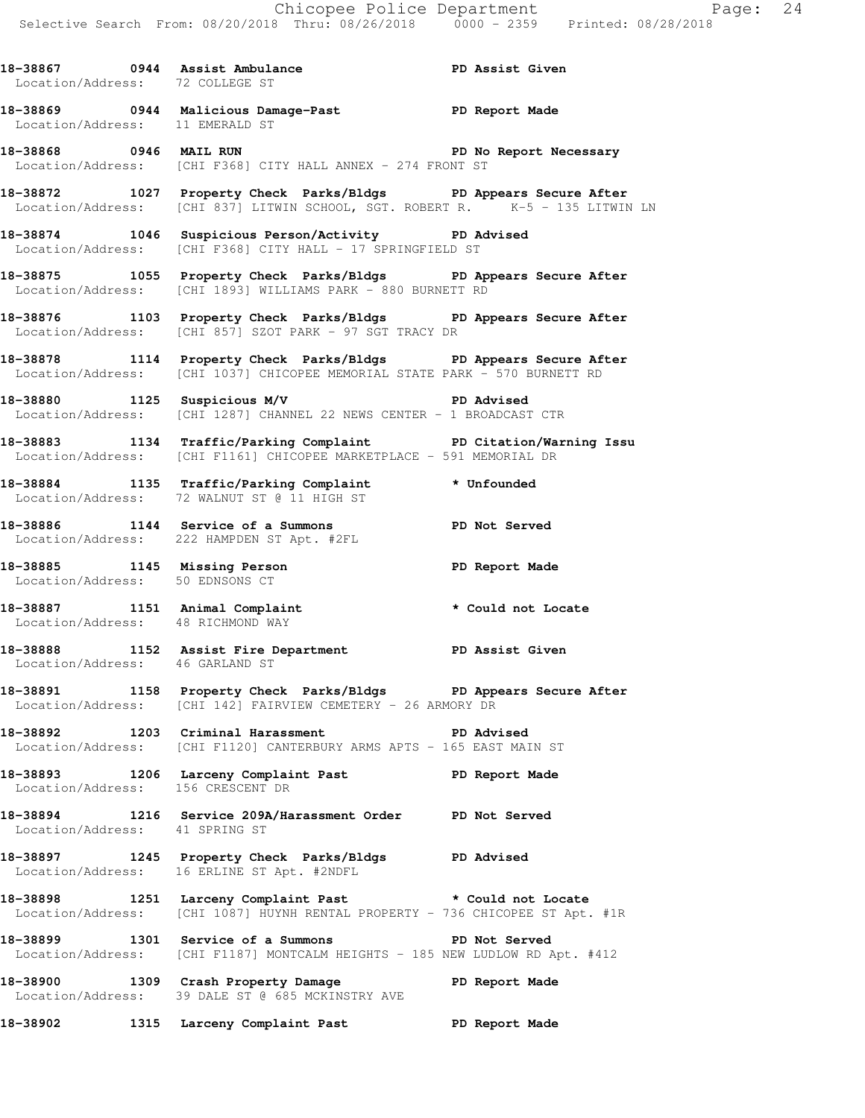18-38867 **0944** Assist Ambulance **PD Assist Given**  Location/Address: 72 COLLEGE ST **18-38869 0944 Malicious Damage-Past PD Report Made**  Location/Address: 11 EMERALD ST **18-38868 0946 MAIL RUN PD No Report Necessary**  Location/Address: [CHI F368] CITY HALL ANNEX - 274 FRONT ST

**18-38872 1027 Property Check Parks/Bldgs PD Appears Secure After**  Location/Address: [CHI 837] LITWIN SCHOOL, SGT. ROBERT R. K-5 - 135 LITWIN LN

**18-38874 1046 Suspicious Person/Activity PD Advised**  Location/Address: [CHI F368] CITY HALL - 17 SPRINGFIELD ST

**18-38875 1055 Property Check Parks/Bldgs PD Appears Secure After**  Location/Address: [CHI 1893] WILLIAMS PARK - 880 BURNETT RD

**18-38876 1103 Property Check Parks/Bldgs PD Appears Secure After**  Location/Address: [CHI 857] SZOT PARK - 97 SGT TRACY DR

**18-38878 1114 Property Check Parks/Bldgs PD Appears Secure After**  Location/Address: [CHI 1037] CHICOPEE MEMORIAL STATE PARK - 570 BURNETT RD

**18-38880 1125 Suspicious M/V PD Advised**  Location/Address: [CHI 1287] CHANNEL 22 NEWS CENTER - 1 BROADCAST CTR

**18-38883 1134 Traffic/Parking Complaint PD Citation/Warning Issu**  Location/Address: [CHI F1161] CHICOPEE MARKETPLACE - 591 MEMORIAL DR

**18-38884 1135 Traffic/Parking Complaint \* Unfounded**  Location/Address: 72 WALNUT ST @ 11 HIGH ST

**18-38886 1144 Service of a Summons PD Not Served**  Location/Address: 222 HAMPDEN ST Apt. #2FL

**18-38885 1145 Missing Person PD Report Made**  Location/Address: 50 EDNSONS CT

**18-38887 1151 Animal Complaint \* Could not Locate**  Location/Address: 48 RICHMOND WAY

**18-38888 1152 Assist Fire Department PD Assist Given**  Location/Address: 46 GARLAND ST

**18-38891 1158 Property Check Parks/Bldgs PD Appears Secure After**  Location/Address: [CHI 142] FAIRVIEW CEMETERY - 26 ARMORY DR

**18-38892 1203 Criminal Harassment PD Advised**  Location/Address: [CHI F1120] CANTERBURY ARMS APTS - 165 EAST MAIN ST

**18-38893 1206 Larceny Complaint Past PD Report Made**  Location/Address: 156 CRESCENT DR

**18-38894 1216 Service 209A/Harassment Order PD Not Served**  Location/Address: 41 SPRING ST

**18-38897 1245 Property Check Parks/Bldgs PD Advised**  Location/Address: 16 ERLINE ST Apt. #2NDFL

**18-38898 1251 Larceny Complaint Past \* Could not Locate**  Location/Address: [CHI 1087] HUYNH RENTAL PROPERTY - 736 CHICOPEE ST Apt. #1R

**18-38899 1301 Service of a Summons PD Not Served**  Location/Address: [CHI F1187] MONTCALM HEIGHTS - 185 NEW LUDLOW RD Apt. #412

**18-38900 1309 Crash Property Damage PD Report Made**  Location/Address: 39 DALE ST @ 685 MCKINSTRY AVE

**18-38902 1315 Larceny Complaint Past PD Report Made**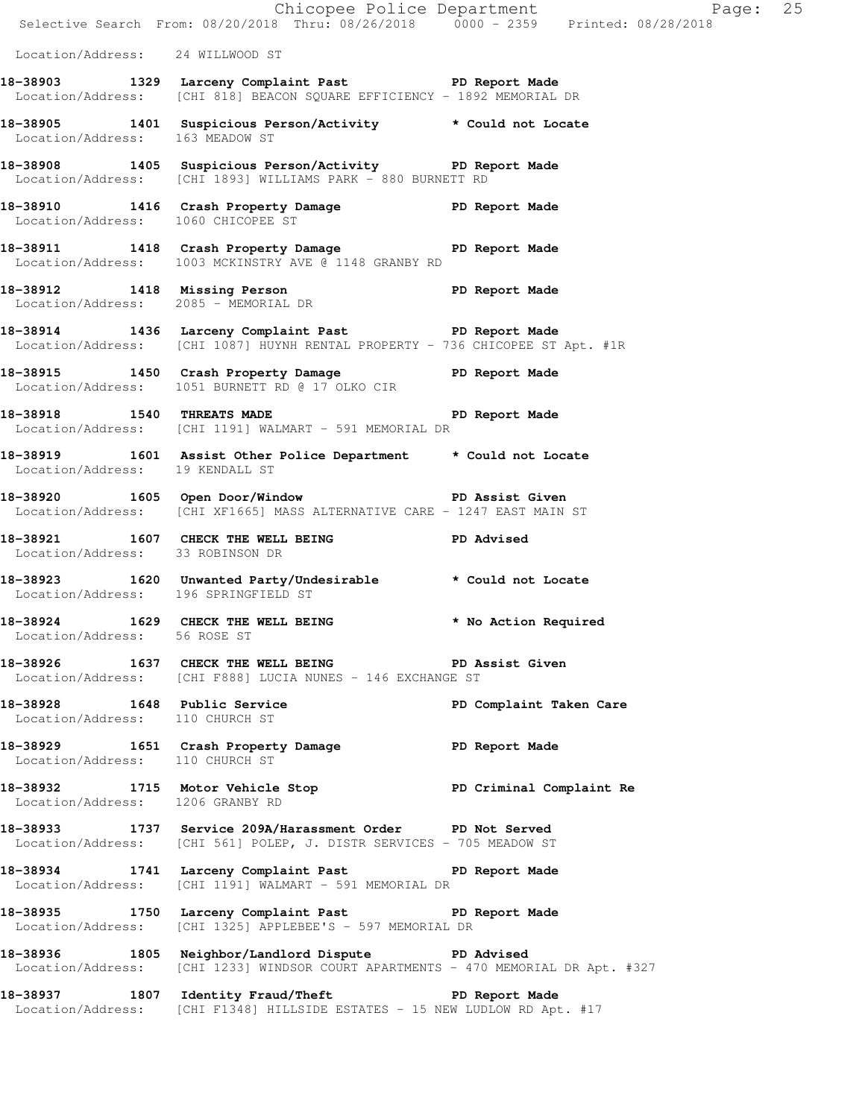|                                  | Chicopee Police Department<br>Selective Search From: 08/20/2018 Thru: 08/26/2018 0000 - 2359 Printed: 08/28/2018                        | Page: 25                |
|----------------------------------|-----------------------------------------------------------------------------------------------------------------------------------------|-------------------------|
| Location/Address: 24 WILLWOOD ST |                                                                                                                                         |                         |
|                                  | 18-38903 1329 Larceny Complaint Past PD Report Made<br>Location/Address: [CHI 818] BEACON SQUARE EFFICIENCY - 1892 MEMORIAL DR          |                         |
| Location/Address: 163 MEADOW ST  | 18-38905 1401 Suspicious Person/Activity * Could not Locate                                                                             |                         |
|                                  | 18-38908 1405 Suspicious Person/Activity PD Report Made<br>Location/Address: [CHI 1893] WILLIAMS PARK - 880 BURNETT RD                  |                         |
|                                  | 18-38910 1416 Crash Property Damage Name PD Report Made<br>Location/Address: 1060 CHICOPEE ST                                           |                         |
|                                  | 18-38911 1418 Crash Property Damage PD Report Made<br>Location/Address: 1003 MCKINSTRY AVE @ 1148 GRANBY RD                             |                         |
|                                  | 18-38912 1418 Missing Person Neport Made<br>Location/Address: 2085 - MEMORIAL DR                                                        |                         |
|                                  | 18-38914 1436 Larceny Complaint Past PD Report Made<br>Location/Address: [CHI 1087] HUYNH RENTAL PROPERTY - 736 CHICOPEE ST Apt. #1R    |                         |
|                                  | 18-38915 1450 Crash Property Damage PD Report Made<br>Location/Address: 1051 BURNETT RD @ 17 OLKO CIR                                   |                         |
| 18-38918 1540 THREATS MADE       | Location/Address: [CHI 1191] WALMART - 591 MEMORIAL DR                                                                                  | PD Report Made          |
| Location/Address: 19 KENDALL ST  | 18-38919 1601 Assist Other Police Department * Could not Locate                                                                         |                         |
|                                  | 18-38920 1605 Open Door/Window No PD Assist Given<br>Location/Address: [CHI XF1665] MASS ALTERNATIVE CARE - 1247 EAST MAIN ST           |                         |
| Location/Address: 33 ROBINSON DR | 18-38921 1607 CHECK THE WELL BEING PD Advised                                                                                           |                         |
|                                  | 18-38923 1620 Unwanted Party/Undesirable * Could not Locate<br>Location/Address: 196 SPRINGFIELD ST                                     |                         |
| Location/Address: 56 ROSE ST     | 18-38924 1629 CHECK THE WELL BEING * No Action Required                                                                                 |                         |
|                                  | 18-38926 1637 CHECK THE WELL BEING PD Assist Given<br>Location/Address: [CHI F888] LUCIA NUNES - 146 EXCHANGE ST                        |                         |
| Location/Address: 110 CHURCH ST  | 18-38928 1648 Public Service                                                                                                            | PD Complaint Taken Care |
| Location/Address: 110 CHURCH ST  | 18-38929 1651 Crash Property Damage Naport Made                                                                                         |                         |
| Location/Address: 1206 GRANBY RD | 18-38932 1715 Motor Vehicle Stop 5 PD Criminal Complaint Re                                                                             |                         |
|                                  | 18-38933 1737 Service 209A/Harassment Order PD Not Served<br>Location/Address: [CHI 561] POLEP, J. DISTR SERVICES - 705 MEADOW ST       |                         |
|                                  | 18-38934 1741 Larceny Complaint Past PD Report Made<br>Location/Address: [CHI 1191] WALMART - 591 MEMORIAL DR                           |                         |
|                                  | 18-38935 1750 Larceny Complaint Past PD Report Made<br>Location/Address: [CHI 1325] APPLEBEE'S - 597 MEMORIAL DR                        |                         |
|                                  | 18-38936 1805 Neighbor/Landlord Dispute PD Advised<br>Location/Address: [CHI 1233] WINDSOR COURT APARTMENTS - 470 MEMORIAL DR Apt. #327 |                         |
|                                  | 18-38937 1807 Identity Fraud/Theft PD Report Made<br>Location/Address: [CHI F1348] HILLSIDE ESTATES - 15 NEW LUDLOW RD Apt. #17         |                         |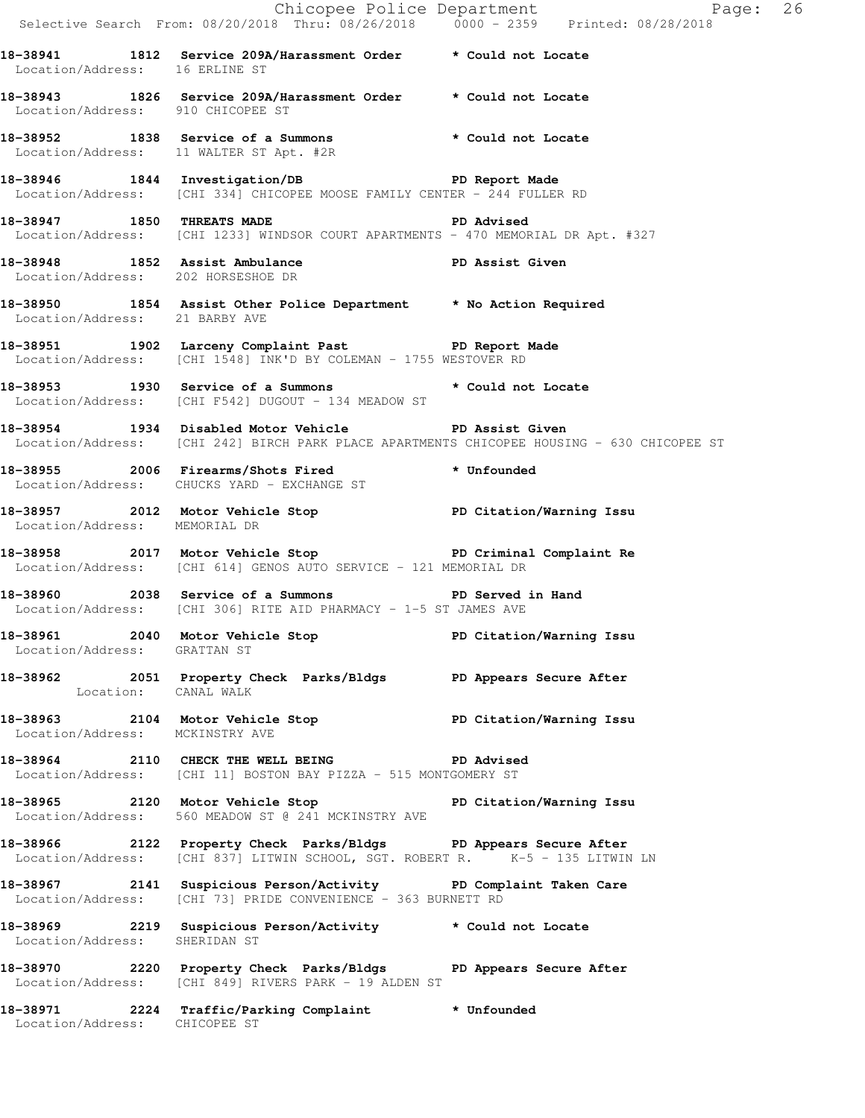|                                    |                                                                                                                                                   | Chicopee Police Department<br>Selective Search From: 08/20/2018 Thru: 08/26/2018 0000 - 2359 Printed: 08/28/2018 |  |
|------------------------------------|---------------------------------------------------------------------------------------------------------------------------------------------------|------------------------------------------------------------------------------------------------------------------|--|
| Location/Address: 16 ERLINE ST     | 18-38941 1812 Service 209A/Harassment Order * Could not Locate                                                                                    |                                                                                                                  |  |
| Location/Address: 910 CHICOPEE ST  | 18-38943 1826 Service 209A/Harassment Order * Could not Locate                                                                                    |                                                                                                                  |  |
|                                    | 18-38952 1838 Service of a Summons * Could not Locate<br>Location/Address: 11 WALTER ST Apt. #2R                                                  |                                                                                                                  |  |
|                                    | 18-38946 1844 Investigation/DB PD Report Made<br>Location/Address: [CHI 334] CHICOPEE MOOSE FAMILY CENTER - 244 FULLER RD                         |                                                                                                                  |  |
|                                    | 18-38947 1850 THREATS MADE PD Advised<br>Location/Address: [CHI 1233] WINDSOR COURT APARTMENTS - 470 MEMORIAL DR Apt. #327                        |                                                                                                                  |  |
| Location/Address: 202 HORSESHOE DR | 18-38948 1852 Assist Ambulance New PD Assist Given                                                                                                |                                                                                                                  |  |
| Location/Address: 21 BARBY AVE     | 18-38950 1854 Assist Other Police Department * No Action Required                                                                                 |                                                                                                                  |  |
|                                    | 18-38951 1902 Larceny Complaint Past PD Report Made<br>Location/Address: [CHI 1548] INK'D BY COLEMAN - 1755 WESTOVER RD                           |                                                                                                                  |  |
|                                    | 18-38953 1930 Service of a Summons * Could not Locate<br>Location/Address: [CHI F542] DUGOUT - 134 MEADOW ST                                      |                                                                                                                  |  |
|                                    | 18-38954 1934 Disabled Motor Vehicle No PD Assist Given                                                                                           | Location/Address: [CHI 242] BIRCH PARK PLACE APARTMENTS CHICOPEE HOUSING - 630 CHICOPEE ST                       |  |
|                                    | 18-38955 2006 Firearms/Shots Fired * Unfounded<br>Location/Address: CHUCKS YARD - EXCHANGE ST                                                     |                                                                                                                  |  |
| Location/Address: MEMORIAL DR      | 18-38957 2012 Motor Vehicle Stop North PD Citation/Warning Issu                                                                                   |                                                                                                                  |  |
|                                    | -<br>18-38958 18-2017 Motor Vehicle Stop 1997 PD Criminal Complaint Re<br>Location/Address: [CHI 614] GENOS AUTO SERVICE - 121 MEMORIAL DR        |                                                                                                                  |  |
|                                    | 18-38960 2038 Service of a Summons PD Served in Hand<br>Location/Address: [CHI 306] RITE AID PHARMACY - 1-5 ST JAMES AVE                          |                                                                                                                  |  |
| Location/Address: GRATTAN ST       | 18-38961 2040 Motor Vehicle Stop Notor PD Citation/Warning Issu                                                                                   |                                                                                                                  |  |
| Location: CANAL WALK               | 18-38962 2051 Property Check Parks/Bldgs PD Appears Secure After                                                                                  |                                                                                                                  |  |
| Location/Address: MCKINSTRY AVE    | 18-38963 2104 Motor Vehicle Stop North PD Citation/Warning Issu                                                                                   |                                                                                                                  |  |
|                                    | 18-38964 2110 CHECK THE WELL BEING PD Advised<br>Location/Address: [CHI 11] BOSTON BAY PIZZA - 515 MONTGOMERY ST                                  |                                                                                                                  |  |
|                                    | 18-38965 2120 Motor Vehicle Stop North PD Citation/Warning Issu<br>Location/Address: 560 MEADOW ST @ 241 MCKINSTRY AVE                            |                                                                                                                  |  |
|                                    | 18-38966 2122 Property Check Parks/Bldgs PD Appears Secure After<br>Location/Address: [CHI 837] LITWIN SCHOOL, SGT. ROBERT R. K-5 - 135 LITWIN LN |                                                                                                                  |  |
|                                    | 18-38967 2141 Suspicious Person/Activity PD Complaint Taken Care<br>Location/Address: [CHI 73] PRIDE CONVENIENCE - 363 BURNETT RD                 |                                                                                                                  |  |
| Location/Address: SHERIDAN ST      | 18-38969 2219 Suspicious Person/Activity * Could not Locate                                                                                       |                                                                                                                  |  |
|                                    | 18-38970 2220 Property Check Parks/Bldgs PD Appears Secure After<br>Location/Address: [CHI 849] RIVERS PARK - 19 ALDEN ST                         |                                                                                                                  |  |
| Location/Address: CHICOPEE ST      | 18-38971 2224 Traffic/Parking Complaint * Unfounded                                                                                               |                                                                                                                  |  |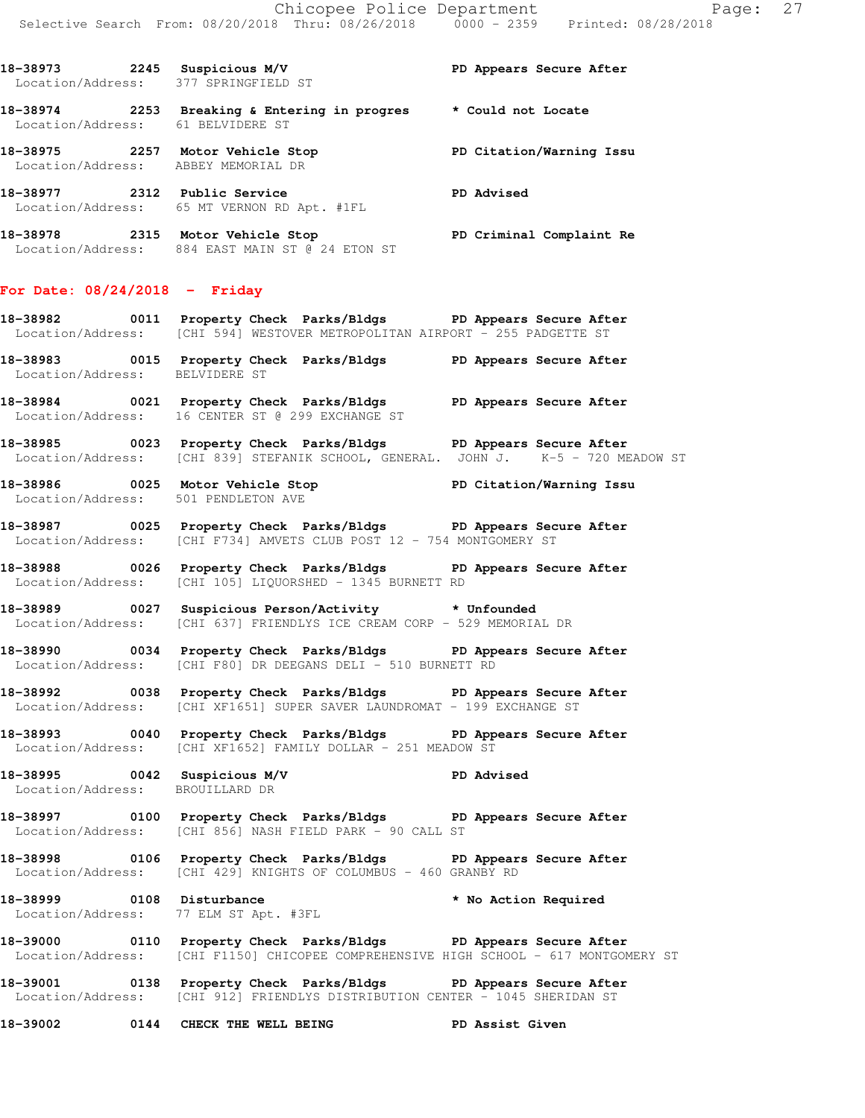| 18-38973<br>2245<br>Location/Address: | Suspicious M/V<br>377 SPRINGFIELD ST                | PD Appears Secure After  |
|---------------------------------------|-----------------------------------------------------|--------------------------|
| 18-38974<br>2253<br>Location/Address: | Breaking & Entering in progres<br>61 BELVIDERE ST   | * Could not Locate       |
| 18-38975<br>2257<br>Location/Address: | Motor Vehicle Stop<br>ABBEY MEMORIAL DR             | PD Citation/Warning Issu |
| 18-38977<br>2312<br>Location/Address: | Public Service<br>65 MT VERNON RD Apt. #1FL         | PD Advised               |
| 18-38978<br>2315<br>Location/Address: | Motor Vehicle Stop<br>884 EAST MAIN ST @ 24 ETON ST | PD Criminal Complaint Re |

## **For Date: 08/24/2018 - Friday**

- **18-38982 0011 Property Check Parks/Bldgs PD Appears Secure After**  Location/Address: [CHI 594] WESTOVER METROPOLITAN AIRPORT - 255 PADGETTE ST
- **18-38983 0015 Property Check Parks/Bldgs PD Appears Secure After**  Location/Address: BELVIDERE ST
- **18-38984 0021 Property Check Parks/Bldgs PD Appears Secure After**  Location/Address: 16 CENTER ST @ 299 EXCHANGE ST
- **18-38985 0023 Property Check Parks/Bldgs PD Appears Secure After**  Location/Address: [CHI 839] STEFANIK SCHOOL, GENERAL. JOHN J. K-5 - 720 MEADOW ST
- **18-38986 0025 Motor Vehicle Stop PD Citation/Warning Issu**  Location/Address: 501 PENDLETON AVE
- **18-38987 0025 Property Check Parks/Bldgs PD Appears Secure After**  Location/Address: [CHI F734] AMVETS CLUB POST 12 - 754 MONTGOMERY ST
- **18-38988 0026 Property Check Parks/Bldgs PD Appears Secure After**  Location/Address: [CHI 105] LIQUORSHED - 1345 BURNETT RD
- **18-38989 0027 Suspicious Person/Activity \* Unfounded**  Location/Address: [CHI 637] FRIENDLYS ICE CREAM CORP - 529 MEMORIAL DR
- **18-38990 0034 Property Check Parks/Bldgs PD Appears Secure After**  Location/Address: [CHI F80] DR DEEGANS DELI - 510 BURNETT RD
- **18-38992 0038 Property Check Parks/Bldgs PD Appears Secure After**  Location/Address: [CHI XF1651] SUPER SAVER LAUNDROMAT - 199 EXCHANGE ST
- **18-38993 0040 Property Check Parks/Bldgs PD Appears Secure After**  Location/Address: [CHI XF1652] FAMILY DOLLAR - 251 MEADOW ST

**18-38995 0042 Suspicious M/V PD Advised**  Location/Address: BROUILLARD DR

- **18-38997 0100 Property Check Parks/Bldgs PD Appears Secure After**  Location/Address: [CHI 856] NASH FIELD PARK - 90 CALL ST
- **18-38998 0106 Property Check Parks/Bldgs PD Appears Secure After**  Location/Address: [CHI 429] KNIGHTS OF COLUMBUS - 460 GRANBY RD
- **18-38999 0108 Disturbance \* No Action Required**  Location/Address: 77 ELM ST Apt. #3FL
- **18-39000 0110 Property Check Parks/Bldgs PD Appears Secure After**  Location/Address: [CHI F1150] CHICOPEE COMPREHENSIVE HIGH SCHOOL - 617 MONTGOMERY ST
- **18-39001 0138 Property Check Parks/Bldgs PD Appears Secure After**  Location/Address: [CHI 912] FRIENDLYS DISTRIBUTION CENTER - 1045 SHERIDAN ST

**18-39002 0144 CHECK THE WELL BEING PD Assist Given**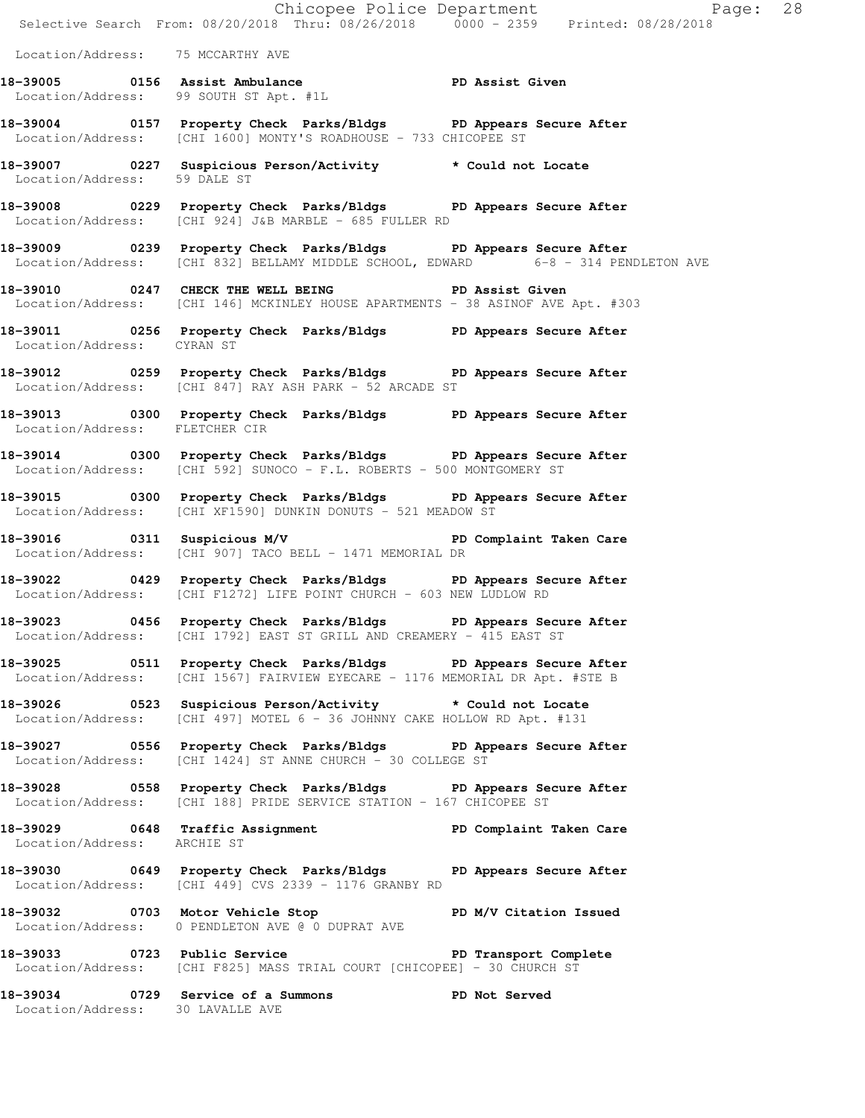|                                   | Chicopee Police Department<br>Selective Search From: 08/20/2018 Thru: 08/26/2018 0000 - 2359 Printed: 08/28/2018                                      |  |
|-----------------------------------|-------------------------------------------------------------------------------------------------------------------------------------------------------|--|
| Location/Address: 75 MCCARTHY AVE |                                                                                                                                                       |  |
|                                   | 18-39005 0156 Assist Ambulance New PD Assist Given<br>Location/Address: 99 SOUTH ST Apt. #1L                                                          |  |
|                                   | 18-39004 0157 Property Check Parks/Bldgs PD Appears Secure After<br>Location/Address: [CHI 1600] MONTY'S ROADHOUSE - 733 CHICOPEE ST                  |  |
| Location/Address: 59 DALE ST      | 18-39007 0227 Suspicious Person/Activity * Could not Locate                                                                                           |  |
|                                   | 18-39008 0229 Property Check Parks/Bldgs PD Appears Secure After<br>Location/Address: [CHI 924] J&B MARBLE - 685 FULLER RD                            |  |
|                                   | 18-39009 0239 Property Check Parks/Bldgs PD Appears Secure After<br>Location/Address: [CHI 832] BELLAMY MIDDLE SCHOOL, EDWARD 6-8 - 314 PENDLETON AVE |  |
|                                   | 18-39010 0247 CHECK THE WELL BEING PD Assist Given<br>Location/Address: [CHI 146] MCKINLEY HOUSE APARTMENTS - 38 ASINOF AVE Apt. #303                 |  |
| Location/Address: CYRAN ST        | 18-39011 0256 Property Check Parks/Bldgs PD Appears Secure After                                                                                      |  |
|                                   | 18-39012 0259 Property Check Parks/Bldgs PD Appears Secure After<br>Location/Address: [CHI 847] RAY ASH PARK - 52 ARCADE ST                           |  |
| Location/Address: FLETCHER CIR    | 18-39013 0300 Property Check Parks/Bldgs PD Appears Secure After                                                                                      |  |
|                                   | 18-39014 0300 Property Check Parks/Bldgs PD Appears Secure After<br>Location/Address: [CHI 592] SUNOCO - F.L. ROBERTS - 500 MONTGOMERY ST             |  |
|                                   | 18-39015 0300 Property Check Parks/Bldgs PD Appears Secure After<br>Location/Address: [CHI XF1590] DUNKIN DONUTS - 521 MEADOW ST                      |  |
|                                   | 18-39016 		 0311 Suspicious M/V 		 PD Complaint Taken Care<br>Location/Address: [CHI 907] TACO BELL - 1471 MEMORIAL DR                                |  |
|                                   | 18-39022 0429 Property Check Parks/Bldgs PD Appears Secure After<br>Location/Address: [CHI F1272] LIFE POINT CHURCH - 603 NEW LUDLOW RD               |  |
|                                   | 18-39023 0456 Property Check Parks/Bldgs PD Appears Secure After<br>Location/Address: [CHI 1792] EAST ST GRILL AND CREAMERY - 415 EAST ST             |  |
|                                   | 18-39025 0511 Property Check Parks/Bldgs PD Appears Secure After<br>Location/Address: [CHI 1567] FAIRVIEW EYECARE - 1176 MEMORIAL DR Apt. #STE B      |  |
|                                   | 18-39026 0523 Suspicious Person/Activity * Could not Locate<br>Location/Address: [CHI 497] MOTEL 6 - 36 JOHNNY CAKE HOLLOW RD Apt. #131               |  |
|                                   | 18-39027 0556 Property Check Parks/Bldgs PD Appears Secure After<br>Location/Address: [CHI 1424] ST ANNE CHURCH - 30 COLLEGE ST                       |  |
|                                   | 18-39028 0558 Property Check Parks/Bldgs PD Appears Secure After<br>Location/Address: [CHI 188] PRIDE SERVICE STATION - 167 CHICOPEE ST               |  |
| Location/Address: ARCHIE ST       | 18-39029 0648 Traffic Assignment National PD Complaint Taken Care                                                                                     |  |
|                                   | 18-39030 0649 Property Check Parks/Bldgs PD Appears Secure After<br>Location/Address: [CHI 449] CVS 2339 - 1176 GRANBY RD                             |  |
|                                   | 18-39032 0703 Motor Vehicle Stop N/V Citation Issued<br>Location/Address: 0 PENDLETON AVE @ 0 DUPRAT AVE                                              |  |
|                                   | 18-39033 0723 Public Service New PD Transport Complete<br>Location/Address: [CHI F825] MASS TRIAL COURT [CHICOPEE] - 30 CHURCH ST                     |  |
| Location/Address: 30 LAVALLE AVE  | 18-39034 0729 Service of a Summons<br>PD Not Served                                                                                                   |  |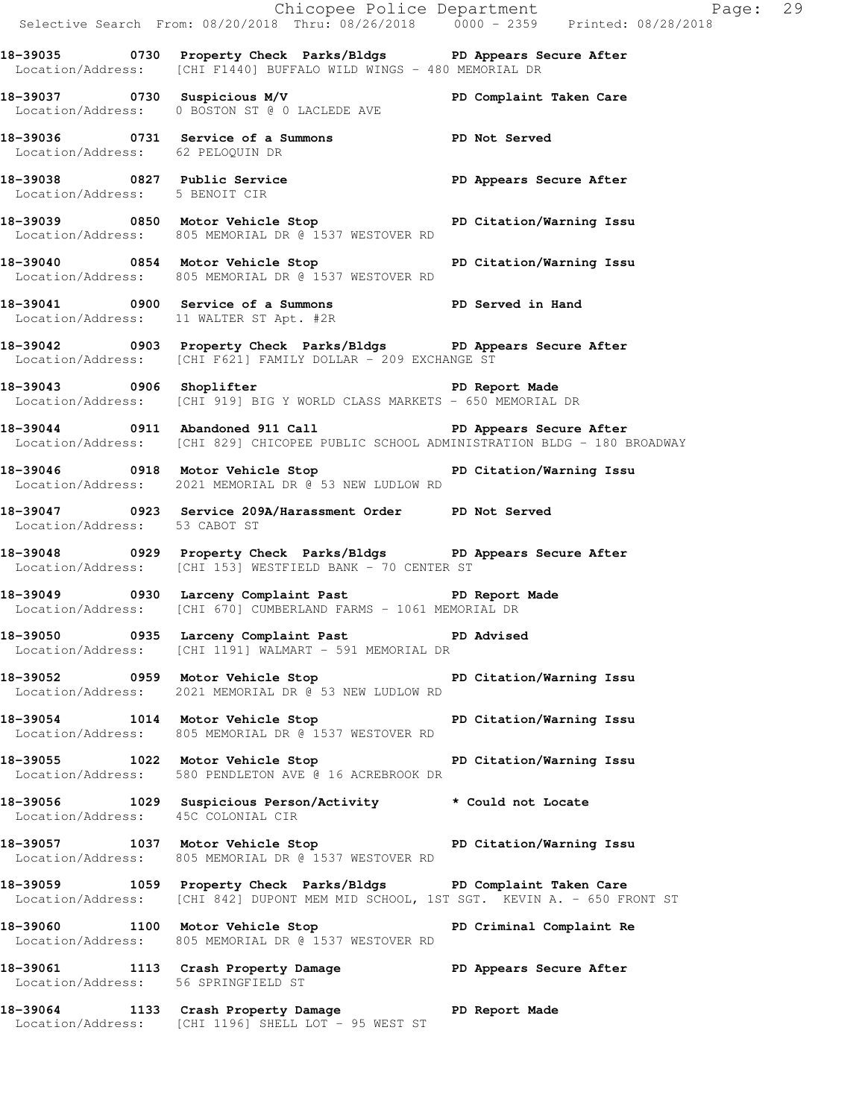Chicopee Police Department Fage: 29 Selective Search From: 08/20/2018 Thru: 08/26/2018 0000 - 2359 Printed: 08/28/2018 **18-39035 0730 Property Check Parks/Bldgs PD Appears Secure After**  Location/Address: [CHI F1440] BUFFALO WILD WINGS - 480 MEMORIAL DR **18-39037 0730 Suspicious M/V PD Complaint Taken Care**  Location/Address: 0 BOSTON ST @ 0 LACLEDE AVE **18-39036 0731 Service of a Summons PD Not Served**  Location/Address: 62 PELOQUIN DR **18-39038 0827 Public Service PD Appears Secure After**  Location/Address: 5 BENOIT CIR **18-39039 0850 Motor Vehicle Stop PD Citation/Warning Issu**  Location/Address: 805 MEMORIAL DR @ 1537 WESTOVER RD **18-39040 0854 Motor Vehicle Stop PD Citation/Warning Issu**  Location/Address: 805 MEMORIAL DR @ 1537 WESTOVER RD **18-39041 0900 Service of a Summons PD Served in Hand**  Location/Address: 11 WALTER ST Apt. #2R **18-39042 0903 Property Check Parks/Bldgs PD Appears Secure After**  Location/Address: [CHI F621] FAMILY DOLLAR - 209 EXCHANGE ST **18-39043 0906 Shoplifter PD Report Made**  Location/Address: [CHI 919] BIG Y WORLD CLASS MARKETS - 650 MEMORIAL DR **18-39044 0911 Abandoned 911 Call PD Appears Secure After**  Location/Address: [CHI 829] CHICOPEE PUBLIC SCHOOL ADMINISTRATION BLDG - 180 BROADWAY **18-39046 0918 Motor Vehicle Stop PD Citation/Warning Issu**  Location/Address: 2021 MEMORIAL DR @ 53 NEW LUDLOW RD **18-39047 0923 Service 209A/Harassment Order PD Not Served**  Location/Address: 53 CABOT ST **18-39048 0929 Property Check Parks/Bldgs PD Appears Secure After**  Location/Address: [CHI 153] WESTFIELD BANK - 70 CENTER ST **18-39049 0930 Larceny Complaint Past PD Report Made**  Location/Address: [CHI 670] CUMBERLAND FARMS - 1061 MEMORIAL DR 18-39050 **0935** Larceny Complaint Past **PD Advised**  Location/Address: [CHI 1191] WALMART - 591 MEMORIAL DR **18-39052 0959 Motor Vehicle Stop PD Citation/Warning Issu**  Location/Address: 2021 MEMORIAL DR @ 53 NEW LUDLOW RD **18-39054 1014 Motor Vehicle Stop PD Citation/Warning Issu**  Location/Address: 805 MEMORIAL DR @ 1537 WESTOVER RD **18-39055 1022 Motor Vehicle Stop PD Citation/Warning Issu**  Location/Address: 580 PENDLETON AVE @ 16 ACREBROOK DR **18-39056 1029 Suspicious Person/Activity \* Could not Locate**  Location/Address: 45C COLONIAL CIR **18-39057 1037 Motor Vehicle Stop PD Citation/Warning Issu**  Location/Address: 805 MEMORIAL DR @ 1537 WESTOVER RD **18-39059 1059 Property Check Parks/Bldgs PD Complaint Taken Care**  Location/Address: [CHI 842] DUPONT MEM MID SCHOOL, 1ST SGT. KEVIN A. - 650 FRONT ST **18-39060 1100 Motor Vehicle Stop PD Criminal Complaint Re**  Location/Address: 805 MEMORIAL DR @ 1537 WESTOVER RD **18-39061 1113 Crash Property Damage PD Appears Secure After**  Location/Address: 56 SPRINGFIELD ST **18-39064 1133 Crash Property Damage PD Report Made**  Location/Address: [CHI 1196] SHELL LOT - 95 WEST ST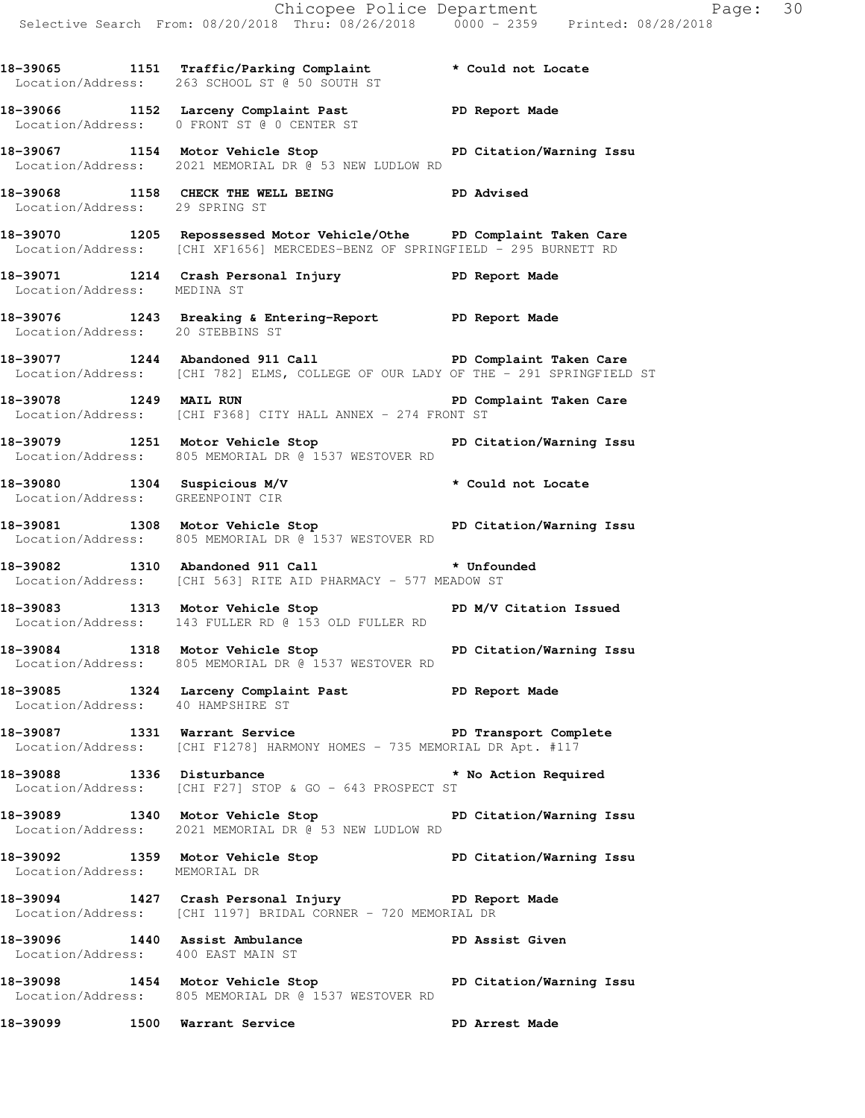|                                    |                                                                                                                                                               | Chicopee Police Department<br>Selective Search From: 08/20/2018 Thru: 08/26/2018 0000 - 2359 Printed: 08/28/2018 |
|------------------------------------|---------------------------------------------------------------------------------------------------------------------------------------------------------------|------------------------------------------------------------------------------------------------------------------|
|                                    | 18-39065 1151 Traffic/Parking Complaint * Could not Locate<br>Location/Address: 263 SCHOOL ST @ 50 SOUTH ST                                                   |                                                                                                                  |
|                                    | 18-39066 1152 Larceny Complaint Past PD Report Made<br>Location/Address: 0 FRONT ST @ 0 CENTER ST                                                             |                                                                                                                  |
|                                    | 18-39067 1154 Motor Vehicle Stop North PD Citation/Warning Issu<br>Location/Address: 2021 MEMORIAL DR @ 53 NEW LUDLOW RD                                      |                                                                                                                  |
| Location/Address: 29 SPRING ST     | 18-39068 1158 CHECK THE WELL BEING FD Advised                                                                                                                 |                                                                                                                  |
|                                    | 18-39070 1205 Repossessed Motor Vehicle/Othe PD Complaint Taken Care<br>Location/Address: [CHI XF1656] MERCEDES-BENZ OF SPRINGFIELD - 295 BURNETT RD          |                                                                                                                  |
| Location/Address: MEDINA ST        | 18-39071 1214 Crash Personal Injury 18-39071 PD Report Made                                                                                                   |                                                                                                                  |
| Location/Address: 20 STEBBINS ST   | 18-39076 1243 Breaking & Entering-Report PD Report Made                                                                                                       |                                                                                                                  |
|                                    | 18-39077 1244 Abandoned 911 Call <b>18-39077</b> PD Complaint Taken Care<br>Location/Address: [CHI 782] ELMS, COLLEGE OF OUR LADY OF THE - 291 SPRINGFIELD ST |                                                                                                                  |
| 18-39078 1249 MAIL RUN             | Location/Address: [CHI F368] CITY HALL ANNEX - 274 FRONT ST                                                                                                   | PD Complaint Taken Care                                                                                          |
|                                    | 18-39079 1251 Motor Vehicle Stop PD Citation/Warning Issu<br>Location/Address: 805 MEMORIAL DR @ 1537 WESTOVER RD                                             |                                                                                                                  |
| Location/Address: GREENPOINT CIR   | 18-39080 1304 Suspicious M/V * Could not Locate                                                                                                               |                                                                                                                  |
|                                    | 18-39081 1308 Motor Vehicle Stop North PD Citation/Warning Issu<br>Location/Address: 805 MEMORIAL DR @ 1537 WESTOVER RD                                       |                                                                                                                  |
|                                    | 18-39082 1310 Abandoned 911 Call <b>*</b> Unfounded<br>Location/Address: [CHI 563] RITE AID PHARMACY - 577 MEADOW ST                                          |                                                                                                                  |
|                                    | 18-39083 1313 Motor Vehicle Stop N/V Citation Issued<br>Location/Address: 143 FULLER RD @ 153 OLD FULLER RD                                                   |                                                                                                                  |
|                                    | 18-39084 1318 Motor Vehicle Stop North PD Citation/Warning Issu<br>Location/Address: 805 MEMORIAL DR @ 1537 WESTOVER RD                                       |                                                                                                                  |
| Location/Address: 40 HAMPSHIRE ST  | 18-39085 1324 Larceny Complaint Past PD Report Made                                                                                                           |                                                                                                                  |
|                                    | 18-39087 1331 Warrant Service New PD Transport Complete<br>Location/Address: [CHI F1278] HARMONY HOMES - 735 MEMORIAL DR Apt. #117                            |                                                                                                                  |
|                                    | 18-39088 1336 Disturbance 18-1 and the Mo Action Required<br>Location/Address: [CHI F27] STOP & GO - 643 PROSPECT ST                                          |                                                                                                                  |
|                                    | 18-39089 1340 Motor Vehicle Stop North PD Citation/Warning Issu<br>Location/Address: 2021 MEMORIAL DR @ 53 NEW LUDLOW RD                                      |                                                                                                                  |
| Location/Address: MEMORIAL DR      | 18-39092 1359 Motor Vehicle Stop Notor PD Citation/Warning Issu                                                                                               |                                                                                                                  |
|                                    | 18-39094 1427 Crash Personal Injury 18-39094 PD Report Made<br>Location/Address: [CHI 1197] BRIDAL CORNER - 720 MEMORIAL DR                                   |                                                                                                                  |
| Location/Address: 400 EAST MAIN ST | 18-39096 1440 Assist Ambulance PD Assist Given                                                                                                                |                                                                                                                  |
|                                    | 18-39098 1454 Motor Vehicle Stop North PD Citation/Warning Issu<br>Location/Address: 805 MEMORIAL DR @ 1537 WESTOVER RD                                       |                                                                                                                  |
|                                    | 18-39099 1500 Warrant Service                                                                                                                                 | PD Arrest Made                                                                                                   |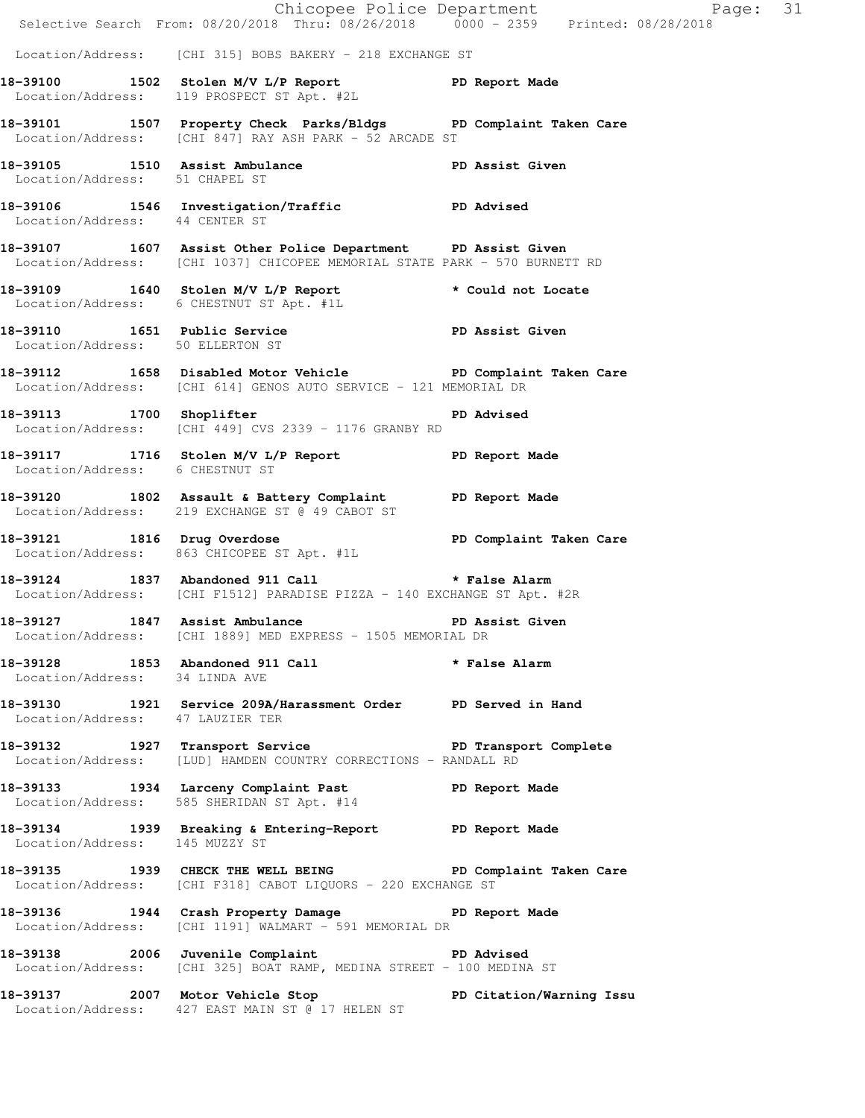|                                  |                                                                                                                                            | E Chicopee Police Department<br>Selective Search From: 08/20/2018 Thru: 08/26/2018 0000 - 2359 Printed: 08/28/2018<br>Page: 31 |  |
|----------------------------------|--------------------------------------------------------------------------------------------------------------------------------------------|--------------------------------------------------------------------------------------------------------------------------------|--|
|                                  | Location/Address: [CHI 315] BOBS BAKERY - 218 EXCHANGE ST                                                                                  |                                                                                                                                |  |
|                                  | 18-39100 1502 Stolen M/V L/P Report 18-39100<br>Location/Address: 119 PROSPECT ST Apt. #2L                                                 |                                                                                                                                |  |
|                                  | 18-39101 1507 Property Check Parks/Bldgs PD Complaint Taken Care<br>Location/Address: [CHI 847] RAY ASH PARK - 52 ARCADE ST                |                                                                                                                                |  |
| Location/Address: 51 CHAPEL ST   | 18-39105 1510 Assist Ambulance No PD Assist Given                                                                                          |                                                                                                                                |  |
| Location/Address: 44 CENTER ST   | 18-39106 1546 Investigation/Traffic Number 2D Advised                                                                                      |                                                                                                                                |  |
|                                  | 18-39107 1607 Assist Other Police Department PD Assist Given<br>Location/Address: [CHI 1037] CHICOPEE MEMORIAL STATE PARK - 570 BURNETT RD |                                                                                                                                |  |
|                                  | 18-39109 1640 Stolen M/V L/P Report * Could not Locate<br>Location/Address: 6 CHESTNUT ST Apt. #1L                                         |                                                                                                                                |  |
| Location/Address: 50 ELLERTON ST | 18-39110 1651 Public Service <b>18-39110</b> PD Assist Given                                                                               |                                                                                                                                |  |
|                                  | 18-39112 1658 Disabled Motor Vehicle PD Complaint Taken Care<br>Location/Address: [CHI 614] GENOS AUTO SERVICE - 121 MEMORIAL DR           |                                                                                                                                |  |
|                                  | 18-39113 1700 Shoplifter 18-39113<br>Location/Address: [CHI 449] CVS 2339 - 1176 GRANBY RD                                                 |                                                                                                                                |  |
| Location/Address: 6 CHESTNUT ST  | 18-39117 1716 Stolen M/V L/P Report 18-39117                                                                                               |                                                                                                                                |  |
|                                  | 18-39120 1802 Assault & Battery Complaint PD Report Made<br>Location/Address: 219 EXCHANGE ST @ 49 CABOT ST                                |                                                                                                                                |  |
| 18-39121 1816 Drug Overdose      | Location/Address: 863 CHICOPEE ST Apt. #1L                                                                                                 | PD Complaint Taken Care                                                                                                        |  |
|                                  | 18-39124 1837 Abandoned 911 Call <b>*</b> False Alarm<br>Location/Address: [CHI F1512] PARADISE PIZZA - 140 EXCHANGE ST Apt. #2R           |                                                                                                                                |  |
| 18-39127 1847 Assist Ambulance   | Location/Address: [CHI 1889] MED EXPRESS - 1505 MEMORIAL DR                                                                                | PD Assist Given                                                                                                                |  |
| Location/Address: 34 LINDA AVE   | 18-39128 1853 Abandoned 911 Call <b>*</b> False Alarm                                                                                      |                                                                                                                                |  |
| Location/Address: 47 LAUZIER TER | 18-39130 1921 Service 209A/Harassment Order PD Served in Hand                                                                              |                                                                                                                                |  |
|                                  | 18-39132 1927 Transport Service New PD Transport Complete<br>Location/Address: [LUD] HAMDEN COUNTRY CORRECTIONS - RANDALL RD               |                                                                                                                                |  |
|                                  | 18-39133 1934 Larceny Complaint Past PD Report Made<br>Location/Address: 585 SHERIDAN ST Apt. #14                                          |                                                                                                                                |  |
| Location/Address: 145 MUZZY ST   | 18-39134 1939 Breaking & Entering-Report PD Report Made                                                                                    |                                                                                                                                |  |
|                                  | 18-39135 1939 CHECK THE WELL BEING PD Complaint Taken Care<br>Location/Address: [CHI F318] CABOT LIQUORS - 220 EXCHANGE ST                 |                                                                                                                                |  |
|                                  | 18-39136 1944 Crash Property Damage Naport Made<br>Location/Address: [CHI 1191] WALMART - 591 MEMORIAL DR                                  |                                                                                                                                |  |
|                                  | 18-39138 2006 Juvenile Complaint PD Advised<br>Location/Address: [CHI 325] BOAT RAMP, MEDINA STREET - 100 MEDINA ST                        |                                                                                                                                |  |
|                                  | 18-39137 2007 Motor Vehicle Stop North PD Citation/Warning Issu<br>Location/Address: 427 EAST MAIN ST @ 17 HELEN ST                        |                                                                                                                                |  |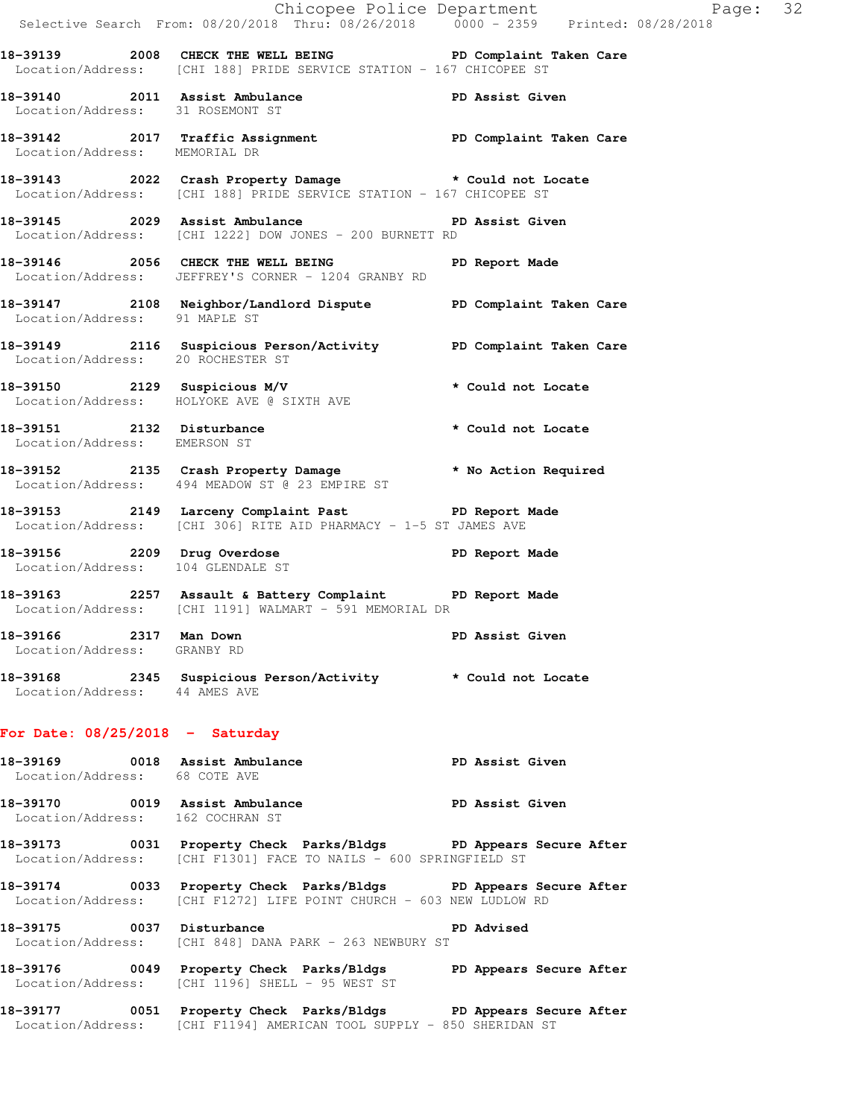|                                                       |                                                                                           | Chicopee Police Department<br>Selective Search From: 08/20/2018 Thru: 08/26/2018 0000 - 2359 Printed: 08/28/2018                         |  |
|-------------------------------------------------------|-------------------------------------------------------------------------------------------|------------------------------------------------------------------------------------------------------------------------------------------|--|
|                                                       |                                                                                           | 18-39139 2008 CHECK THE WELL BEING PD Complaint Taken Care<br>Location/Address: [CHI 188] PRIDE SERVICE STATION - 167 CHICOPEE ST        |  |
|                                                       | Location/Address: 31 ROSEMONT ST                                                          | 18-39140 2011 Assist Ambulance PD Assist Given                                                                                           |  |
| Location/Address: MEMORIAL DR                         |                                                                                           | 18-39142 2017 Traffic Assignment PD Complaint Taken Care                                                                                 |  |
|                                                       |                                                                                           | 18-39143 2022 Crash Property Damage * Could not Locate<br>Location/Address: [CHI 188] PRIDE SERVICE STATION - 167 CHICOPEE ST            |  |
|                                                       | Location/Address: [CHI 1222] DOW JONES - 200 BURNETT RD                                   | 18-39145 2029 Assist Ambulance New PD Assist Given                                                                                       |  |
|                                                       | 18-39146 2056 CHECK THE WELL BEING<br>Location/Address: JEFFREY'S CORNER - 1204 GRANBY RD | PD Report Made                                                                                                                           |  |
| Location/Address: 91 MAPLE ST                         |                                                                                           | 18-39147 2108 Neighbor/Landlord Dispute PD Complaint Taken Care                                                                          |  |
|                                                       | Location/Address: 20 ROCHESTER ST                                                         | 18-39149 2116 Suspicious Person/Activity PD Complaint Taken Care                                                                         |  |
|                                                       |                                                                                           | 18-39150 2129 Suspicious M/V * Could not Locate<br>Location/Address: HOLYOKE AVE @ SIXTH AVE * Could not Locate                          |  |
| Location/Address: EMERSON ST                          |                                                                                           | 18-39151 2132 Disturbance * * Could not Locate                                                                                           |  |
|                                                       |                                                                                           | 18-39152 2135 Crash Property Damage * No Action Required<br>Location/Address: 494 MEADOW ST @ 23 EMPIRE ST                               |  |
|                                                       | Location/Address: [CHI 306] RITE AID PHARMACY - 1-5 ST JAMES AVE                          | 18-39153 2149 Larceny Complaint Past PD Report Made                                                                                      |  |
|                                                       |                                                                                           | 18-39156 2209 Drug Overdose PD Report Made<br>Location/Address: 104 GLENDALE ST                                                          |  |
|                                                       | Location/Address: [CHI 1191] WALMART - 591 MEMORIAL DR                                    | 18-39163 2257 Assault & Battery Complaint PD Report Made                                                                                 |  |
| 18-39166 2317 Man Down<br>Location/Address: GRANBY RD |                                                                                           | PD Assist Given                                                                                                                          |  |
| Location/Address: 44 AMES AVE                         |                                                                                           | 18-39168 2345 Suspicious Person/Activity * Could not Locate                                                                              |  |
| For Date: $08/25/2018$ - Saturday                     |                                                                                           |                                                                                                                                          |  |
| Location/Address: 68 COTE AVE                         |                                                                                           | 18-39169 0018 Assist Ambulance No PD Assist Given                                                                                        |  |
|                                                       | Location/Address: 162 COCHRAN ST                                                          | 18-39170 0019 Assist Ambulance No PD Assist Given                                                                                        |  |
|                                                       | Location/Address: [CHI F1301] FACE TO NAILS - 600 SPRINGFIELD ST                          | 18-39173 0031 Property Check Parks/Bldgs PD Appears Secure After                                                                         |  |
|                                                       |                                                                                           | 18-39174 0033 Property Check Parks/Bldgs PD Appears Secure After<br>Location/Address: [CHI F1272] LIFE POINT CHURCH - 603 NEW LUDLOW RD  |  |
|                                                       | 18-39175 0037 Disturbance<br>Location/Address: [CHI 848] DANA PARK - 263 NEWBURY ST       | PD Advised                                                                                                                               |  |
|                                                       | Location/Address: [CHI 1196] SHELL - 95 WEST ST                                           | 18-39176 60049 Property Check Parks/Bldgs 5 PD Appears Secure After                                                                      |  |
|                                                       |                                                                                           | 18-39177 0051 Property Check Parks/Bldgs PD Appears Secure After<br>Location/Address: [CHI F1194] AMERICAN TOOL SUPPLY - 850 SHERIDAN ST |  |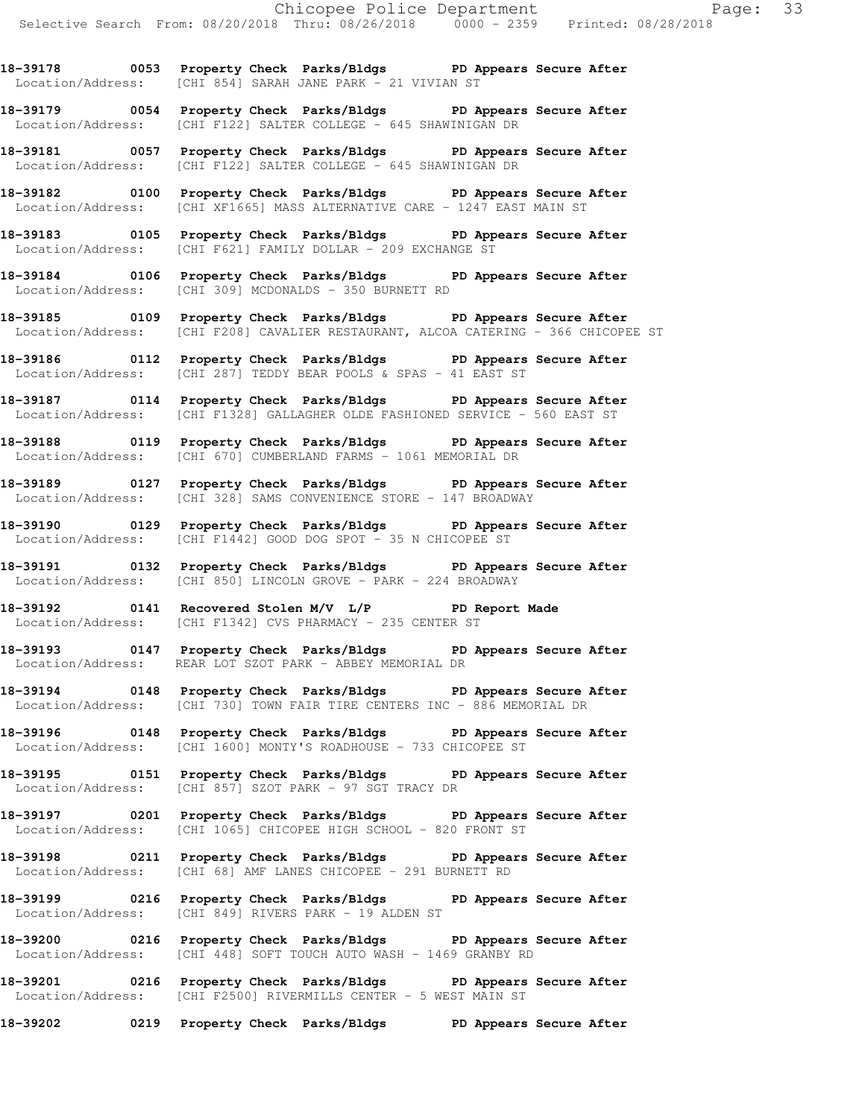**18-39178 0053 Property Check Parks/Bldgs PD Appears Secure After**  Location/Address: [CHI 854] SARAH JANE PARK - 21 VIVIAN ST

**18-39179 0054 Property Check Parks/Bldgs PD Appears Secure After**  Location/Address: [CHI F122] SALTER COLLEGE - 645 SHAWINIGAN DR

**18-39181 0057 Property Check Parks/Bldgs PD Appears Secure After**  Location/Address: [CHI F122] SALTER COLLEGE - 645 SHAWINIGAN DR

**18-39182 0100 Property Check Parks/Bldgs PD Appears Secure After**  Location/Address: [CHI XF1665] MASS ALTERNATIVE CARE - 1247 EAST MAIN ST

**18-39183 0105 Property Check Parks/Bldgs PD Appears Secure After**  Location/Address: [CHI F621] FAMILY DOLLAR - 209 EXCHANGE ST

**18-39184 0106 Property Check Parks/Bldgs PD Appears Secure After**  Location/Address: [CHI 309] MCDONALDS - 350 BURNETT RD

**18-39185 0109 Property Check Parks/Bldgs PD Appears Secure After**  Location/Address: [CHI F208] CAVALIER RESTAURANT, ALCOA CATERING - 366 CHICOPEE ST

**18-39186 0112 Property Check Parks/Bldgs PD Appears Secure After**  Location/Address: [CHI 287] TEDDY BEAR POOLS & SPAS - 41 EAST ST

**18-39187 0114 Property Check Parks/Bldgs PD Appears Secure After**  Location/Address: [CHI F1328] GALLAGHER OLDE FASHIONED SERVICE - 560 EAST ST

**18-39188 0119 Property Check Parks/Bldgs PD Appears Secure After**  Location/Address: [CHI 670] CUMBERLAND FARMS - 1061 MEMORIAL DR

**18-39189 0127 Property Check Parks/Bldgs PD Appears Secure After**  Location/Address: [CHI 328] SAMS CONVENIENCE STORE - 147 BROADWAY

**18-39190 0129 Property Check Parks/Bldgs PD Appears Secure After**  Location/Address: [CHI F1442] GOOD DOG SPOT - 35 N CHICOPEE ST

**18-39191 0132 Property Check Parks/Bldgs PD Appears Secure After**  Location/Address: [CHI 850] LINCOLN GROVE - PARK - 224 BROADWAY

**18-39192 0141 Recovered Stolen M/V L/P PD Report Made**  Location/Address: [CHI F1342] CVS PHARMACY - 235 CENTER ST

**18-39193 0147 Property Check Parks/Bldgs PD Appears Secure After**  Location/Address: REAR LOT SZOT PARK - ABBEY MEMORIAL DR

**18-39194 0148 Property Check Parks/Bldgs PD Appears Secure After**  Location/Address: [CHI 730] TOWN FAIR TIRE CENTERS INC - 886 MEMORIAL DR

**18-39196 0148 Property Check Parks/Bldgs PD Appears Secure After**  Location/Address: [CHI 1600] MONTY'S ROADHOUSE - 733 CHICOPEE ST

**18-39195 0151 Property Check Parks/Bldgs PD Appears Secure After**  Location/Address: [CHI 857] SZOT PARK - 97 SGT TRACY DR

**18-39197 0201 Property Check Parks/Bldgs PD Appears Secure After**  Location/Address: [CHI 1065] CHICOPEE HIGH SCHOOL - 820 FRONT ST

**18-39198 0211 Property Check Parks/Bldgs PD Appears Secure After**  Location/Address: [CHI 68] AMF LANES CHICOPEE - 291 BURNETT RD

**18-39199 0216 Property Check Parks/Bldgs PD Appears Secure After**  Location/Address: [CHI 849] RIVERS PARK - 19 ALDEN ST

**18-39200 0216 Property Check Parks/Bldgs PD Appears Secure After**  Location/Address: [CHI 448] SOFT TOUCH AUTO WASH - 1469 GRANBY RD

**18-39201 0216 Property Check Parks/Bldgs PD Appears Secure After**  Location/Address: [CHI F2500] RIVERMILLS CENTER - 5 WEST MAIN ST

**18-39202 0219 Property Check Parks/Bldgs PD Appears Secure After**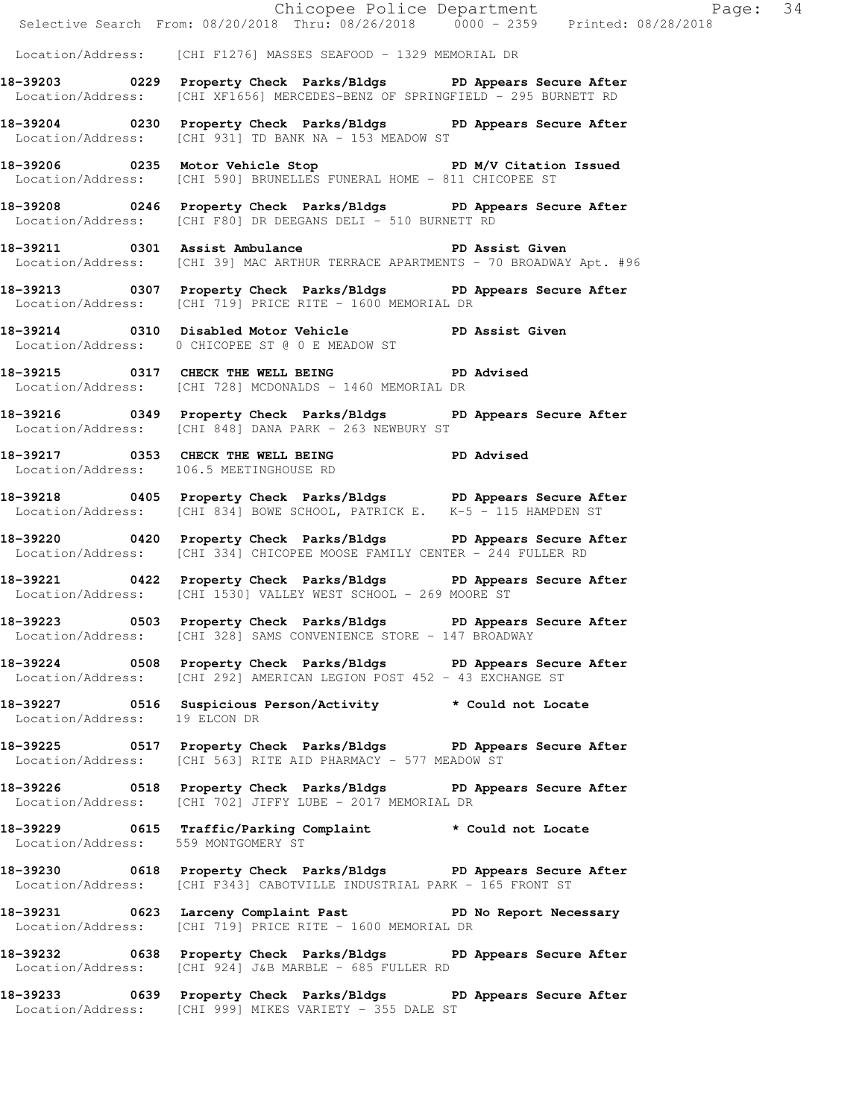|                                     | Selective Search From: 08/20/2018 Thru: 08/26/2018 0000 - 2359 Printed: 08/28/2018                                                               |  |
|-------------------------------------|--------------------------------------------------------------------------------------------------------------------------------------------------|--|
|                                     | Location/Address: [CHI F1276] MASSES SEAFOOD - 1329 MEMORIAL DR                                                                                  |  |
|                                     | 18-39203 0229 Property Check Parks/Bldgs PD Appears Secure After<br>Location/Address: [CHI XF1656] MERCEDES-BENZ OF SPRINGFIELD - 295 BURNETT RD |  |
|                                     | 18-39204 0230 Property Check Parks/Bldgs PD Appears Secure After<br>Location/Address: [CHI 931] TD BANK NA - 153 MEADOW ST                       |  |
|                                     | 18-39206 0235 Motor Vehicle Stop PD M/V Citation Issued<br>Location/Address: [CHI 590] BRUNELLES FUNERAL HOME - 811 CHICOPEE ST                  |  |
|                                     | 18-39208 0246 Property Check Parks/Bldgs PD Appears Secure After<br>Location/Address: [CHI F80] DR DEEGANS DELI - 510 BURNETT RD                 |  |
|                                     | 18-39211 0301 Assist Ambulance New PD Assist Given<br>Location/Address: [CHI 39] MAC ARTHUR TERRACE APARTMENTS - 70 BROADWAY Apt. #96            |  |
|                                     | 18-39213 0307 Property Check Parks/Bldgs PD Appears Secure After<br>Location/Address: [CHI 719] PRICE RITE - 1600 MEMORIAL DR                    |  |
|                                     | 18-39214 0310 Disabled Motor Vehicle PD Assist Given<br>Location/Address: 0 CHICOPEE ST @ 0 E MEADOW ST                                          |  |
|                                     | 18-39215 0317 CHECK THE WELL BEING PD Advised<br>Location/Address: [CHI 728] MCDONALDS - 1460 MEMORIAL DR                                        |  |
|                                     | 18-39216 		 0349 Property Check Parks/Bldgs 		 PD Appears Secure After<br>Location/Address: [CHI 848] DANA PARK - 263 NEWBURY ST                 |  |
|                                     | 18-39217 0353 CHECK THE WELL BEING PD Advised<br>Location/Address: 106.5 MEETINGHOUSE RD                                                         |  |
|                                     | 18-39218 0405 Property Check Parks/Bldgs PD Appears Secure After<br>Location/Address: [CHI 834] BOWE SCHOOL, PATRICK E. K-5 - 115 HAMPDEN ST     |  |
|                                     | 18-39220 0420 Property Check Parks/Bldgs PD Appears Secure After<br>  Location/Address: [CHI 334] CHICOPEE MOOSE FAMILY CENTER - 244 FULLER RD   |  |
|                                     | 18-39221 0422 Property Check Parks/Bldgs PD Appears Secure After<br>Location/Address: [CHI 1530] VALLEY WEST SCHOOL - 269 MOORE ST               |  |
|                                     | 18-39223 0503 Property Check Parks/Bldgs PD Appears Secure After<br>Location/Address: [CHI 328] SAMS CONVENIENCE STORE - 147 BROADWAY            |  |
|                                     | 18-39224 0508 Property Check Parks/Bldgs PD Appears Secure After<br>Location/Address: [CHI 292] AMERICAN LEGION POST 452 - 43 EXCHANGE ST        |  |
|                                     | 18-39227 0516 Suspicious Person/Activity * Could not Locate<br>Location/Address: 19 ELCON DR                                                     |  |
|                                     | 18-39225 0517 Property Check Parks/Bldgs PD Appears Secure After<br>Location/Address: [CHI 563] RITE AID PHARMACY - 577 MEADOW ST                |  |
|                                     | 18-39226 0518 Property Check Parks/Bldgs PD Appears Secure After<br>Location/Address: [CHI 702] JIFFY LUBE - 2017 MEMORIAL DR                    |  |
| Location/Address: 559 MONTGOMERY ST | 18-39229 0615 Traffic/Parking Complaint * Could not Locate                                                                                       |  |
|                                     | 18-39230 0618 Property Check Parks/Bldgs PD Appears Secure After<br>  Location/Address: [CHI F343] CABOTVILLE INDUSTRIAL PARK - 165 FRONT ST     |  |
|                                     | 18-39231 0623 Larceny Complaint Past PD No Report Necessary<br>Location/Address: [CHI 719] PRICE RITE - 1600 MEMORIAL DR                         |  |
|                                     | 18-39232 0638 Property Check Parks/Bldgs PD Appears Secure After<br>Location/Address: [CHI 924] J&B MARBLE - 685 FULLER RD                       |  |
|                                     | 18-39233 0639 Property Check Parks/Bldgs PD Appears Secure After<br>Location/Address: [CHI 999] MIKES VARIETY - 355 DALE ST                      |  |
|                                     |                                                                                                                                                  |  |

Chicopee Police Department Page: 34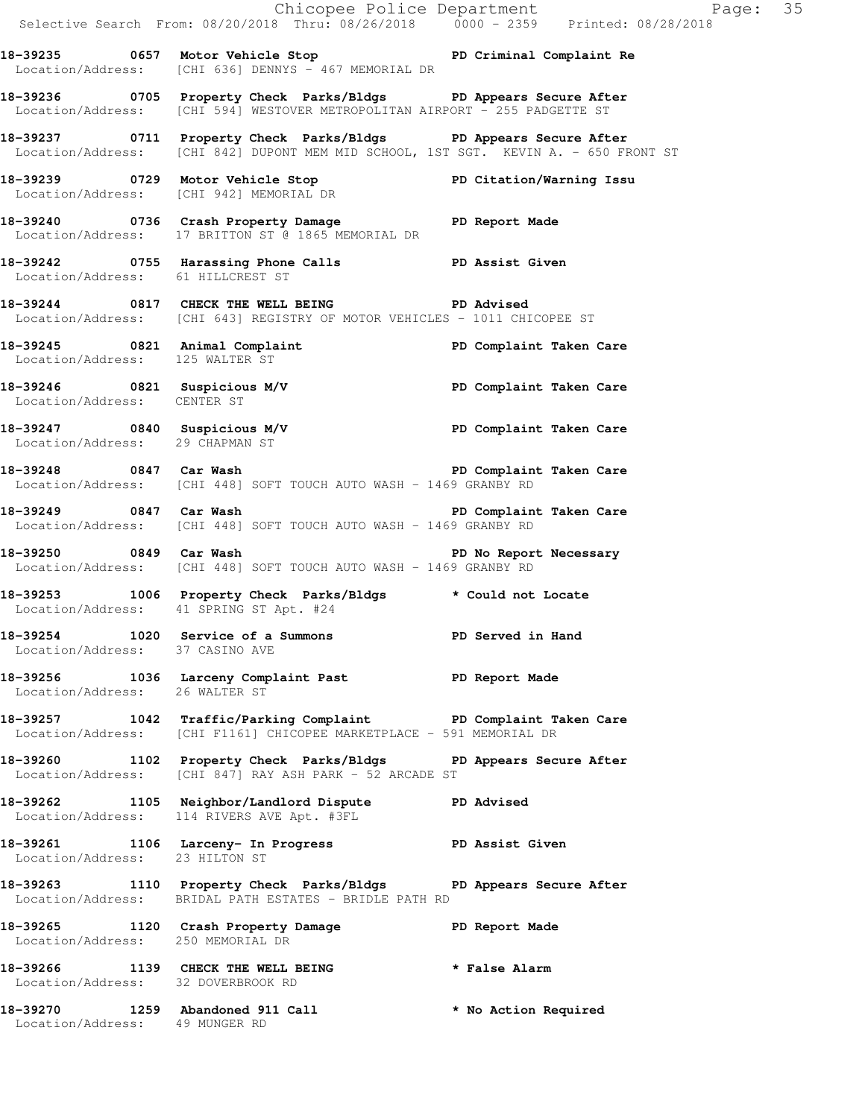|                                    |                                                                                                                                                               | Chicopee Police Department<br>Selective Search From: 08/20/2018 Thru: 08/26/2018 0000 - 2359 Printed: 08/28/2018 |
|------------------------------------|---------------------------------------------------------------------------------------------------------------------------------------------------------------|------------------------------------------------------------------------------------------------------------------|
|                                    | 18-39235 0657 Motor Vehicle Stop North PD Criminal Complaint Re<br>Location/Address: [CHI 636] DENNYS - 467 MEMORIAL DR                                       |                                                                                                                  |
|                                    | 18-39236 0705 Property Check Parks/Bldgs PD Appears Secure After<br>Location/Address: [CHI 594] WESTOVER METROPOLITAN AIRPORT - 255 PADGETTE ST               |                                                                                                                  |
|                                    | 18-39237   0711   Property Check Parks/Bldgs   PD Appears Secure After<br>Location/Address: [CHI 842] DUPONT MEM MID SCHOOL, 1ST SGT. KEVIN A. - 650 FRONT ST |                                                                                                                  |
|                                    | 18-39239 0729 Motor Vehicle Stop PD Citation/Warning Issu<br>Location/Address: [CHI 942] MEMORIAL DR                                                          |                                                                                                                  |
|                                    | 18-39240 0736 Crash Property Damage PD Report Made<br>Location/Address: 17 BRITTON ST @ 1865 MEMORIAL DR                                                      |                                                                                                                  |
| Location/Address: 61 HILLCREST ST  | 18-39242 0755 Harassing Phone Calls <b>DREE PD</b> Assist Given                                                                                               |                                                                                                                  |
|                                    | 18-39244 0817 CHECK THE WELL BEING PD Advised<br>Location/Address: [CHI 643] REGISTRY OF MOTOR VEHICLES - 1011 CHICOPEE ST                                    |                                                                                                                  |
| Location/Address: 125 WALTER ST    | 18-39245 0821 Animal Complaint <b>18-39245</b> PD Complaint Taken Care                                                                                        |                                                                                                                  |
| Location/Address: CENTER ST        | 18-39246 1821 Suspicious M/V 1990 PD Complaint Taken Care                                                                                                     |                                                                                                                  |
| Location/Address: 29 CHAPMAN ST    | 18-39247 0840 Suspicious M/V <b>PD</b> Complaint Taken Care                                                                                                   |                                                                                                                  |
|                                    | -<br>18-39248 18-20 0847 Car Wash (1990) Demplaint Taken Care<br>Location/Address: [CHI 448] SOFT TOUCH AUTO WASH - 1469 GRANBY RD                            |                                                                                                                  |
|                                    | 18-39249 0847 Car Wash <b>18-39249</b> Care Care<br>Location/Address: [CHI 448] SOFT TOUCH AUTO WASH - 1469 GRANBY RD                                         |                                                                                                                  |
|                                    | 18-39250 0849 Car Wash<br>Location/Address: [CHI 448] SOFT TOUCH AUTO WASH - 1469 GRANBY RD                                                                   | PD No Report Necessary                                                                                           |
|                                    | 18-39253 1006 Property Check Parks/Bldgs * Could not Locate<br>Location/Address: 41 SPRING ST Apt. #24                                                        |                                                                                                                  |
| Location/Address: 37 CASINO AVE    | 18-39254 1020 Service of a Summons TPD Served in Hand                                                                                                         |                                                                                                                  |
| Location/Address: 26 WALTER ST     | 18-39256 1036 Larceny Complaint Past 1910 PD Report Made                                                                                                      |                                                                                                                  |
|                                    | 18-39257 1042 Traffic/Parking Complaint PD Complaint Taken Care<br>Location/Address: [CHI F1161] CHICOPEE MARKETPLACE - 591 MEMORIAL DR                       |                                                                                                                  |
|                                    | 18-39260 1102 Property Check Parks/Bldgs PD Appears Secure After<br>Location/Address: [CHI 847] RAY ASH PARK - 52 ARCADE ST                                   |                                                                                                                  |
|                                    | 18-39262 1105 Neighbor/Landlord Dispute PD Advised<br>Location/Address: 114 RIVERS AVE Apt. #3FL                                                              |                                                                                                                  |
| Location/Address: 23 HILTON ST     | 18-39261 1106 Larceny- In Progress 5 1 PD Assist Given                                                                                                        |                                                                                                                  |
|                                    | 18-39263 1110 Property Check Parks/Bldgs PD Appears Secure After<br>Location/Address: BRIDAL PATH ESTATES - BRIDLE PATH RD                                    |                                                                                                                  |
| Location/Address: 250 MEMORIAL DR  | 18-39265 1120 Crash Property Damage Neport Made                                                                                                               |                                                                                                                  |
| Location/Address: 32 DOVERBROOK RD | 18-39266 1139 CHECK THE WELL BEING * False Alarm                                                                                                              |                                                                                                                  |
| Location/Address: 49 MUNGER RD     | 18-39270 1259 Abandoned 911 Call                                                                                                                              | * No Action Required                                                                                             |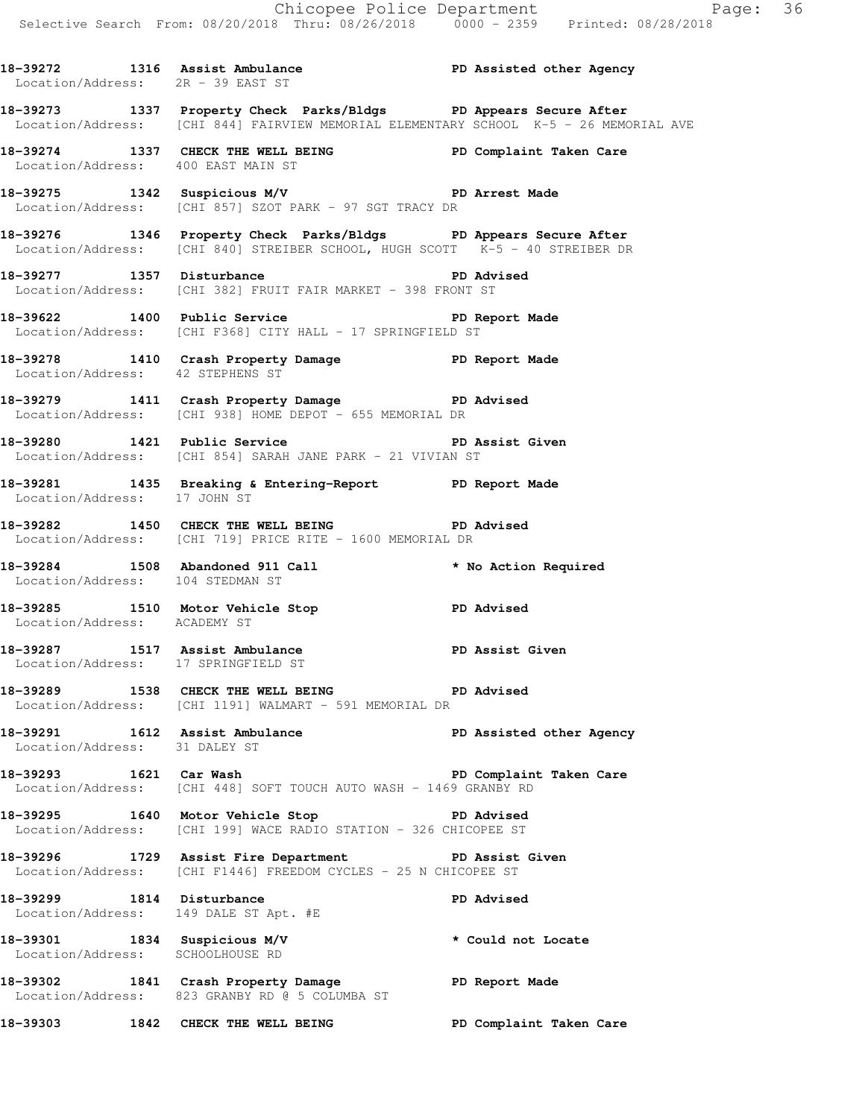**18-39272 1316 Assist Ambulance PD Assisted other Agency** 

 Location/Address: 2R - 39 EAST ST **18-39273 1337 Property Check Parks/Bldgs PD Appears Secure After**  Location/Address: [CHI 844] FAIRVIEW MEMORIAL ELEMENTARY SCHOOL K-5 - 26 MEMORIAL AVE **18-39274 1337 CHECK THE WELL BEING PD Complaint Taken Care**  Location/Address: 400 EAST MAIN ST **18-39275 1342 Suspicious M/V PD Arrest Made**  Location/Address: [CHI 857] SZOT PARK - 97 SGT TRACY DR **18-39276 1346 Property Check Parks/Bldgs PD Appears Secure After**  Location/Address: [CHI 840] STREIBER SCHOOL, HUGH SCOTT K-5 - 40 STREIBER DR 18-39277 1357 Disturbance **PD** Advised Location/Address: [CHI 382] FRUIT FAIR MARKET - 398 FRONT ST **18-39622 1400 Public Service PD Report Made**  Location/Address: [CHI F368] CITY HALL - 17 SPRINGFIELD ST **18-39278 1410 Crash Property Damage PD Report Made**  Location/Address: 42 STEPHENS ST **18-39279 1411 Crash Property Damage PD Advised**  Location/Address: [CHI 938] HOME DEPOT - 655 MEMORIAL DR **18-39280 1421 Public Service PD Assist Given**  Location/Address: [CHI 854] SARAH JANE PARK - 21 VIVIAN ST **18-39281 1435 Breaking & Entering-Report PD Report Made**  Location/Address: 17 JOHN ST **18-39282 1450 CHECK THE WELL BEING PD Advised**  Location/Address: [CHI 719] PRICE RITE - 1600 MEMORIAL DR **18-39284 1508 Abandoned 911 Call \* No Action Required**  Location/Address: 104 STEDMAN ST **18-39285 1510 Motor Vehicle Stop PD Advised**  Location/Address: ACADEMY ST 18-39287 1517 Assist Ambulance **PD Assist Given**  Location/Address: 17 SPRINGFIELD ST **18-39289 1538 CHECK THE WELL BEING PD Advised**  Location/Address: [CHI 1191] WALMART - 591 MEMORIAL DR **18-39291 1612 Assist Ambulance PD Assisted other Agency**  Location/Address: 31 DALEY ST **18-39293 1621 Car Wash PD Complaint Taken Care**  Location/Address: [CHI 448] SOFT TOUCH AUTO WASH - 1469 GRANBY RD **18-39295 1640 Motor Vehicle Stop PD Advised**  Location/Address: [CHI 199] WACE RADIO STATION - 326 CHICOPEE ST **18-39296 1729 Assist Fire Department PD Assist Given**  Location/Address: [CHI F1446] FREEDOM CYCLES - 25 N CHICOPEE ST **18-39299 1814 Disturbance PD Advised**  Location/Address: 149 DALE ST Apt. #E **18-39301 1834 Suspicious M/V \* Could not Locate**  Location/Address: SCHOOLHOUSE RD **18-39302 1841 Crash Property Damage PD Report Made**  Location/Address: 823 GRANBY RD @ 5 COLUMBA ST **18-39303 1842 CHECK THE WELL BEING PD Complaint Taken Care**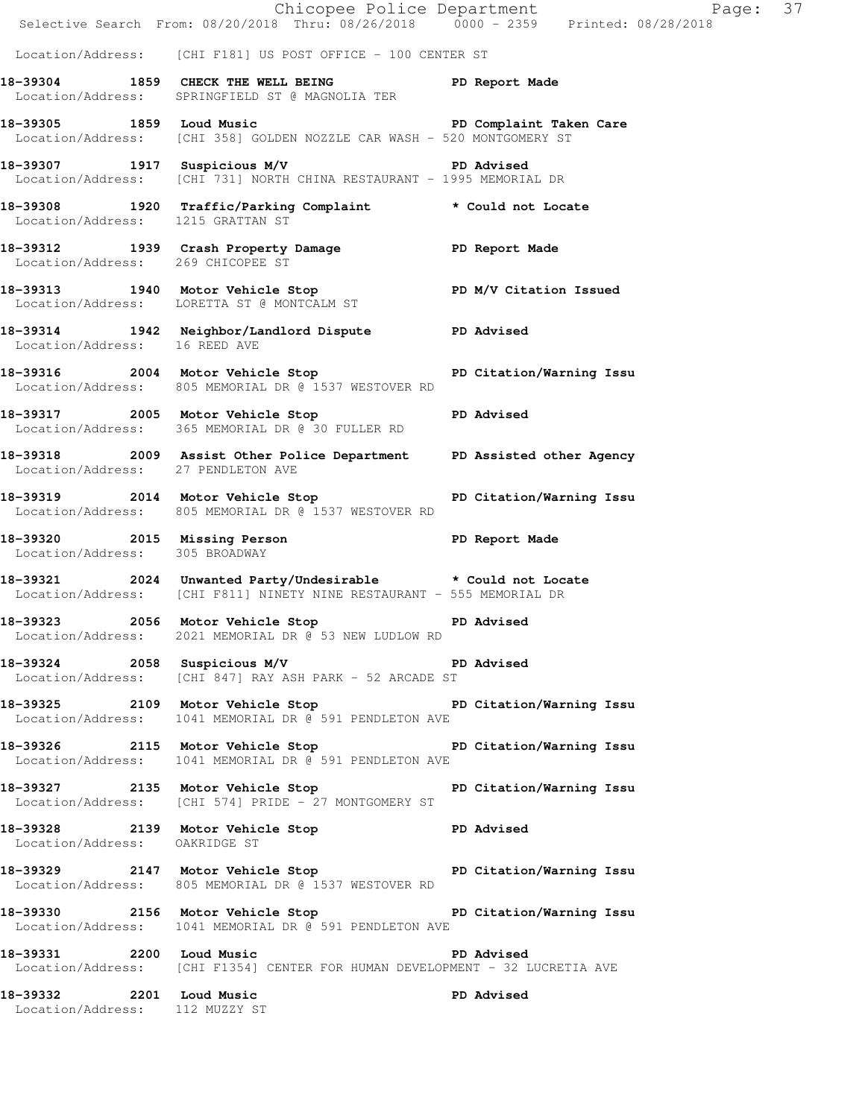|                                    |                                                                                                                                      | Chicopee Police Department<br>Selective Search From: 08/20/2018 Thru: 08/26/2018 0000 - 2359 Printed: 08/28/2018 |
|------------------------------------|--------------------------------------------------------------------------------------------------------------------------------------|------------------------------------------------------------------------------------------------------------------|
|                                    | Location/Address: [CHI F181] US POST OFFICE - 100 CENTER ST                                                                          |                                                                                                                  |
|                                    | 18-39304 1859 CHECK THE WELL BEING PD Report Made<br>Location/Address: SPRINGFIELD ST @ MAGNOLIA TER                                 |                                                                                                                  |
|                                    | 18-39305 1859 Loud Music Number of PD Complaint Taken Care<br>Location/Address: [CHI 358] GOLDEN NOZZLE CAR WASH - 520 MONTGOMERY ST |                                                                                                                  |
|                                    | 18-39307 1917 Suspicious M/V 18-39307 PD Advised<br>Location/Address: [CHI 731] NORTH CHINA RESTAURANT - 1995 MEMORIAL DR            |                                                                                                                  |
|                                    | 18-39308   1920   Traffic/Parking Complaint   * Could not Locate Location/Address: 1215   GRATTAN ST                                 |                                                                                                                  |
| Location/Address: 269 CHICOPEE ST  | 18-39312 1939 Crash Property Damage PD Report Made                                                                                   |                                                                                                                  |
|                                    | 18-39313   1940   Motor Vehicle Stop   PD M/V Citation Issued Location/Address: LORETTA ST @ MONTCALM ST                             |                                                                                                                  |
| Location/Address: 16 REED AVE      | 18-39314 1942 Neighbor/Landlord Dispute PD Advised                                                                                   |                                                                                                                  |
|                                    | 18-39316 2004 Motor Vehicle Stop 5 PD Citation/Warning Issu<br>Location/Address: 805 MEMORIAL DR @ 1537 WESTOVER RD                  |                                                                                                                  |
|                                    | 18-39317 2005 Motor Vehicle Stop PD Advised<br>Location/Address: 365 MEMORIAL DR @ 30 FULLER RD                                      |                                                                                                                  |
| Location/Address: 27 PENDLETON AVE | 18-39318 2009 Assist Other Police Department PD Assisted other Agency                                                                |                                                                                                                  |
|                                    | 18-39319 2014 Motor Vehicle Stop North PD Citation/Warning Issu<br>Location/Address: 805 MEMORIAL DR @ 1537 WESTOVER RD              |                                                                                                                  |
| Location/Address: 305 BROADWAY     | 18-39320 2015 Missing Person                                                                                                         | PD Report Made                                                                                                   |
|                                    | 18-39321 2024 Unwanted Party/Undesirable * Could not Locate<br>Location/Address: [CHI F811] NINETY NINE RESTAURANT - 555 MEMORIAL DR |                                                                                                                  |
|                                    | 18-39323 2056 Motor Vehicle Stop<br>Location/Address: 2021 MEMORIAL DR @ 53 NEW LUDLOW RD                                            | <b>PD Advised</b>                                                                                                |
|                                    | 18-39324 2058 Suspicious M/V 2009 PD Advised<br>Location/Address: [CHI 847] RAY ASH PARK - 52 ARCADE ST                              |                                                                                                                  |
|                                    | 18-39325 2109 Motor Vehicle Stop PD Citation/Warning Issu<br>Location/Address: 1041 MEMORIAL DR @ 591 PENDLETON AVE                  |                                                                                                                  |
|                                    | 18-39326 2115 Motor Vehicle Stop PD Citation/Warning Issu<br>Location/Address: 1041 MEMORIAL DR @ 591 PENDLETON AVE                  |                                                                                                                  |
|                                    | 18-39327 2135 Motor Vehicle Stop PD Citation/Warning Issu<br>Location/Address: [CHI 574] PRIDE - 27 MONTGOMERY ST                    |                                                                                                                  |
| Location/Address: OAKRIDGE ST      | 18-39328 2139 Motor Vehicle Stop Communist PD Advised                                                                                |                                                                                                                  |
|                                    | 18-39329 2147 Motor Vehicle Stop North PD Citation/Warning Issu<br>Location/Address: 805 MEMORIAL DR @ 1537 WESTOVER RD              |                                                                                                                  |
|                                    | 18-39330 2156 Motor Vehicle Stop North PD Citation/Warning Issu<br>Location/Address: 1041 MEMORIAL DR @ 591 PENDLETON AVE            |                                                                                                                  |
| 18-39331 2200 Loud Music           | Location/Address: [CHI F1354] CENTER FOR HUMAN DEVELOPMENT - 32 LUCRETIA AVE                                                         | <b>PD Advised</b>                                                                                                |
| Location/Address: 112 MUZZY ST     | 18-39332 2201 Loud Music                                                                                                             | <b>PD Advised</b>                                                                                                |
|                                    |                                                                                                                                      |                                                                                                                  |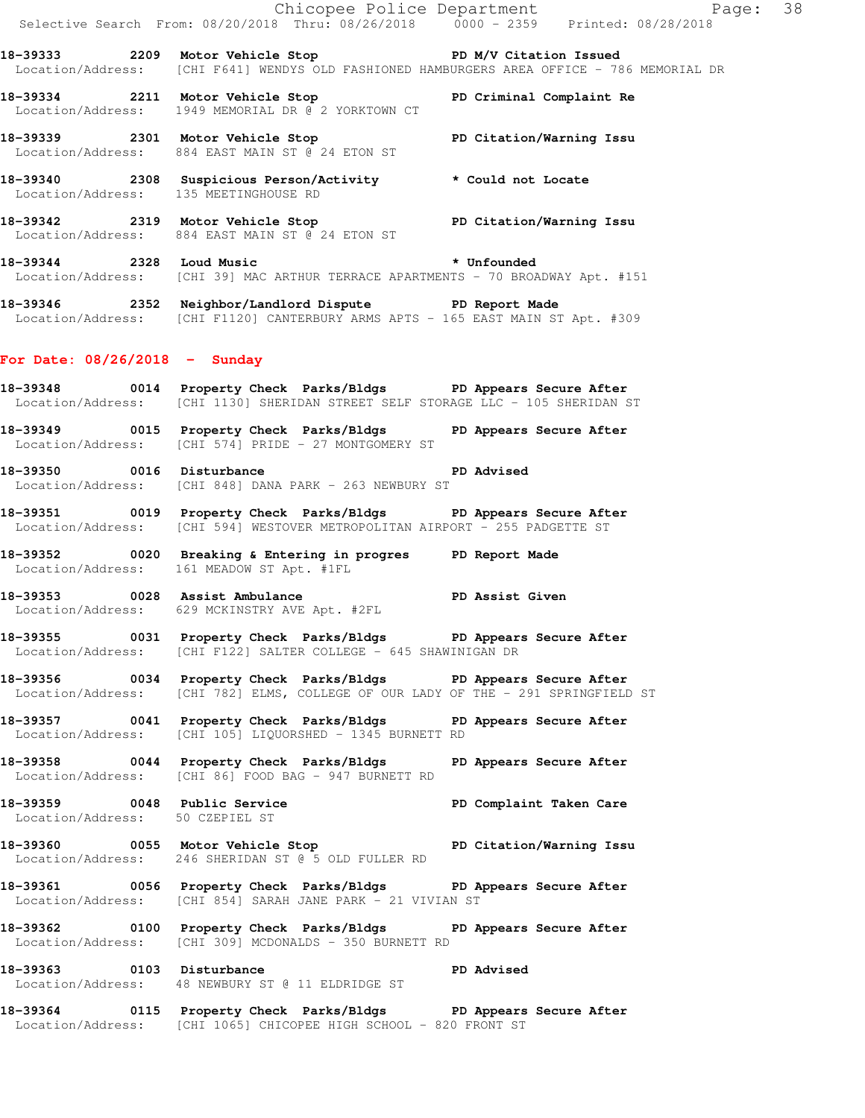|                                 | E<br>Chicopee Police Department<br>Selective Search From: 08/20/2018 Thru: 08/26/2018 0000 - 2359 Printed: 08/28/2018                                 | Page: 38                                                                                   |  |
|---------------------------------|-------------------------------------------------------------------------------------------------------------------------------------------------------|--------------------------------------------------------------------------------------------|--|
|                                 | 18-39333 2209 Motor Vehicle Stop North PD M/V Citation Issued                                                                                         | Location/Address: [CHI F641] WENDYS OLD FASHIONED HAMBURGERS AREA OFFICE - 786 MEMORIAL DR |  |
|                                 | 18-39334 2211 Motor Vehicle Stop<br>Location/Address: 1949 MEMORIAL DR @ 2 YORKTOWN CT                                                                | PD Criminal Complaint Re                                                                   |  |
|                                 | 18-39339 2301 Motor Vehicle Stop<br>Location/Address: 884 EAST MAIN ST @ 24 ETON ST                                                                   | PD Citation/Warning Issu                                                                   |  |
|                                 | 18-39340 2308 Suspicious Person/Activity * Could not Locate<br>Location/Address: 135 MEETINGHOUSE RD                                                  |                                                                                            |  |
|                                 | 18-39342 2319 Motor Vehicle Stop Noter PD Citation/Warning Issu<br>Location/Address: 884 EAST MAIN ST @ 24 ETON ST                                    |                                                                                            |  |
|                                 | 18-39344 2328 Loud Music<br>Location/Address: [CHI 39] MAC ARTHUR TERRACE APARTMENTS - 70 BROADWAY Apt. #151                                          |                                                                                            |  |
|                                 | 18-39346 2352 Neighbor/Landlord Dispute PD Report Made<br>Location/Address: [CHI F1120] CANTERBURY ARMS APTS - 165 EAST MAIN ST Apt. #309             |                                                                                            |  |
| For Date: $08/26/2018$ - Sunday |                                                                                                                                                       |                                                                                            |  |
|                                 | 18-39348 0014 Property Check Parks/Bldgs PD Appears Secure After<br>Location/Address: [CHI 1130] SHERIDAN STREET SELF STORAGE LLC - 105 SHERIDAN ST   |                                                                                            |  |
|                                 | 18-39349 0015 Property Check Parks/Bldgs<br>Location/Address: [CHI 574] PRIDE - 27 MONTGOMERY ST                                                      | PD Appears Secure After                                                                    |  |
| 18-39350 0016 Disturbance       | Location/Address: [CHI 848] DANA PARK - 263 NEWBURY ST                                                                                                | <b>PD Advised</b>                                                                          |  |
|                                 | 18-39351 0019 Property Check Parks/Bldgs PD Appears Secure After<br>Location/Address: [CHI 594] WESTOVER METROPOLITAN AIRPORT - 255 PADGETTE ST       |                                                                                            |  |
|                                 | 18-39352 0020 Breaking & Entering in progres PD Report Made<br>Location/Address: 161 MEADOW ST Apt. #1FL                                              |                                                                                            |  |
|                                 | 18-39353 0028 Assist Ambulance<br>18-39353 0028 Assist Ambulance<br>Location/Address: 629 MCKINSTRY AVE Apt. #2FL                                     |                                                                                            |  |
|                                 | 18-39355 0031 Property Check Parks/Bldgs PD Appears Secure After<br>Location/Address: [CHI F122] SALTER COLLEGE - 645 SHAWINIGAN DR                   |                                                                                            |  |
|                                 | 18-39356 0034 Property Check Parks/Bldgs PD Appears Secure After<br>Location/Address: [CHI 782] ELMS, COLLEGE OF OUR LADY OF THE - 291 SPRINGFIELD ST |                                                                                            |  |

**18-39357 0041 Property Check Parks/Bldgs PD Appears Secure After**  Location/Address: [CHI 105] LIQUORSHED - 1345 BURNETT RD

**18-39358 0044 Property Check Parks/Bldgs PD Appears Secure After**  Location/Address: [CHI 86] FOOD BAG - 947 BURNETT RD

18-39359 **0048** Public Service **PD Complaint Taken Care** Location/Address: 50 CZEPIEL ST

**18-39360 0055 Motor Vehicle Stop PD Citation/Warning Issu**  Location/Address: 246 SHERIDAN ST @ 5 OLD FULLER RD

**18-39361 0056 Property Check Parks/Bldgs PD Appears Secure After**  Location/Address: [CHI 854] SARAH JANE PARK - 21 VIVIAN ST

**18-39362 0100 Property Check Parks/Bldgs PD Appears Secure After**  Location/Address: [CHI 309] MCDONALDS - 350 BURNETT RD

**18-39363 0103 Disturbance PD Advised**  Location/Address: 48 NEWBURY ST @ 11 ELDRIDGE ST

**18-39364 0115 Property Check Parks/Bldgs PD Appears Secure After**  Location/Address: [CHI 1065] CHICOPEE HIGH SCHOOL - 820 FRONT ST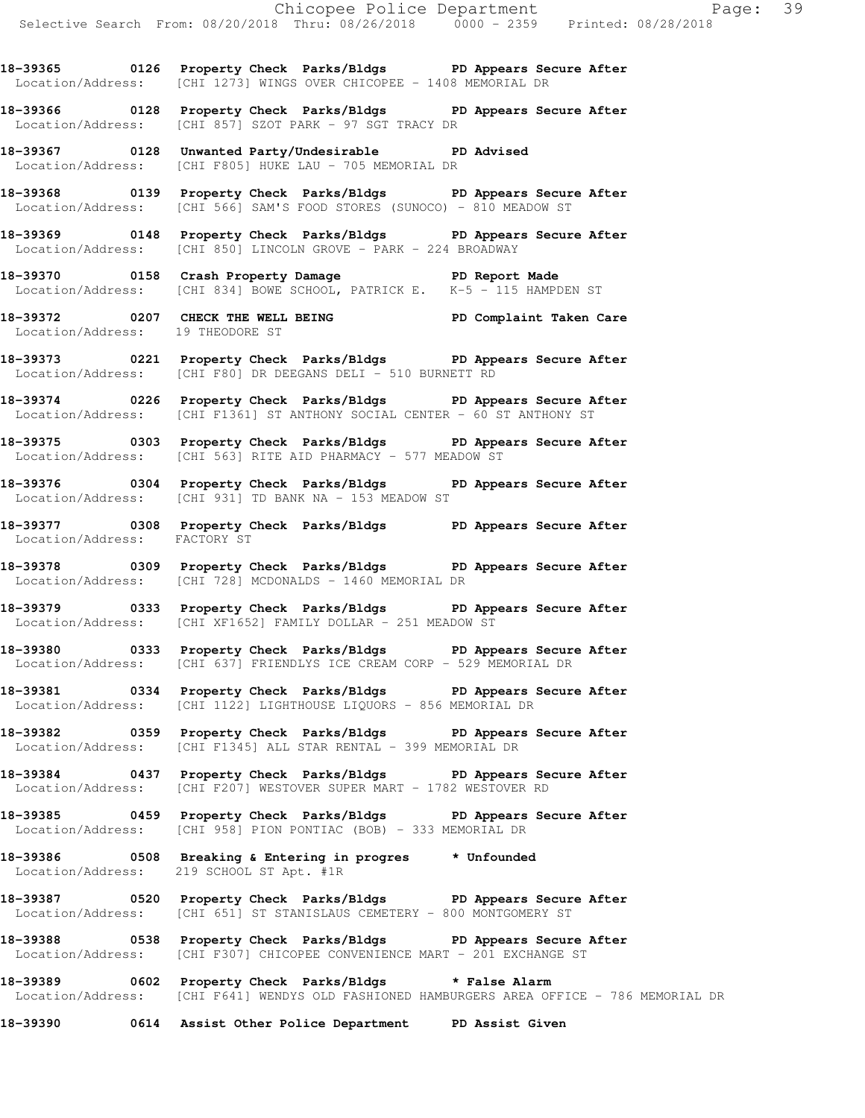**18-39365 0126 Property Check Parks/Bldgs PD Appears Secure After**  Location/Address: [CHI 1273] WINGS OVER CHICOPEE - 1408 MEMORIAL DR

**18-39366 0128 Property Check Parks/Bldgs PD Appears Secure After**  Location/Address: [CHI 857] SZOT PARK - 97 SGT TRACY DR

**18-39367 0128 Unwanted Party/Undesirable PD Advised**  Location/Address: [CHI F805] HUKE LAU - 705 MEMORIAL DR

**18-39368 0139 Property Check Parks/Bldgs PD Appears Secure After**  Location/Address: [CHI 566] SAM'S FOOD STORES (SUNOCO) - 810 MEADOW ST

**18-39369 0148 Property Check Parks/Bldgs PD Appears Secure After**  Location/Address: [CHI 850] LINCOLN GROVE - PARK - 224 BROADWAY

**18-39370 0158 Crash Property Damage PD Report Made**  Location/Address: [CHI 834] BOWE SCHOOL, PATRICK E. K-5 - 115 HAMPDEN ST

**18-39372 0207 CHECK THE WELL BEING PD Complaint Taken Care**  Location/Address: 19 THEODORE ST

**18-39373 0221 Property Check Parks/Bldgs PD Appears Secure After**  Location/Address: [CHI F80] DR DEEGANS DELI - 510 BURNETT RD

**18-39374 0226 Property Check Parks/Bldgs PD Appears Secure After**  Location/Address: [CHI F1361] ST ANTHONY SOCIAL CENTER - 60 ST ANTHONY ST

**18-39375 0303 Property Check Parks/Bldgs PD Appears Secure After**  Location/Address: [CHI 563] RITE AID PHARMACY - 577 MEADOW ST

**18-39376 0304 Property Check Parks/Bldgs PD Appears Secure After**  Location/Address: [CHI 931] TD BANK NA - 153 MEADOW ST

**18-39377 0308 Property Check Parks/Bldgs PD Appears Secure After**  Location/Address: FACTORY ST

**18-39378 0309 Property Check Parks/Bldgs PD Appears Secure After**  Location/Address: [CHI 728] MCDONALDS - 1460 MEMORIAL DR

**18-39379 0333 Property Check Parks/Bldgs PD Appears Secure After**  Location/Address: [CHI XF1652] FAMILY DOLLAR - 251 MEADOW ST

**18-39380 0333 Property Check Parks/Bldgs PD Appears Secure After**  Location/Address: [CHI 637] FRIENDLYS ICE CREAM CORP - 529 MEMORIAL DR

**18-39381 0334 Property Check Parks/Bldgs PD Appears Secure After**  Location/Address: [CHI 1122] LIGHTHOUSE LIQUORS - 856 MEMORIAL DR

**18-39382 0359 Property Check Parks/Bldgs PD Appears Secure After**  Location/Address: [CHI F1345] ALL STAR RENTAL - 399 MEMORIAL DR

**18-39384 0437 Property Check Parks/Bldgs PD Appears Secure After**  Location/Address: [CHI F207] WESTOVER SUPER MART - 1782 WESTOVER RD

**18-39385 0459 Property Check Parks/Bldgs PD Appears Secure After**  Location/Address: [CHI 958] PION PONTIAC (BOB) - 333 MEMORIAL DR

**18-39386 0508 Breaking & Entering in progres \* Unfounded**  Location/Address: 219 SCHOOL ST Apt. #1R

**18-39387 0520 Property Check Parks/Bldgs PD Appears Secure After**  Location/Address: [CHI 651] ST STANISLAUS CEMETERY - 800 MONTGOMERY ST

**18-39388 0538 Property Check Parks/Bldgs PD Appears Secure After**  Location/Address: [CHI F307] CHICOPEE CONVENIENCE MART - 201 EXCHANGE ST

**18-39389 0602 Property Check Parks/Bldgs \* False Alarm**  Location/Address: [CHI F641] WENDYS OLD FASHIONED HAMBURGERS AREA OFFICE - 786 MEMORIAL DR

**18-39390 0614 Assist Other Police Department PD Assist Given**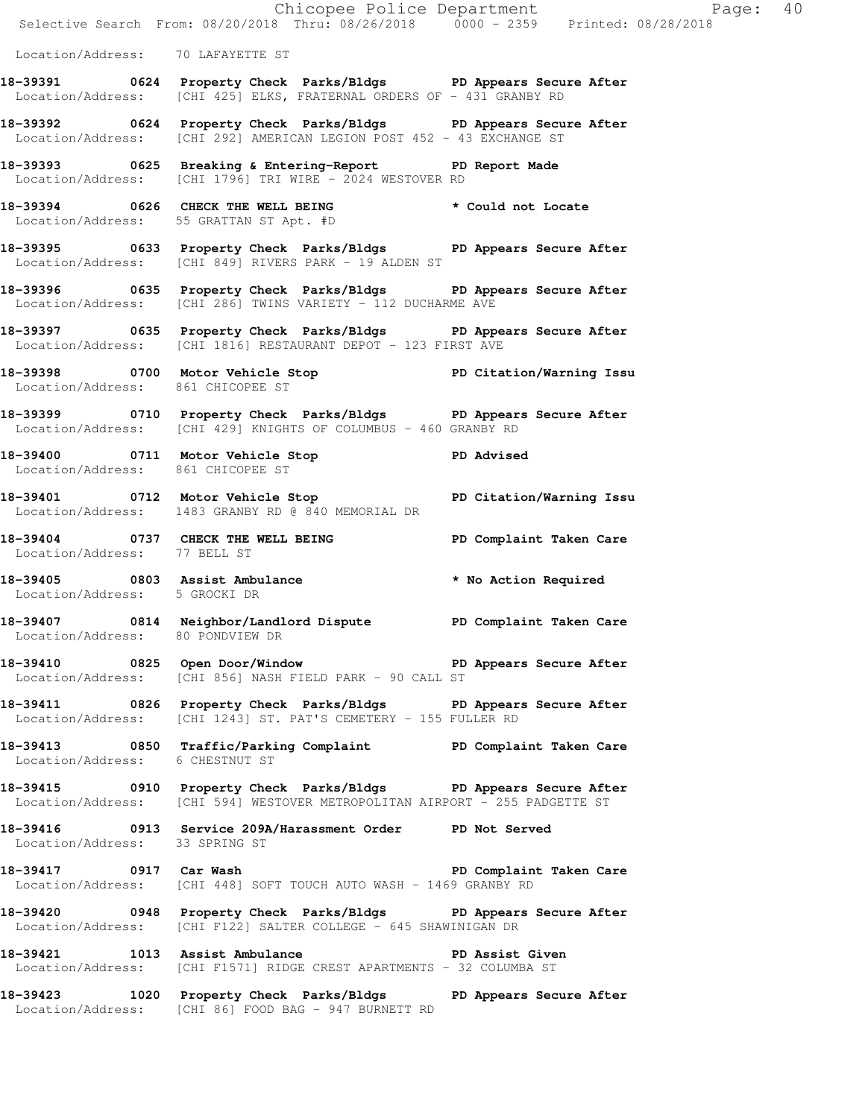|                                   | Chicopee Police Department<br>Selective Search From: 08/20/2018 Thru: 08/26/2018 0000 - 2359 Printed: 08/28/2018                                |                         |
|-----------------------------------|-------------------------------------------------------------------------------------------------------------------------------------------------|-------------------------|
| Location/Address: 70 LAFAYETTE ST |                                                                                                                                                 |                         |
|                                   | 18-39391 0624 Property Check Parks/Bldgs PD Appears Secure After<br>Location/Address: [CHI 425] ELKS, FRATERNAL ORDERS OF - 431 GRANBY RD       |                         |
|                                   | 18-39392 0624 Property Check Parks/Bldgs PD Appears Secure After<br>Location/Address: [CHI 292] AMERICAN LEGION POST 452 - 43 EXCHANGE ST       |                         |
|                                   | 18-39393 0625 Breaking & Entering-Report PD Report Made<br>Location/Address: [CHI 1796] TRI WIRE - 2024 WESTOVER RD                             |                         |
|                                   | 18-39394 0626 CHECK THE WELL BEING * Could not Locate<br>Location/Address: 55 GRATTAN ST Apt. #D                                                |                         |
|                                   | 18-39395 0633 Property Check Parks/Bldgs PD Appears Secure After<br>Location/Address: [CHI 849] RIVERS PARK - 19 ALDEN ST                       |                         |
|                                   | 18-39396 0635 Property Check Parks/Bldgs PD Appears Secure After<br>Location/Address: [CHI 286] TWINS VARIETY - 112 DUCHARME AVE                |                         |
|                                   | 18-39397 0635 Property Check Parks/Bldgs PD Appears Secure After<br>Location/Address: [CHI 1816] RESTAURANT DEPOT - 123 FIRST AVE               |                         |
| Location/Address: 861 CHICOPEE ST | 18-39398 0700 Motor Vehicle Stop North PD Citation/Warning Issu                                                                                 |                         |
|                                   | 18-39399 0710 Property Check Parks/Bldgs DPD Appears Secure After<br>Location/Address: [CHI 429] KNIGHTS OF COLUMBUS - 460 GRANBY RD            |                         |
| Location/Address: 861 CHICOPEE ST | 18-39400 0711 Motor Vehicle Stop New PD Advised                                                                                                 |                         |
|                                   | 18-39401 0712 Motor Vehicle Stop PD Citation/Warning Issu<br>Location/Address: 1483 GRANBY RD @ 840 MEMORIAL DR                                 |                         |
| Location/Address: 77 BELL ST      | 18-39404 0737 CHECK THE WELL BEING FOR PD Complaint Taken Care                                                                                  |                         |
| Location/Address: 5 GROCKI DR     | 18-39405 0803 Assist Ambulance <b>18-39405</b> * No Action Required                                                                             |                         |
| Location/Address: 80 PONDVIEW DR  | 18-39407 0814 Neighbor/Landlord Dispute PD Complaint Taken Care                                                                                 |                         |
|                                   | 18-39410 0825 Open Door/Window <b>18-39410 PD</b> Appears Secure After<br>Location/Address: [CHI 856] NASH FIELD PARK - 90 CALL ST              |                         |
|                                   | 18-39411 0826 Property Check Parks/Bldgs PD Appears Secure After<br>Location/Address: [CHI 1243] ST. PAT'S CEMETERY - 155 FULLER RD             |                         |
| Location/Address: 6 CHESTNUT ST   | 18-39413 0850 Traffic/Parking Complaint BD Complaint Taken Care                                                                                 |                         |
|                                   | 18-39415 0910 Property Check Parks/Bldgs PD Appears Secure After<br>Location/Address: [CHI 594] WESTOVER METROPOLITAN AIRPORT - 255 PADGETTE ST |                         |
| Location/Address: 33 SPRING ST    | 18-39416 0913 Service 209A/Harassment Order PD Not Served                                                                                       |                         |
| 18-39417 0917 Car Wash            | Location/Address: [CHI 448] SOFT TOUCH AUTO WASH - 1469 GRANBY RD                                                                               | PD Complaint Taken Care |
|                                   | 18-39420 0948 Property Check Parks/Bldgs PD Appears Secure After<br>Location/Address: [CHI F122] SALTER COLLEGE - 645 SHAWINIGAN DR             |                         |
|                                   | 18-39421 1013 Assist Ambulance New PD Assist Given<br>Location/Address: [CHI F1571] RIDGE CREST APARTMENTS - 32 COLUMBA ST                      |                         |
|                                   | 18-39423 1020 Property Check Parks/Bldgs PD Appears Secure After                                                                                |                         |

Location/Address: [CHI 86] FOOD BAG - 947 BURNETT RD

Page:  $40$ <br> $(2018)$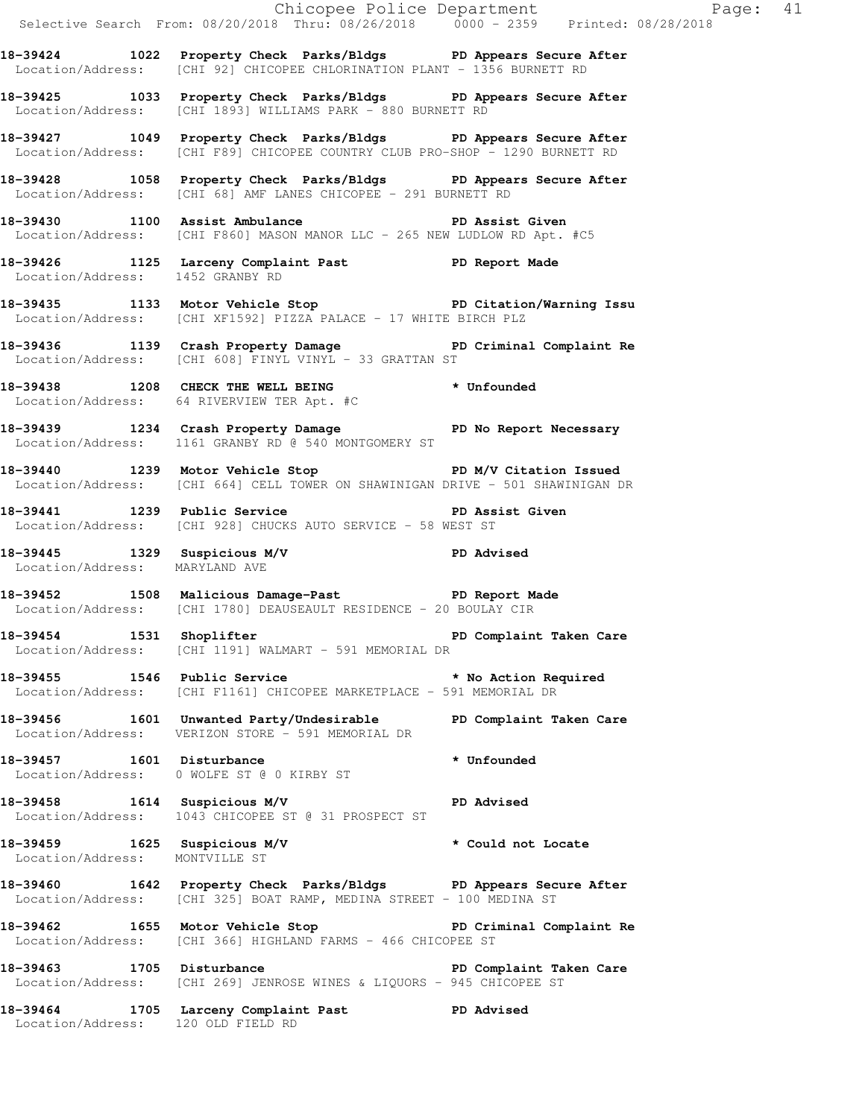|                                  |                                                                                                                                                  | Chicopee Police Department<br>Selective Search From: 08/20/2018 Thru: 08/26/2018 0000 - 2359 Printed: 08/28/2018 |
|----------------------------------|--------------------------------------------------------------------------------------------------------------------------------------------------|------------------------------------------------------------------------------------------------------------------|
|                                  | 18-39424 1022 Property Check Parks/Bldgs PD Appears Secure After<br>Location/Address: [CHI 92] CHICOPEE CHLORINATION PLANT - 1356 BURNETT RD     |                                                                                                                  |
|                                  | 18-39425 1033 Property Check Parks/Bldgs PD Appears Secure After<br>Location/Address: [CHI 1893] WILLIAMS PARK - 880 BURNETT RD                  |                                                                                                                  |
|                                  | 18-39427 1049 Property Check Parks/Bldgs PD Appears Secure After<br>Location/Address: [CHI F89] CHICOPEE COUNTRY CLUB PRO-SHOP - 1290 BURNETT RD |                                                                                                                  |
|                                  | 18-39428 1058 Property Check Parks/Bldgs PD Appears Secure After<br>Location/Address: [CHI 68] AMF LANES CHICOPEE - 291 BURNETT RD               |                                                                                                                  |
|                                  | 18-39430 1100 Assist Ambulance New PD Assist Given<br>Location/Address: [CHI F860] MASON MANOR LLC - 265 NEW LUDLOW RD Apt. #C5                  |                                                                                                                  |
| Location/Address: 1452 GRANBY RD | 18-39426 1125 Larceny Complaint Past PD Report Made                                                                                              |                                                                                                                  |
|                                  | 18-39435 1133 Motor Vehicle Stop PD Citation/Warning Issu<br>Location/Address: [CHI XF1592] PIZZA PALACE - 17 WHITE BIRCH PLZ                    |                                                                                                                  |
|                                  | 18-39436 1139 Crash Property Damage Name PD Criminal Complaint Re<br>Location/Address: [CHI 608] FINYL VINYL - 33 GRATTAN ST                     |                                                                                                                  |
|                                  | 18-39438 1208 CHECK THE WELL BEING * Unfounded<br>Location/Address: 64 RIVERVIEW TER Apt. #C                                                     |                                                                                                                  |
|                                  | 18-39439 1234 Crash Property Damage Ne PD No Report Necessary<br>Location/Address: 1161 GRANBY RD @ 540 MONTGOMERY ST                            |                                                                                                                  |
|                                  | 18-39440 1239 Motor Vehicle Stop Note PD M/V Citation Issued<br>Location/Address: [CHI 664] CELL TOWER ON SHAWINIGAN DRIVE - 501 SHAWINIGAN DR   |                                                                                                                  |
|                                  | 18-39441 1239 Public Service New PD Assist Given<br>Location/Address: [CHI 928] CHUCKS AUTO SERVICE - 58 WEST ST                                 |                                                                                                                  |
| Location/Address: MARYLAND AVE   | 18-39445 1329 Suspicious M/V PD Advised<br>Location/Address: MARYLAND AVE                                                                        |                                                                                                                  |
|                                  | 18-39452 1508 Malicious Damage-Past PD Report Made<br>Location/Address: [CHI 1780] DEAUSEAULT RESIDENCE - 20 BOULAY CIR                          |                                                                                                                  |
|                                  | 18-39454 1531 Shoplifter 200 PD Complaint Taken Care<br>Location/Address: [CHI 1191] WALMART - 591 MEMORIAL DR                                   |                                                                                                                  |
|                                  | 18-39455 1546 Public Service * No Action Required<br>Location/Address: [CHI F1161] CHICOPEE MARKETPLACE - 591 MEMORIAL DR                        |                                                                                                                  |
|                                  | 18-39456 1601 Unwanted Party/Undesirable PD Complaint Taken Care<br>Location/Address: VERIZON STORE - 591 MEMORIAL DR                            |                                                                                                                  |
|                                  | 18-39457 1601 Disturbance * * Unfounded<br>Location/Address: 0 WOLFE ST @ 0 KIRBY ST                                                             |                                                                                                                  |
|                                  | 18-39458 1614 Suspicious M/V PD Advised<br>Location/Address: 1043 CHICOPEE ST @ 31 PROSPECT ST                                                   |                                                                                                                  |
| Location/Address: MONTVILLE ST   | 18-39459 1625 Suspicious M/V * Could not Locate                                                                                                  |                                                                                                                  |
|                                  | 18-39460 1642 Property Check Parks/Bldgs PD Appears Secure After<br>Location/Address: [CHI 325] BOAT RAMP, MEDINA STREET - 100 MEDINA ST         |                                                                                                                  |
|                                  | 18-39462 1655 Motor Vehicle Stop 30 PD Criminal Complaint Re<br>Location/Address: [CHI 366] HIGHLAND FARMS - 466 CHICOPEE ST                     |                                                                                                                  |
| 18-39463 1705 Disturbance        | Location/Address: [CHI 269] JENROSE WINES & LIQUORS - 945 CHICOPEE ST                                                                            | PD Complaint Taken Care                                                                                          |
|                                  | 18-39464 1705 Larceny Complaint Past PD Advised<br>Location/Address: 120 OLD FIELD RD                                                            |                                                                                                                  |